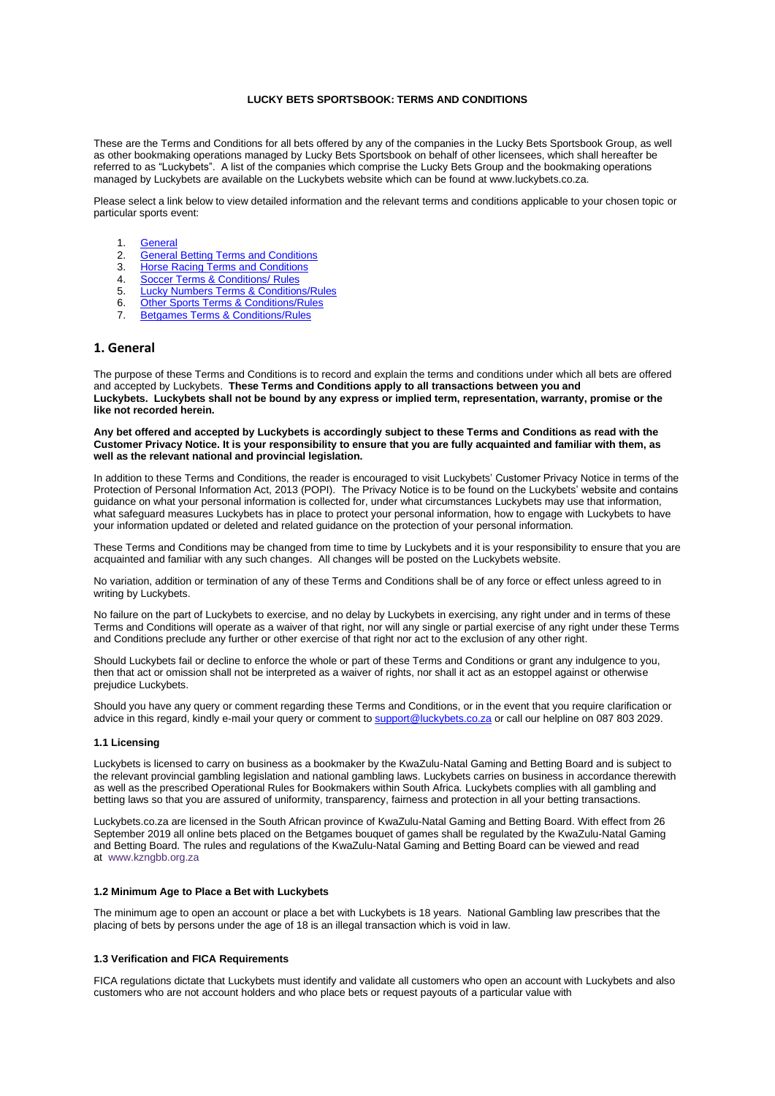## **LUCKY BETS SPORTSBOOK: TERMS AND CONDITIONS**

These are the Terms and Conditions for all bets offered by any of the companies in the Lucky Bets Sportsbook Group, as well as other bookmaking operations managed by Lucky Bets Sportsbook on behalf of other licensees, which shall hereafter be referred to as "Luckybets". A list of the companies which comprise the Lucky Bets Group and the bookmaking operations managed by Luckybets are available on the Luckybets website which can be found at www.luckybets.co.za.

Please select a link below to view detailed information and the relevant terms and conditions applicable to your chosen topic or particular sports event:

- 1. **[General](#page-0-0)**<br>2. General
- 2. [General Betting Terms and Conditions](#page-1-0)<br>3. Horse Racing Terms and Conditions
- **[Horse Racing Terms and Conditions](#page-10-0)**
- 4. [Soccer Terms & Conditions/ Rules](#page-14-0)
- 5. [Lucky Numbers Terms & Conditions/Rules](#page-19-0)
- 6. [Other Sports Terms & Conditions/Rules](#page-20-0)<br>
7. Betgames Terms & Conditions/Rules
- **[Betgames Terms & Conditions/Rules](#page-40-0)**

## <span id="page-0-0"></span>**1. General**

The purpose of these Terms and Conditions is to record and explain the terms and conditions under which all bets are offered and accepted by Luckybets. **These Terms and Conditions apply to all transactions between you and Luckybets. Luckybets shall not be bound by any express or implied term, representation, warranty, promise or the like not recorded herein.**

**Any bet offered and accepted by Luckybets is accordingly subject to these Terms and Conditions as read with the Customer Privacy Notice. It is your responsibility to ensure that you are fully acquainted and familiar with them, as well as the relevant national and provincial legislation.**

In addition to these Terms and Conditions, the reader is encouraged to visit Luckybets' Customer Privacy Notice in terms of the Protection of Personal Information Act, 2013 (POPI). The Privacy Notice is to be found on the Luckybets' website and contains guidance on what your personal information is collected for, under what circumstances Luckybets may use that information, what safeguard measures Luckybets has in place to protect your personal information, how to engage with Luckybets to have your information updated or deleted and related guidance on the protection of your personal information.

These Terms and Conditions may be changed from time to time by Luckybets and it is your responsibility to ensure that you are acquainted and familiar with any such changes. All changes will be posted on the Luckybets website.

No variation, addition or termination of any of these Terms and Conditions shall be of any force or effect unless agreed to in writing by Luckybets.

No failure on the part of Luckybets to exercise, and no delay by Luckybets in exercising, any right under and in terms of these Terms and Conditions will operate as a waiver of that right, nor will any single or partial exercise of any right under these Terms and Conditions preclude any further or other exercise of that right nor act to the exclusion of any other right.

Should Luckybets fail or decline to enforce the whole or part of these Terms and Conditions or grant any indulgence to you, then that act or omission shall not be interpreted as a waiver of rights, nor shall it act as an estoppel against or otherwise prejudice Luckybets.

Should you have any query or comment regarding these Terms and Conditions, or in the event that you require clarification or advice in this regard, kindly e-mail your query or comment to [support@luckybets.co.za](mailto:support@luckybets.co.za) or call our helpline on 087 803 2029.

### **1.1 Licensing**

Luckybets is licensed to carry on business as a bookmaker by the KwaZulu-Natal Gaming and Betting Board and is subject to the relevant provincial gambling legislation and national gambling laws. Luckybets carries on business in accordance therewith as well as the prescribed Operational Rules for Bookmakers within South Africa. Luckybets complies with all gambling and betting laws so that you are assured of uniformity, transparency, fairness and protection in all your betting transactions.

Luckybets.co.za are licensed in the South African province of KwaZulu-Natal Gaming and Betting Board. With effect from 26 September 2019 all online bets placed on the Betgames bouquet of games shall be regulated by the KwaZulu-Natal Gaming and Betting Board. The rules and regulations of the KwaZulu-Natal Gaming and Betting Board can be viewed and read at [www.kzngbb.org.za](http://www.kzngbb.org.za/)

## **1.2 Minimum Age to Place a Bet with Luckybets**

The minimum age to open an account or place a bet with Luckybets is 18 years. National Gambling law prescribes that the placing of bets by persons under the age of 18 is an illegal transaction which is void in law.

#### **1.3 Verification and FICA Requirements**

FICA regulations dictate that Luckybets must identify and validate all customers who open an account with Luckybets and also customers who are not account holders and who place bets or request payouts of a particular value with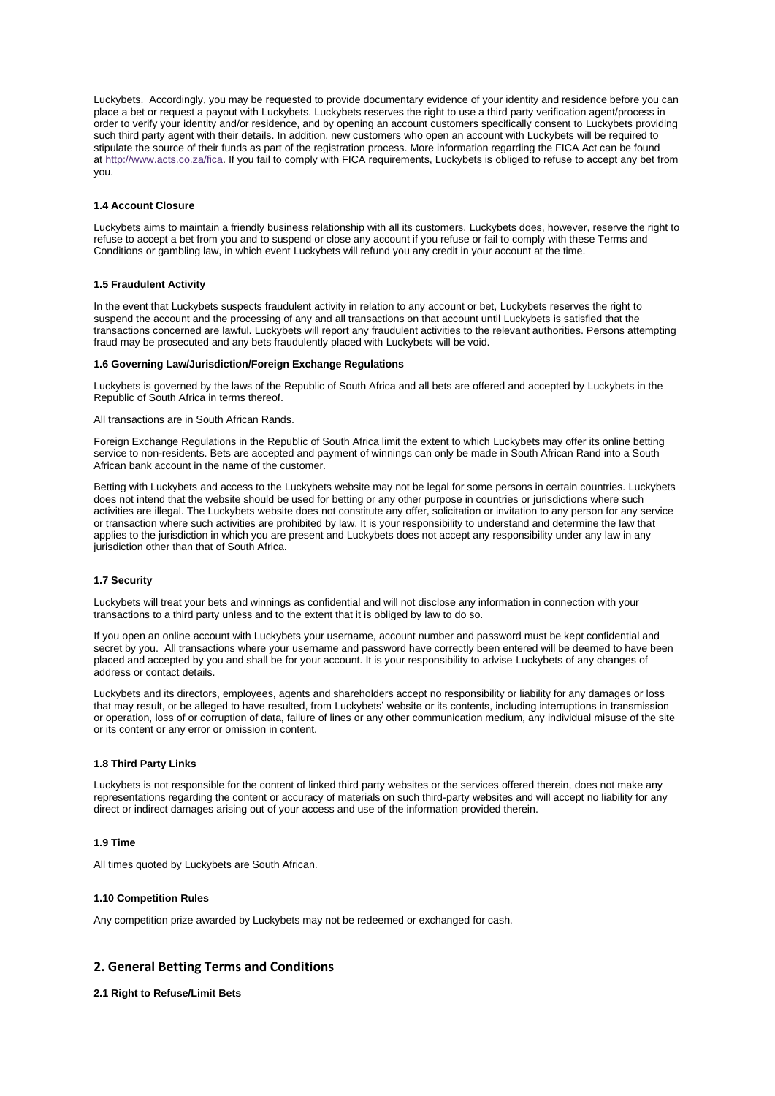Luckybets. Accordingly, you may be requested to provide documentary evidence of your identity and residence before you can place a bet or request a payout with Luckybets. Luckybets reserves the right to use a third party verification agent/process in order to verify your identity and/or residence, and by opening an account customers specifically consent to Luckybets providing such third party agent with their details. In addition, new customers who open an account with Luckybets will be required to stipulate the source of their funds as part of the registration process. More information regarding the FICA Act can be found at [http://www.acts.co.za/fica.](http://www.acts.co.za/fica) If you fail to comply with FICA requirements, Luckybets is obliged to refuse to accept any bet from you.

## **1.4 Account Closure**

Luckybets aims to maintain a friendly business relationship with all its customers. Luckybets does, however, reserve the right to refuse to accept a bet from you and to suspend or close any account if you refuse or fail to comply with these Terms and Conditions or gambling law, in which event Luckybets will refund you any credit in your account at the time.

### **1.5 Fraudulent Activity**

In the event that Luckybets suspects fraudulent activity in relation to any account or bet, Luckybets reserves the right to suspend the account and the processing of any and all transactions on that account until Luckybets is satisfied that the transactions concerned are lawful. Luckybets will report any fraudulent activities to the relevant authorities. Persons attempting fraud may be prosecuted and any bets fraudulently placed with Luckybets will be void.

## **1.6 Governing Law/Jurisdiction/Foreign Exchange Regulations**

Luckybets is governed by the laws of the Republic of South Africa and all bets are offered and accepted by Luckybets in the Republic of South Africa in terms thereof.

## All transactions are in South African Rands.

Foreign Exchange Regulations in the Republic of South Africa limit the extent to which Luckybets may offer its online betting service to non-residents. Bets are accepted and payment of winnings can only be made in South African Rand into a South African bank account in the name of the customer.

Betting with Luckybets and access to the Luckybets website may not be legal for some persons in certain countries. Luckybets does not intend that the website should be used for betting or any other purpose in countries or jurisdictions where such activities are illegal. The Luckybets website does not constitute any offer, solicitation or invitation to any person for any service or transaction where such activities are prohibited by law. It is your responsibility to understand and determine the law that applies to the jurisdiction in which you are present and Luckybets does not accept any responsibility under any law in any jurisdiction other than that of South Africa.

### **1.7 Security**

Luckybets will treat your bets and winnings as confidential and will not disclose any information in connection with your transactions to a third party unless and to the extent that it is obliged by law to do so.

If you open an online account with Luckybets your username, account number and password must be kept confidential and secret by you. All transactions where your username and password have correctly been entered will be deemed to have been placed and accepted by you and shall be for your account. It is your responsibility to advise Luckybets of any changes of address or contact details.

Luckybets and its directors, employees, agents and shareholders accept no responsibility or liability for any damages or loss that may result, or be alleged to have resulted, from Luckybets' website or its contents, including interruptions in transmission or operation, loss of or corruption of data, failure of lines or any other communication medium, any individual misuse of the site or its content or any error or omission in content.

## **1.8 Third Party Links**

Luckybets is not responsible for the content of linked third party websites or the services offered therein, does not make any representations regarding the content or accuracy of materials on such third-party websites and will accept no liability for any direct or indirect damages arising out of your access and use of the information provided therein.

## **1.9 Time**

All times quoted by Luckybets are South African.

### **1.10 Competition Rules**

Any competition prize awarded by Luckybets may not be redeemed or exchanged for cash.

# <span id="page-1-0"></span>**2. General Betting Terms and Conditions**

## **2.1 Right to Refuse/Limit Bets**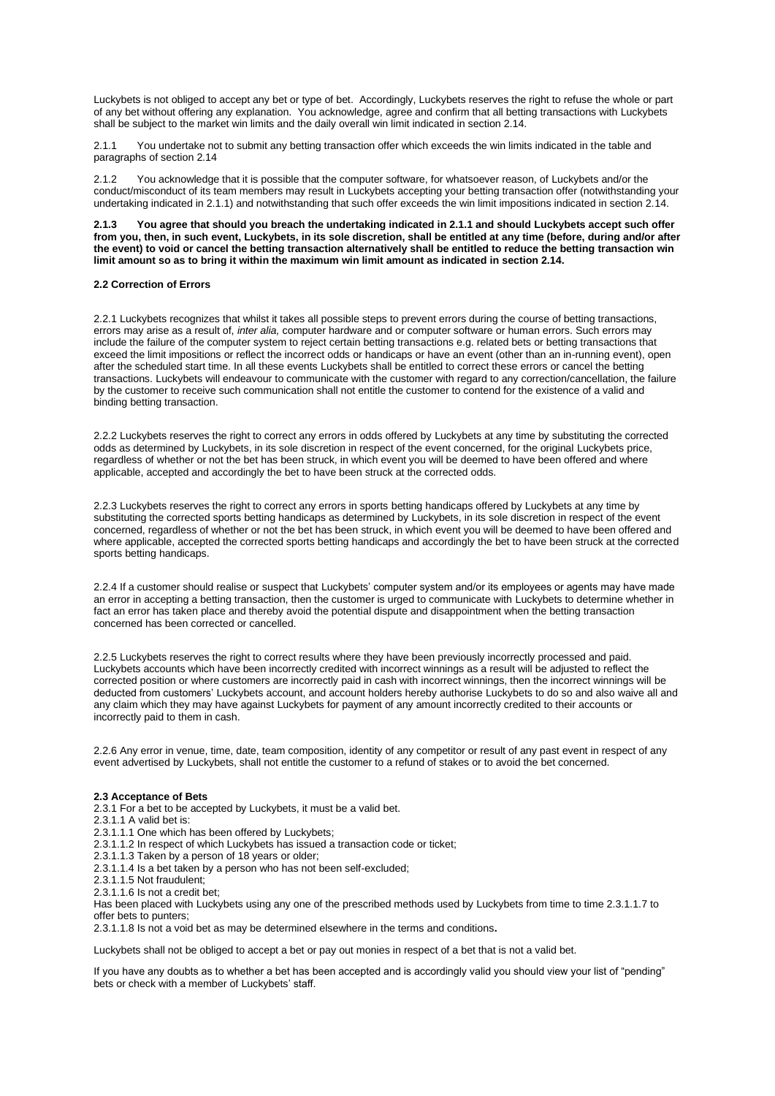Luckybets is not obliged to accept any bet or type of bet. Accordingly, Luckybets reserves the right to refuse the whole or part of any bet without offering any explanation. You acknowledge, agree and confirm that all betting transactions with Luckybets shall be subject to the market win limits and the daily overall win limit indicated in section 2.14.

You undertake not to submit any betting transaction offer which exceeds the win limits indicated in the table and paragraphs of section 2.14

2.1.2 You acknowledge that it is possible that the computer software, for whatsoever reason, of Luckybets and/or the conduct/misconduct of its team members may result in Luckybets accepting your betting transaction offer (notwithstanding your undertaking indicated in 2.1.1) and notwithstanding that such offer exceeds the win limit impositions indicated in section 2.14.

**2.1.3 You agree that should you breach the undertaking indicated in 2.1.1 and should Luckybets accept such offer from you, then, in such event, Luckybets, in its sole discretion, shall be entitled at any time (before, during and/or after the event) to void or cancel the betting transaction alternatively shall be entitled to reduce the betting transaction win limit amount so as to bring it within the maximum win limit amount as indicated in section 2.14.**

### **2.2 Correction of Errors**

2.2.1 Luckybets recognizes that whilst it takes all possible steps to prevent errors during the course of betting transactions, errors may arise as a result of, *inter alia,* computer hardware and or computer software or human errors. Such errors may include the failure of the computer system to reject certain betting transactions e.g. related bets or betting transactions that exceed the limit impositions or reflect the incorrect odds or handicaps or have an event (other than an in-running event), open after the scheduled start time. In all these events Luckybets shall be entitled to correct these errors or cancel the betting transactions. Luckybets will endeavour to communicate with the customer with regard to any correction/cancellation, the failure by the customer to receive such communication shall not entitle the customer to contend for the existence of a valid and binding betting transaction.

2.2.2 Luckybets reserves the right to correct any errors in odds offered by Luckybets at any time by substituting the corrected odds as determined by Luckybets, in its sole discretion in respect of the event concerned, for the original Luckybets price, regardless of whether or not the bet has been struck, in which event you will be deemed to have been offered and where applicable, accepted and accordingly the bet to have been struck at the corrected odds.

2.2.3 Luckybets reserves the right to correct any errors in sports betting handicaps offered by Luckybets at any time by substituting the corrected sports betting handicaps as determined by Luckybets, in its sole discretion in respect of the event concerned, regardless of whether or not the bet has been struck, in which event you will be deemed to have been offered and where applicable, accepted the corrected sports betting handicaps and accordingly the bet to have been struck at the corrected sports betting handicaps.

2.2.4 If a customer should realise or suspect that Luckybets' computer system and/or its employees or agents may have made an error in accepting a betting transaction, then the customer is urged to communicate with Luckybets to determine whether in fact an error has taken place and thereby avoid the potential dispute and disappointment when the betting transaction concerned has been corrected or cancelled.

2.2.5 Luckybets reserves the right to correct results where they have been previously incorrectly processed and paid. Luckybets accounts which have been incorrectly credited with incorrect winnings as a result will be adjusted to reflect the corrected position or where customers are incorrectly paid in cash with incorrect winnings, then the incorrect winnings will be deducted from customers' Luckybets account, and account holders hereby authorise Luckybets to do so and also waive all and any claim which they may have against Luckybets for payment of any amount incorrectly credited to their accounts or incorrectly paid to them in cash.

2.2.6 Any error in venue, time, date, team composition, identity of any competitor or result of any past event in respect of any event advertised by Luckybets, shall not entitle the customer to a refund of stakes or to avoid the bet concerned.

### **2.3 Acceptance of Bets**

2.3.1 For a bet to be accepted by Luckybets, it must be a valid bet.

- 2.3.1.1 A valid bet is:
- 2.3.1.1.1 One which has been offered by Luckybets;
- 2.3.1.1.2 In respect of which Luckybets has issued a transaction code or ticket;
- 2.3.1.1.3 Taken by a person of 18 years or older;
- 2.3.1.1.4 Is a bet taken by a person who has not been self-excluded;
- 2.3.1.1.5 Not fraudulent;
- 2.3.1.1.6 Is not a credit bet;

Has been placed with Luckybets using any one of the prescribed methods used by Luckybets from time to time 2.3.1.1.7 to offer bets to punters;

2.3.1.1.8 Is not a void bet as may be determined elsewhere in the terms and conditions**.**

Luckybets shall not be obliged to accept a bet or pay out monies in respect of a bet that is not a valid bet.

If you have any doubts as to whether a bet has been accepted and is accordingly valid you should view your list of "pending" bets or check with a member of Luckybets' staff.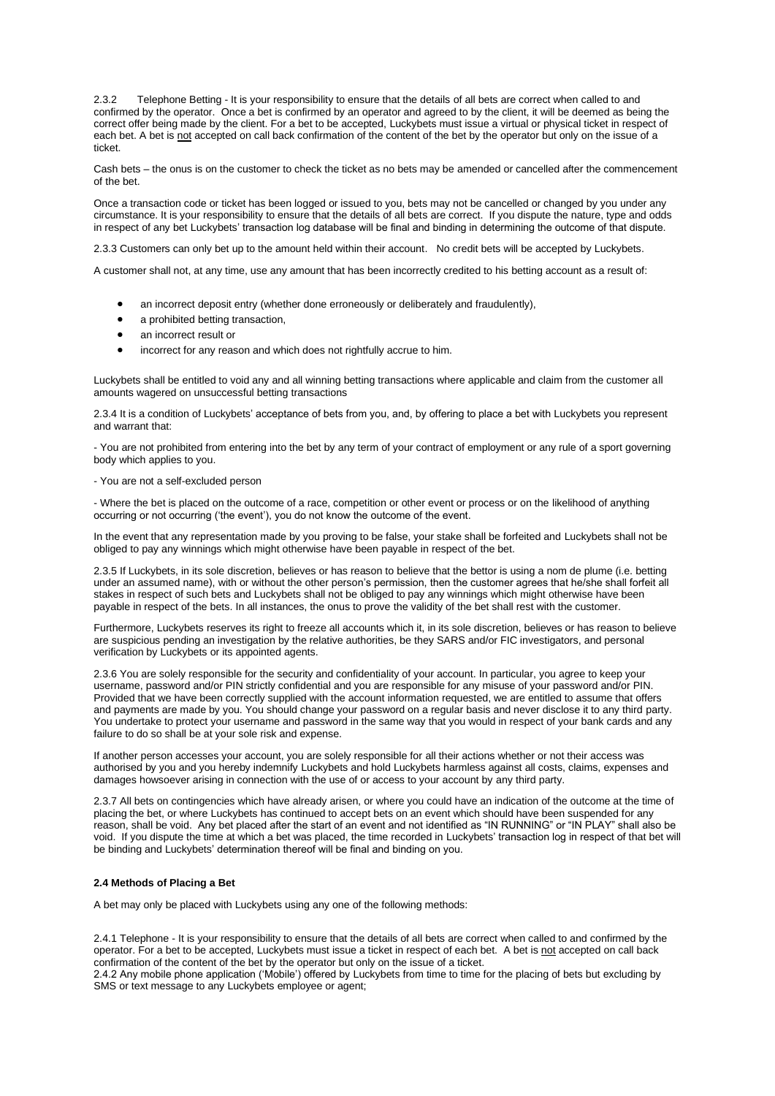2.3.2 Telephone Betting - It is your responsibility to ensure that the details of all bets are correct when called to and confirmed by the operator. Once a bet is confirmed by an operator and agreed to by the client, it will be deemed as being the correct offer being made by the client. For a bet to be accepted, Luckybets must issue a virtual or physical ticket in respect of each bet. A bet is not accepted on call back confirmation of the content of the bet by the operator but only on the issue of a ticket.

Cash bets – the onus is on the customer to check the ticket as no bets may be amended or cancelled after the commencement of the bet.

Once a transaction code or ticket has been logged or issued to you, bets may not be cancelled or changed by you under any circumstance. It is your responsibility to ensure that the details of all bets are correct. If you dispute the nature, type and odds in respect of any bet Luckybets' transaction log database will be final and binding in determining the outcome of that dispute.

2.3.3 Customers can only bet up to the amount held within their account. No credit bets will be accepted by Luckybets.

A customer shall not, at any time, use any amount that has been incorrectly credited to his betting account as a result of:

- an incorrect deposit entry (whether done erroneously or deliberately and fraudulently),
- a prohibited betting transaction,
- an incorrect result or
- incorrect for any reason and which does not rightfully accrue to him.

Luckybets shall be entitled to void any and all winning betting transactions where applicable and claim from the customer all amounts wagered on unsuccessful betting transactions

2.3.4 It is a condition of Luckybets' acceptance of bets from you, and, by offering to place a bet with Luckybets you represent and warrant that:

- You are not prohibited from entering into the bet by any term of your contract of employment or any rule of a sport governing body which applies to you.

### - You are not a self-excluded person

- Where the bet is placed on the outcome of a race, competition or other event or process or on the likelihood of anything occurring or not occurring ('the event'), you do not know the outcome of the event.

In the event that any representation made by you proving to be false, your stake shall be forfeited and Luckybets shall not be obliged to pay any winnings which might otherwise have been payable in respect of the bet.

2.3.5 If Luckybets, in its sole discretion, believes or has reason to believe that the bettor is using a nom de plume (i.e. betting under an assumed name), with or without the other person's permission, then the customer agrees that he/she shall forfeit all stakes in respect of such bets and Luckybets shall not be obliged to pay any winnings which might otherwise have been payable in respect of the bets. In all instances, the onus to prove the validity of the bet shall rest with the customer.

Furthermore, Luckybets reserves its right to freeze all accounts which it, in its sole discretion, believes or has reason to believe are suspicious pending an investigation by the relative authorities, be they SARS and/or FIC investigators, and personal verification by Luckybets or its appointed agents.

2.3.6 You are solely responsible for the security and confidentiality of your account. In particular, you agree to keep your username, password and/or PIN strictly confidential and you are responsible for any misuse of your password and/or PIN. Provided that we have been correctly supplied with the account information requested, we are entitled to assume that offers and payments are made by you. You should change your password on a regular basis and never disclose it to any third party. You undertake to protect your username and password in the same way that you would in respect of your bank cards and any failure to do so shall be at your sole risk and expense.

If another person accesses your account, you are solely responsible for all their actions whether or not their access was authorised by you and you hereby indemnify Luckybets and hold Luckybets harmless against all costs, claims, expenses and damages howsoever arising in connection with the use of or access to your account by any third party.

2.3.7 All bets on contingencies which have already arisen, or where you could have an indication of the outcome at the time of placing the bet, or where Luckybets has continued to accept bets on an event which should have been suspended for any reason, shall be void. Any bet placed after the start of an event and not identified as "IN RUNNING" or "IN PLAY" shall also be void. If you dispute the time at which a bet was placed, the time recorded in Luckybets' transaction log in respect of that bet will be binding and Luckybets' determination thereof will be final and binding on you.

### **2.4 Methods of Placing a Bet**

A bet may only be placed with Luckybets using any one of the following methods:

2.4.1 Telephone - It is your responsibility to ensure that the details of all bets are correct when called to and confirmed by the operator. For a bet to be accepted, Luckybets must issue a ticket in respect of each bet. A bet is not accepted on call back confirmation of the content of the bet by the operator but only on the issue of a ticket.

2.4.2 Any mobile phone application ('Mobile') offered by Luckybets from time to time for the placing of bets but excluding by SMS or text message to any Luckybets employee or agent;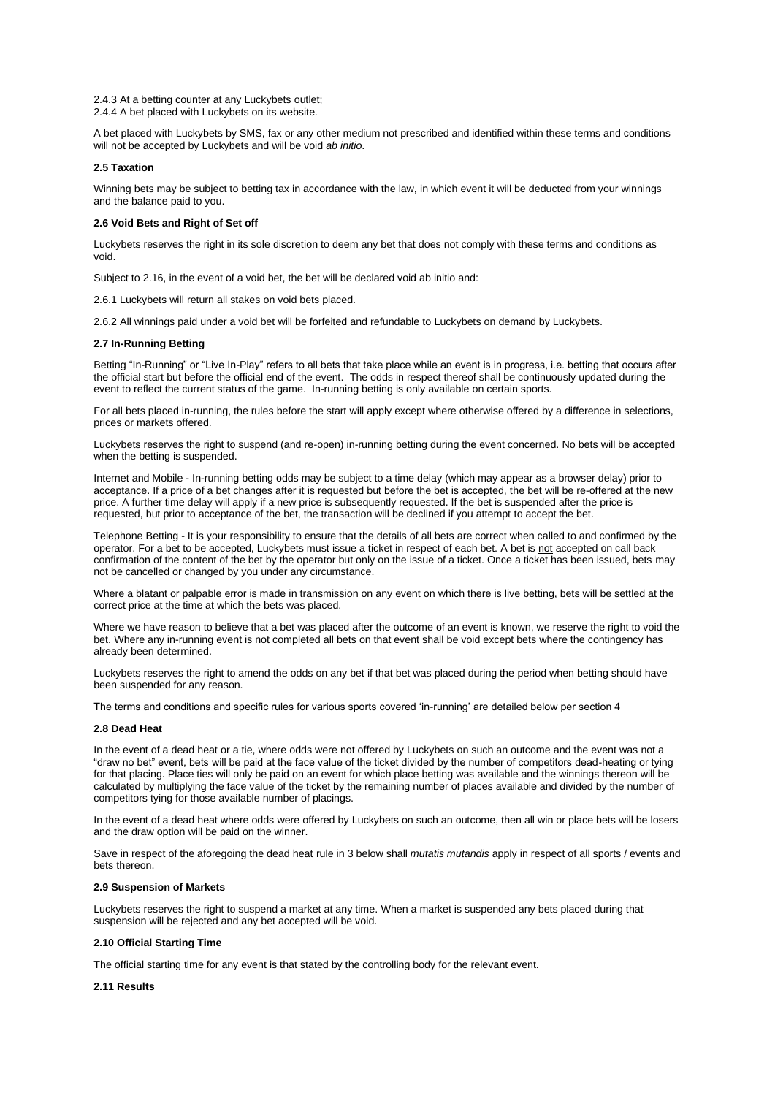2.4.3 At a betting counter at any Luckybets outlet;

2.4.4 A bet placed with Luckybets on its website.

A bet placed with Luckybets by SMS, fax or any other medium not prescribed and identified within these terms and conditions will not be accepted by Luckybets and will be void *ab initio*.

## **2.5 Taxation**

Winning bets may be subject to betting tax in accordance with the law, in which event it will be deducted from your winnings and the balance paid to you.

## **2.6 Void Bets and Right of Set off**

Luckybets reserves the right in its sole discretion to deem any bet that does not comply with these terms and conditions as void.

Subject to 2.16, in the event of a void bet, the bet will be declared void ab initio and:

2.6.1 Luckybets will return all stakes on void bets placed.

2.6.2 All winnings paid under a void bet will be forfeited and refundable to Luckybets on demand by Luckybets.

## **2.7 In-Running Betting**

Betting "In-Running" or "Live In-Play" refers to all bets that take place while an event is in progress, i.e. betting that occurs after the official start but before the official end of the event. The odds in respect thereof shall be continuously updated during the event to reflect the current status of the game. In-running betting is only available on certain sports.

For all bets placed in-running, the rules before the start will apply except where otherwise offered by a difference in selections, prices or markets offered.

Luckybets reserves the right to suspend (and re-open) in-running betting during the event concerned. No bets will be accepted when the betting is suspended.

Internet and Mobile - In-running betting odds may be subject to a time delay (which may appear as a browser delay) prior to acceptance. If a price of a bet changes after it is requested but before the bet is accepted, the bet will be re-offered at the new price. A further time delay will apply if a new price is subsequently requested. If the bet is suspended after the price is requested, but prior to acceptance of the bet, the transaction will be declined if you attempt to accept the bet.

Telephone Betting - It is your responsibility to ensure that the details of all bets are correct when called to and confirmed by the operator. For a bet to be accepted, Luckybets must issue a ticket in respect of each bet. A bet is not accepted on call back confirmation of the content of the bet by the operator but only on the issue of a ticket. Once a ticket has been issued, bets may not be cancelled or changed by you under any circumstance.

Where a blatant or palpable error is made in transmission on any event on which there is live betting, bets will be settled at the correct price at the time at which the bets was placed.

Where we have reason to believe that a bet was placed after the outcome of an event is known, we reserve the right to void the bet. Where any in-running event is not completed all bets on that event shall be void except bets where the contingency has already been determined.

Luckybets reserves the right to amend the odds on any bet if that bet was placed during the period when betting should have been suspended for any reason.

The terms and conditions and specific rules for various sports covered 'in-running' are detailed below per section 4

### **2.8 Dead Heat**

In the event of a dead heat or a tie, where odds were not offered by Luckybets on such an outcome and the event was not a "draw no bet" event, bets will be paid at the face value of the ticket divided by the number of competitors dead-heating or tying for that placing. Place ties will only be paid on an event for which place betting was available and the winnings thereon will be calculated by multiplying the face value of the ticket by the remaining number of places available and divided by the number of competitors tying for those available number of placings.

In the event of a dead heat where odds were offered by Luckybets on such an outcome, then all win or place bets will be losers and the draw option will be paid on the winner.

Save in respect of the aforegoing the dead heat rule in 3 below shall *mutatis mutandis* apply in respect of all sports / events and bets thereon.

## **2.9 Suspension of Markets**

Luckybets reserves the right to suspend a market at any time. When a market is suspended any bets placed during that suspension will be rejected and any bet accepted will be void.

### **2.10 Official Starting Time**

The official starting time for any event is that stated by the controlling body for the relevant event.

### **2.11 Results**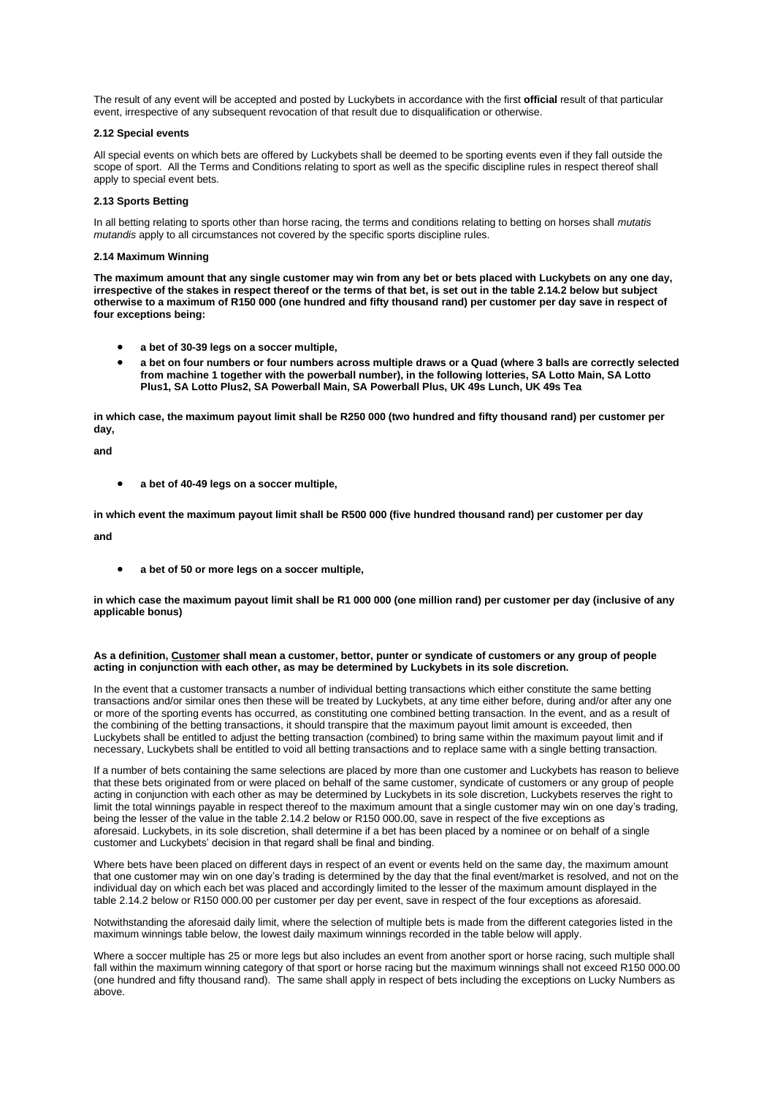The result of any event will be accepted and posted by Luckybets in accordance with the first **official** result of that particular event, irrespective of any subsequent revocation of that result due to disqualification or otherwise.

## **2.12 Special events**

All special events on which bets are offered by Luckybets shall be deemed to be sporting events even if they fall outside the scope of sport. All the Terms and Conditions relating to sport as well as the specific discipline rules in respect thereof shall apply to special event bets.

## **2.13 Sports Betting**

In all betting relating to sports other than horse racing, the terms and conditions relating to betting on horses shall *mutatis mutandis* apply to all circumstances not covered by the specific sports discipline rules.

### **2.14 Maximum Winning**

**The maximum amount that any single customer may win from any bet or bets placed with Luckybets on any one day, irrespective of the stakes in respect thereof or the terms of that bet, is set out in the table 2.14.2 below but subject otherwise to a maximum of R150 000 (one hundred and fifty thousand rand) per customer per day save in respect of four exceptions being:**

- **a bet of 30-39 legs on a soccer multiple,**
- **a bet on four numbers or four numbers across multiple draws or a Quad (where 3 balls are correctly selected from machine 1 together with the powerball number), in the following lotteries, SA Lotto Main, SA Lotto Plus1, SA Lotto Plus2, SA Powerball Main, SA Powerball Plus, UK 49s Lunch, UK 49s Tea**

**in which case, the maximum payout limit shall be R250 000 (two hundred and fifty thousand rand) per customer per day,**

**and**

• **a bet of 40-49 legs on a soccer multiple,**

**in which event the maximum payout limit shall be R500 000 (five hundred thousand rand) per customer per day**

**and**

• **a bet of 50 or more legs on a soccer multiple,**

**in which case the maximum payout limit shall be R1 000 000 (one million rand) per customer per day (inclusive of any applicable bonus)**

## **As a definition, Customer shall mean a customer, bettor, punter or syndicate of customers or any group of people acting in conjunction with each other, as may be determined by Luckybets in its sole discretion.**

In the event that a customer transacts a number of individual betting transactions which either constitute the same betting transactions and/or similar ones then these will be treated by Luckybets, at any time either before, during and/or after any one or more of the sporting events has occurred, as constituting one combined betting transaction. In the event, and as a result of the combining of the betting transactions, it should transpire that the maximum payout limit amount is exceeded, then Luckybets shall be entitled to adjust the betting transaction (combined) to bring same within the maximum payout limit and if necessary, Luckybets shall be entitled to void all betting transactions and to replace same with a single betting transaction.

If a number of bets containing the same selections are placed by more than one customer and Luckybets has reason to believe that these bets originated from or were placed on behalf of the same customer, syndicate of customers or any group of people acting in conjunction with each other as may be determined by Luckybets in its sole discretion, Luckybets reserves the right to limit the total winnings payable in respect thereof to the maximum amount that a single customer may win on one day's trading, being the lesser of the value in the table 2.14.2 below or R150 000.00, save in respect of the five exceptions as aforesaid. Luckybets, in its sole discretion, shall determine if a bet has been placed by a nominee or on behalf of a single customer and Luckybets' decision in that regard shall be final and binding.

Where bets have been placed on different days in respect of an event or events held on the same day, the maximum amount that one customer may win on one day's trading is determined by the day that the final event/market is resolved, and not on the individual day on which each bet was placed and accordingly limited to the lesser of the maximum amount displayed in the table 2.14.2 below or R150 000.00 per customer per day per event, save in respect of the four exceptions as aforesaid.

Notwithstanding the aforesaid daily limit, where the selection of multiple bets is made from the different categories listed in the maximum winnings table below, the lowest daily maximum winnings recorded in the table below will apply.

Where a soccer multiple has 25 or more legs but also includes an event from another sport or horse racing, such multiple shall fall within the maximum winning category of that sport or horse racing but the maximum winnings shall not exceed R150 000.00 (one hundred and fifty thousand rand). The same shall apply in respect of bets including the exceptions on Lucky Numbers as above.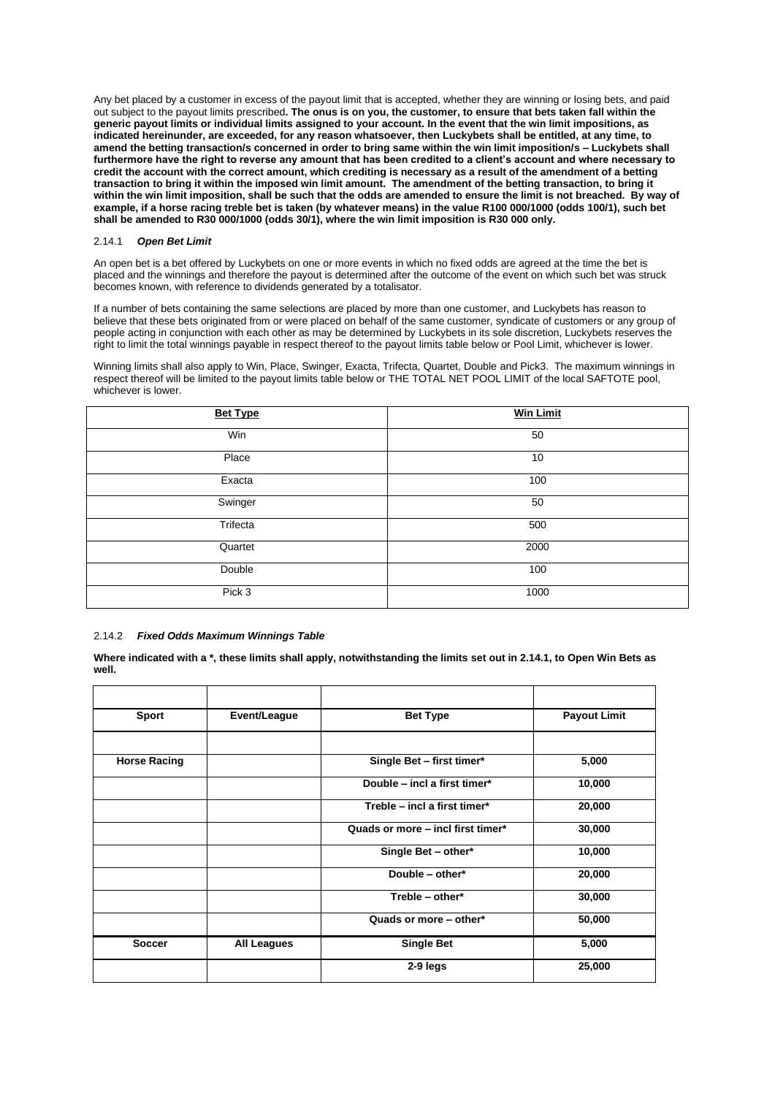Any bet placed by a customer in excess of the payout limit that is accepted, whether they are winning or losing bets, and paid out subject to the payout limits prescribed**. The onus is on you, the customer, to ensure that bets taken fall within the generic payout limits or individual limits assigned to your account. In the event that the win limit impositions, as indicated hereinunder, are exceeded, for any reason whatsoever, then Luckybets shall be entitled, at any time, to amend the betting transaction/s concerned in order to bring same within the win limit imposition/s – Luckybets shall furthermore have the right to reverse any amount that has been credited to a client's account and where necessary to credit the account with the correct amount, which crediting is necessary as a result of the amendment of a betting transaction to bring it within the imposed win limit amount. The amendment of the betting transaction, to bring it within the win limit imposition, shall be such that the odds are amended to ensure the limit is not breached. By way of example, if a horse racing treble bet is taken (by whatever means) in the value R100 000/1000 (odds 100/1), such bet shall be amended to R30 000/1000 (odds 30/1), where the win limit imposition is R30 000 only.**

## 2.14.1 *Open Bet Limit*

An open bet is a bet offered by Luckybets on one or more events in which no fixed odds are agreed at the time the bet is placed and the winnings and therefore the payout is determined after the outcome of the event on which such bet was struck becomes known, with reference to dividends generated by a totalisator.

If a number of bets containing the same selections are placed by more than one customer, and Luckybets has reason to believe that these bets originated from or were placed on behalf of the same customer, syndicate of customers or any group of people acting in conjunction with each other as may be determined by Luckybets in its sole discretion, Luckybets reserves the right to limit the total winnings payable in respect thereof to the payout limits table below or Pool Limit, whichever is lower.

Winning limits shall also apply to Win, Place, Swinger, Exacta, Trifecta, Quartet, Double and Pick3. The maximum winnings in respect thereof will be limited to the payout limits table below or THE TOTAL NET POOL LIMIT of the local SAFTOTE pool, whichever is lower.

| <b>Bet Type</b> | <b>Win Limit</b> |
|-----------------|------------------|
| Win             | 50               |
| Place           | 10               |
| Exacta          | 100              |
| Swinger         | 50               |
| Trifecta        | 500              |
| Quartet         | 2000             |
| Double          | 100              |
| Pick 3          | 1000             |

# 2.14.2 *Fixed Odds Maximum Winnings Table*

**Where indicated with a \*, these limits shall apply, notwithstanding the limits set out in 2.14.1, to Open Win Bets as well.**

| <b>Sport</b>        | Event/League       | <b>Bet Type</b>                   | <b>Payout Limit</b> |
|---------------------|--------------------|-----------------------------------|---------------------|
|                     |                    |                                   |                     |
| <b>Horse Racing</b> |                    | Single Bet - first timer*         | 5,000               |
|                     |                    | Double - incl a first timer*      | 10,000              |
|                     |                    | Treble - incl a first timer*      | 20,000              |
|                     |                    | Quads or more - incl first timer* | 30,000              |
|                     |                    | Single Bet - other*               | 10,000              |
|                     |                    | Double - other*                   | 20,000              |
|                     |                    | Treble - other*                   | 30,000              |
|                     |                    | Quads or more - other*            | 50,000              |
| <b>Soccer</b>       | <b>All Leagues</b> | <b>Single Bet</b>                 | 5,000               |
|                     |                    | 2-9 legs                          | 25,000              |
|                     |                    |                                   |                     |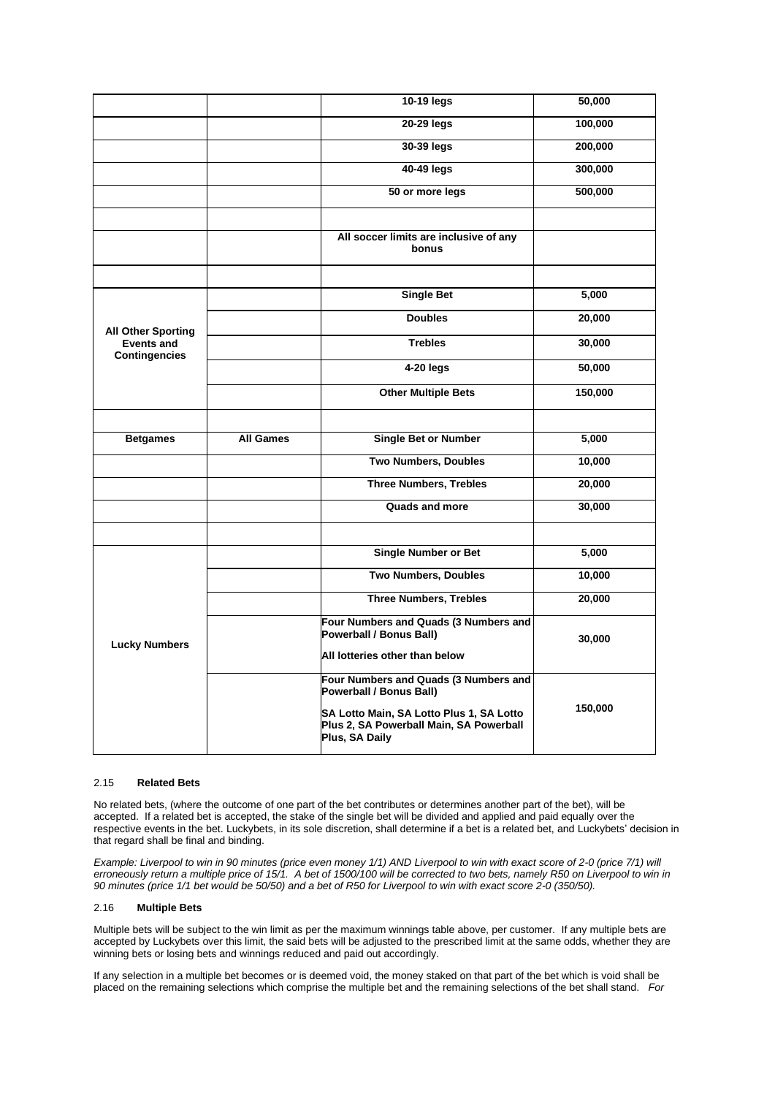|                                           |                  | 10-19 legs                                                                                            | 50,000  |  |
|-------------------------------------------|------------------|-------------------------------------------------------------------------------------------------------|---------|--|
|                                           |                  | 20-29 legs                                                                                            | 100,000 |  |
|                                           |                  | 30-39 legs                                                                                            | 200,000 |  |
|                                           |                  | 40-49 legs                                                                                            | 300,000 |  |
|                                           |                  | 50 or more legs                                                                                       | 500,000 |  |
|                                           |                  |                                                                                                       |         |  |
|                                           |                  | All soccer limits are inclusive of any<br>bonus                                                       |         |  |
|                                           |                  |                                                                                                       |         |  |
|                                           |                  | <b>Single Bet</b>                                                                                     | 5,000   |  |
| <b>All Other Sporting</b>                 |                  | <b>Doubles</b>                                                                                        | 20,000  |  |
| <b>Events and</b><br><b>Contingencies</b> |                  | <b>Trebles</b>                                                                                        | 30,000  |  |
|                                           |                  | 4-20 legs                                                                                             | 50,000  |  |
|                                           |                  | <b>Other Multiple Bets</b>                                                                            | 150,000 |  |
|                                           |                  |                                                                                                       |         |  |
| <b>Betgames</b>                           | <b>All Games</b> | <b>Single Bet or Number</b>                                                                           | 5,000   |  |
|                                           |                  | <b>Two Numbers, Doubles</b>                                                                           | 10,000  |  |
|                                           |                  | <b>Three Numbers, Trebles</b>                                                                         | 20,000  |  |
|                                           |                  | <b>Quads and more</b>                                                                                 | 30,000  |  |
|                                           |                  |                                                                                                       |         |  |
|                                           |                  | <b>Single Number or Bet</b>                                                                           | 5,000   |  |
| <b>Lucky Numbers</b>                      |                  | <b>Two Numbers, Doubles</b>                                                                           | 10,000  |  |
|                                           |                  | <b>Three Numbers, Trebles</b>                                                                         | 20,000  |  |
|                                           |                  | Four Numbers and Quads (3 Numbers and<br>Powerball / Bonus Ball)                                      | 30,000  |  |
|                                           |                  | All lotteries other than below                                                                        |         |  |
|                                           |                  | Four Numbers and Quads (3 Numbers and<br>Powerball / Bonus Ball)                                      |         |  |
|                                           |                  | SA Lotto Main, SA Lotto Plus 1, SA Lotto<br>Plus 2, SA Powerball Main, SA Powerball<br>Plus, SA Daily | 150,000 |  |
|                                           |                  |                                                                                                       |         |  |

## 2.15 **Related Bets**

No related bets, (where the outcome of one part of the bet contributes or determines another part of the bet), will be accepted. If a related bet is accepted, the stake of the single bet will be divided and applied and paid equally over the respective events in the bet. Luckybets, in its sole discretion, shall determine if a bet is a related bet, and Luckybets' decision in that regard shall be final and binding.

*Example: Liverpool to win in 90 minutes (price even money 1/1) AND Liverpool to win with exact score of 2-0 (price 7/1) will erroneously return a multiple price of 15/1. A bet of 1500/100 will be corrected to two bets, namely R50 on Liverpool to win in 90 minutes (price 1/1 bet would be 50/50) and a bet of R50 for Liverpool to win with exact score 2-0 (350/50).*

## 2.16 **Multiple Bets**

Multiple bets will be subject to the win limit as per the maximum winnings table above, per customer. If any multiple bets are accepted by Luckybets over this limit, the said bets will be adjusted to the prescribed limit at the same odds, whether they are winning bets or losing bets and winnings reduced and paid out accordingly.

If any selection in a multiple bet becomes or is deemed void, the money staked on that part of the bet which is void shall be placed on the remaining selections which comprise the multiple bet and the remaining selections of the bet shall stand. *For*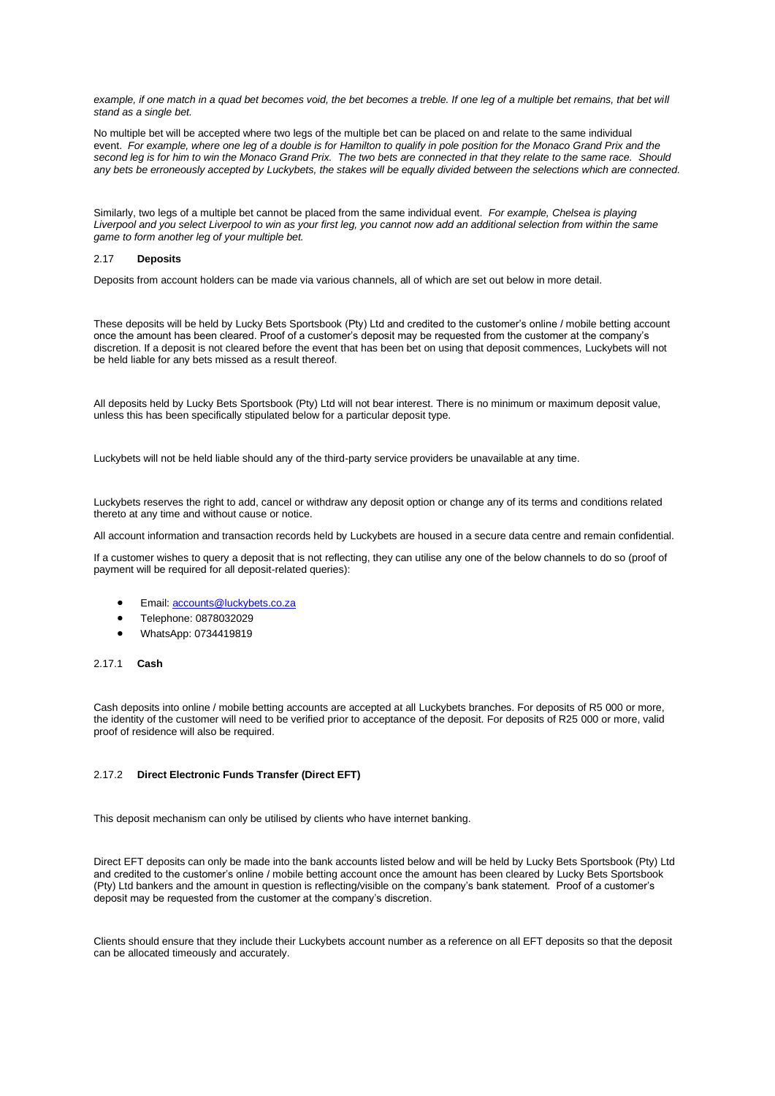example, if one match in a quad bet becomes void, the bet becomes a treble. If one leg of a multiple bet remains, that bet will *stand as a single bet.*

No multiple bet will be accepted where two legs of the multiple bet can be placed on and relate to the same individual event. *For example, where one leg of a double is for Hamilton to qualify in pole position for the Monaco Grand Prix and the second leg is for him to win the Monaco Grand Prix. The two bets are connected in that they relate to the same race. Should any bets be erroneously accepted by Luckybets, the stakes will be equally divided between the selections which are connected.*

Similarly, two legs of a multiple bet cannot be placed from the same individual event. *For example, Chelsea is playing Liverpool and you select Liverpool to win as your first leg, you cannot now add an additional selection from within the same game to form another leg of your multiple bet.*

## 2.17 **Deposits**

Deposits from account holders can be made via various channels, all of which are set out below in more detail.

These deposits will be held by Lucky Bets Sportsbook (Pty) Ltd and credited to the customer's online / mobile betting account once the amount has been cleared. Proof of a customer's deposit may be requested from the customer at the company's discretion. If a deposit is not cleared before the event that has been bet on using that deposit commences, Luckybets will not be held liable for any bets missed as a result thereof.

All deposits held by Lucky Bets Sportsbook (Pty) Ltd will not bear interest. There is no minimum or maximum deposit value, unless this has been specifically stipulated below for a particular deposit type.

Luckybets will not be held liable should any of the third-party service providers be unavailable at any time.

Luckybets reserves the right to add, cancel or withdraw any deposit option or change any of its terms and conditions related thereto at any time and without cause or notice.

All account information and transaction records held by Luckybets are housed in a secure data centre and remain confidential.

If a customer wishes to query a deposit that is not reflecting, they can utilise any one of the below channels to do so (proof of payment will be required for all deposit-related queries):

- Email: [accounts@luckybets.co.za](mailto:accounts@luckybets.co.za)
- Telephone: 0878032029
- WhatsApp: 0734419819

## 2.17.1 **Cash**

Cash deposits into online / mobile betting accounts are accepted at all Luckybets branches. For deposits of R5 000 or more, the identity of the customer will need to be verified prior to acceptance of the deposit. For deposits of R25 000 or more, valid proof of residence will also be required.

# 2.17.2 **Direct Electronic Funds Transfer (Direct EFT)**

This deposit mechanism can only be utilised by clients who have internet banking.

Direct EFT deposits can only be made into the bank accounts listed below and will be held by Lucky Bets Sportsbook (Pty) Ltd and credited to the customer's online / mobile betting account once the amount has been cleared by Lucky Bets Sportsbook (Pty) Ltd bankers and the amount in question is reflecting/visible on the company's bank statement. Proof of a customer's deposit may be requested from the customer at the company's discretion.

Clients should ensure that they include their Luckybets account number as a reference on all EFT deposits so that the deposit can be allocated timeously and accurately.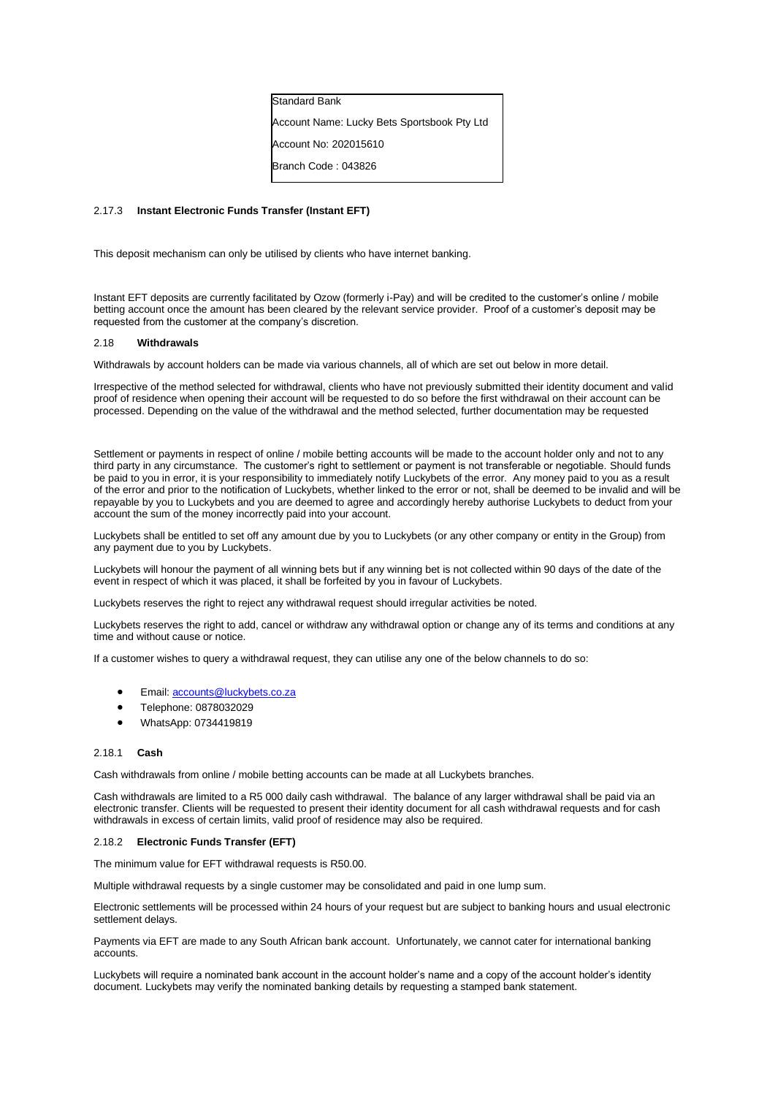| <b>Standard Bank</b>                        |
|---------------------------------------------|
| Account Name: Lucky Bets Sportsbook Pty Ltd |
| Account No: 202015610                       |
| Branch Code: 043826                         |

## 2.17.3 **Instant Electronic Funds Transfer (Instant EFT)**

This deposit mechanism can only be utilised by clients who have internet banking.

Instant EFT deposits are currently facilitated by Ozow (formerly i-Pay) and will be credited to the customer's online / mobile betting account once the amount has been cleared by the relevant service provider. Proof of a customer's deposit may be requested from the customer at the company's discretion.

## 2.18 **Withdrawals**

Withdrawals by account holders can be made via various channels, all of which are set out below in more detail.

Irrespective of the method selected for withdrawal, clients who have not previously submitted their identity document and valid proof of residence when opening their account will be requested to do so before the first withdrawal on their account can be processed. Depending on the value of the withdrawal and the method selected, further documentation may be requested

Settlement or payments in respect of online / mobile betting accounts will be made to the account holder only and not to any third party in any circumstance. The customer's right to settlement or payment is not transferable or negotiable. Should funds be paid to you in error, it is your responsibility to immediately notify Luckybets of the error. Any money paid to you as a result of the error and prior to the notification of Luckybets, whether linked to the error or not, shall be deemed to be invalid and will be repayable by you to Luckybets and you are deemed to agree and accordingly hereby authorise Luckybets to deduct from your account the sum of the money incorrectly paid into your account.

Luckybets shall be entitled to set off any amount due by you to Luckybets (or any other company or entity in the Group) from any payment due to you by Luckybets.

Luckybets will honour the payment of all winning bets but if any winning bet is not collected within 90 days of the date of the event in respect of which it was placed, it shall be forfeited by you in favour of Luckybets.

Luckybets reserves the right to reject any withdrawal request should irregular activities be noted.

Luckybets reserves the right to add, cancel or withdraw any withdrawal option or change any of its terms and conditions at any time and without cause or notice.

If a customer wishes to query a withdrawal request, they can utilise any one of the below channels to do so:

- Email: [accounts@luckybets.co.za](mailto:accounts@luckybets.co.za)
- Telephone: 0878032029
- WhatsApp: 0734419819

### 2.18.1 **Cash**

Cash withdrawals from online / mobile betting accounts can be made at all Luckybets branches.

Cash withdrawals are limited to a R5 000 daily cash withdrawal. The balance of any larger withdrawal shall be paid via an electronic transfer. Clients will be requested to present their identity document for all cash withdrawal requests and for cash withdrawals in excess of certain limits, valid proof of residence may also be required.

### 2.18.2 **Electronic Funds Transfer (EFT)**

The minimum value for EFT withdrawal requests is R50.00.

Multiple withdrawal requests by a single customer may be consolidated and paid in one lump sum.

Electronic settlements will be processed within 24 hours of your request but are subject to banking hours and usual electronic settlement delays.

Payments via EFT are made to any South African bank account. Unfortunately, we cannot cater for international banking accounts.

Luckybets will require a nominated bank account in the account holder's name and a copy of the account holder's identity document. Luckybets may verify the nominated banking details by requesting a stamped bank statement.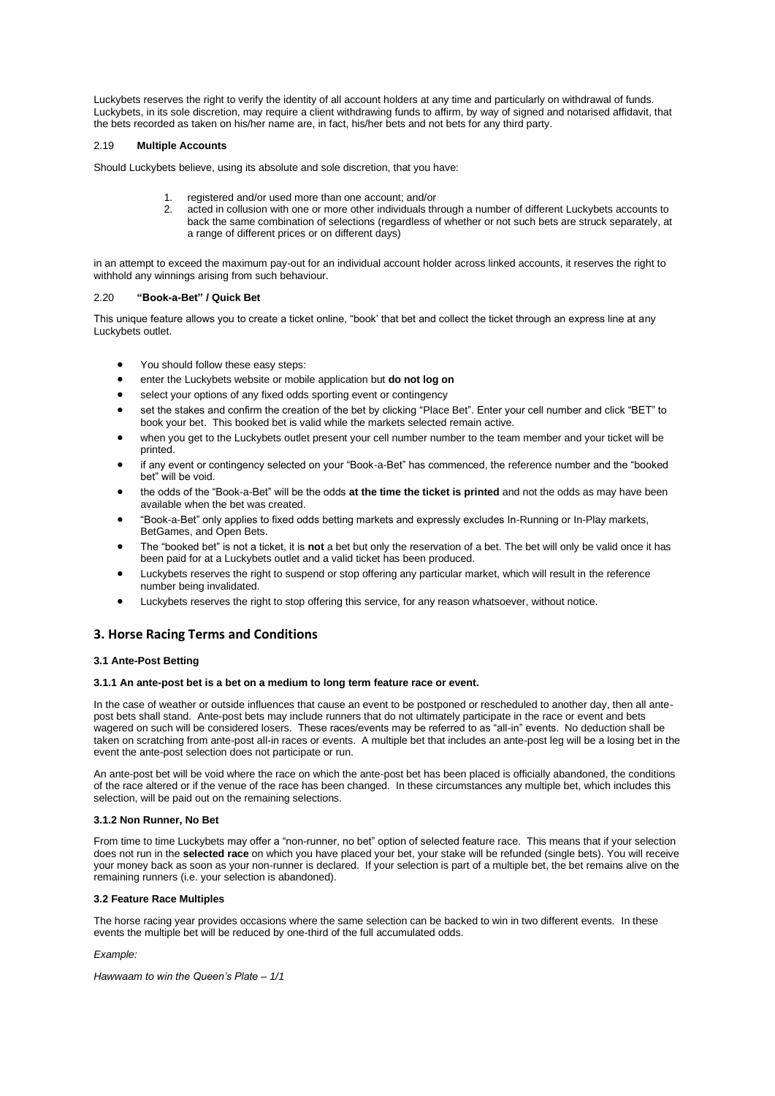Luckybets reserves the right to verify the identity of all account holders at any time and particularly on withdrawal of funds. Luckybets, in its sole discretion, may require a client withdrawing funds to affirm, by way of signed and notarised affidavit, that the bets recorded as taken on his/her name are, in fact, his/her bets and not bets for any third party.

## 2.19 **Multiple Accounts**

Should Luckybets believe, using its absolute and sole discretion, that you have:

- 1. registered and/or used more than one account; and/or<br>2. acted in collusion with one or more other individuals the
- acted in collusion with one or more other individuals through a number of different Luckybets accounts to back the same combination of selections (regardless of whether or not such bets are struck separately, at a range of different prices or on different days)

in an attempt to exceed the maximum pay-out for an individual account holder across linked accounts, it reserves the right to withhold any winnings arising from such behaviour.

## 2.20 **"Book-a-Bet" / Quick Bet**

This unique feature allows you to create a ticket online, "book' that bet and collect the ticket through an express line at any Luckybets outlet.

- You should follow these easy steps:
- enter the Luckybets website or mobile application but **do not log on**
- select your options of any fixed odds sporting event or contingency
- set the stakes and confirm the creation of the bet by clicking "Place Bet". Enter your cell number and click "BET" to book your bet. This booked bet is valid while the markets selected remain active.
- when you get to the Luckybets outlet present your cell number number to the team member and your ticket will be printed.
- if any event or contingency selected on your "Book-a-Bet" has commenced, the reference number and the "booked bet" will be void.
- the odds of the "Book-a-Bet" will be the odds **at the time the ticket is printed** and not the odds as may have been available when the bet was created.
- "Book-a-Bet" only applies to fixed odds betting markets and expressly excludes In-Running or In-Play markets, BetGames, and Open Bets.
- The "booked bet" is not a ticket, it is **not** a bet but only the reservation of a bet. The bet will only be valid once it has been paid for at a Luckybets outlet and a valid ticket has been produced.
- Luckybets reserves the right to suspend or stop offering any particular market, which will result in the reference number being invalidated.
- Luckybets reserves the right to stop offering this service, for any reason whatsoever, without notice.

# <span id="page-10-0"></span>**3. Horse Racing Terms and Conditions**

## **3.1 Ante-Post Betting**

### **3.1.1 An ante-post bet is a bet on a medium to long term feature race or event.**

In the case of weather or outside influences that cause an event to be postponed or rescheduled to another day, then all antepost bets shall stand. Ante-post bets may include runners that do not ultimately participate in the race or event and bets wagered on such will be considered losers. These races/events may be referred to as "all-in" events. No deduction shall be taken on scratching from ante-post all-in races or events. A multiple bet that includes an ante-post leg will be a losing bet in the event the ante-post selection does not participate or run.

An ante-post bet will be void where the race on which the ante-post bet has been placed is officially abandoned, the conditions of the race altered or if the venue of the race has been changed. In these circumstances any multiple bet, which includes this selection, will be paid out on the remaining selections.

### **3.1.2 Non Runner, No Bet**

From time to time Luckybets may offer a "non-runner, no bet" option of selected feature race. This means that if your selection does not run in the **selected race** on which you have placed your bet, your stake will be refunded (single bets). You will receive your money back as soon as your non-runner is declared. If your selection is part of a multiple bet, the bet remains alive on the remaining runners (i.e. your selection is abandoned).

### **3.2 Feature Race Multiples**

The horse racing year provides occasions where the same selection can be backed to win in two different events. In these events the multiple bet will be reduced by one-third of the full accumulated odds.

### *Example:*

*Hawwaam to win the Queen's Plate – 1/1*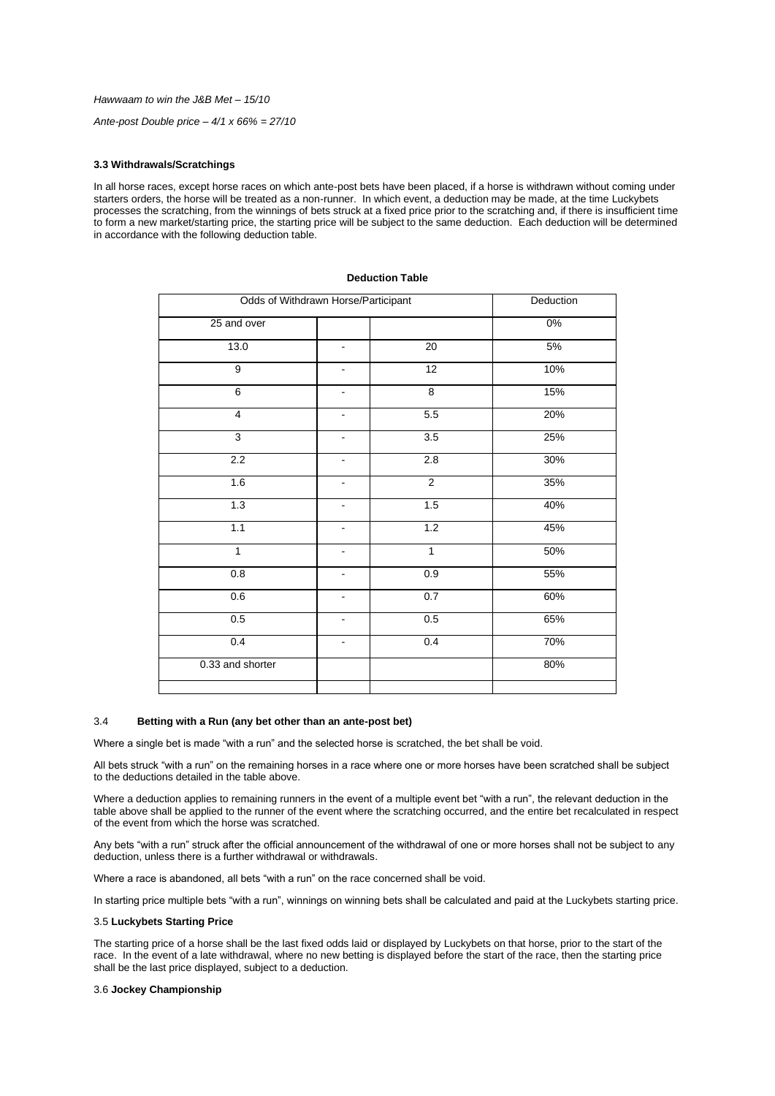*Hawwaam to win the J&B Met – 15/10*

*Ante-post Double price – 4/1 x 66% = 27/10*

## **3.3 Withdrawals/Scratchings**

In all horse races, except horse races on which ante-post bets have been placed, if a horse is withdrawn without coming under starters orders, the horse will be treated as a non-runner. In which event, a deduction may be made, at the time Luckybets processes the scratching, from the winnings of bets struck at a fixed price prior to the scratching and, if there is insufficient time to form a new market/starting price, the starting price will be subject to the same deduction. Each deduction will be determined in accordance with the following deduction table.

| Odds of Withdrawn Horse/Participant |                          | Deduction      |       |
|-------------------------------------|--------------------------|----------------|-------|
| 25 and over                         |                          |                | $0\%$ |
| 13.0                                | $\blacksquare$           | 20             | 5%    |
| $\overline{9}$                      | $\overline{\phantom{0}}$ | 12             | 10%   |
| 6                                   |                          | $\overline{8}$ | 15%   |
| $\overline{4}$                      | -                        | 5.5            | 20%   |
| 3                                   | $\overline{\phantom{0}}$ | 3.5            | 25%   |
| 2.2                                 | $\overline{\phantom{0}}$ | 2.8            | 30%   |
| 1.6                                 |                          | $\overline{2}$ | 35%   |
| 1.3                                 |                          | 1.5            | 40%   |
| 1.1                                 | -                        | 1.2            | 45%   |
| $\mathbf{1}$                        | $\overline{\phantom{0}}$ | $\mathbf{1}$   | 50%   |
| 0.8                                 | ä,                       | 0.9            | 55%   |
| 0.6                                 |                          | 0.7            | 60%   |
| 0.5                                 | -                        | 0.5            | 65%   |
| 0.4                                 | $\overline{\phantom{m}}$ | 0.4            | 70%   |
| 0.33 and shorter                    |                          |                | 80%   |
|                                     |                          |                |       |

# **Deduction Table**

# 3.4**Betting with a Run (any bet other than an ante-post bet)**

Where a single bet is made "with a run" and the selected horse is scratched, the bet shall be void.

All bets struck "with a run" on the remaining horses in a race where one or more horses have been scratched shall be subject to the deductions detailed in the table above.

Where a deduction applies to remaining runners in the event of a multiple event bet "with a run", the relevant deduction in the table above shall be applied to the runner of the event where the scratching occurred, and the entire bet recalculated in respect of the event from which the horse was scratched.

Any bets "with a run" struck after the official announcement of the withdrawal of one or more horses shall not be subject to any deduction, unless there is a further withdrawal or withdrawals.

Where a race is abandoned, all bets "with a run" on the race concerned shall be void.

In starting price multiple bets "with a run", winnings on winning bets shall be calculated and paid at the Luckybets starting price.

### 3.5 **Luckybets Starting Price**

The starting price of a horse shall be the last fixed odds laid or displayed by Luckybets on that horse, prior to the start of the race. In the event of a late withdrawal, where no new betting is displayed before the start of the race, then the starting price shall be the last price displayed, subject to a deduction.

## 3.6 **Jockey Championship**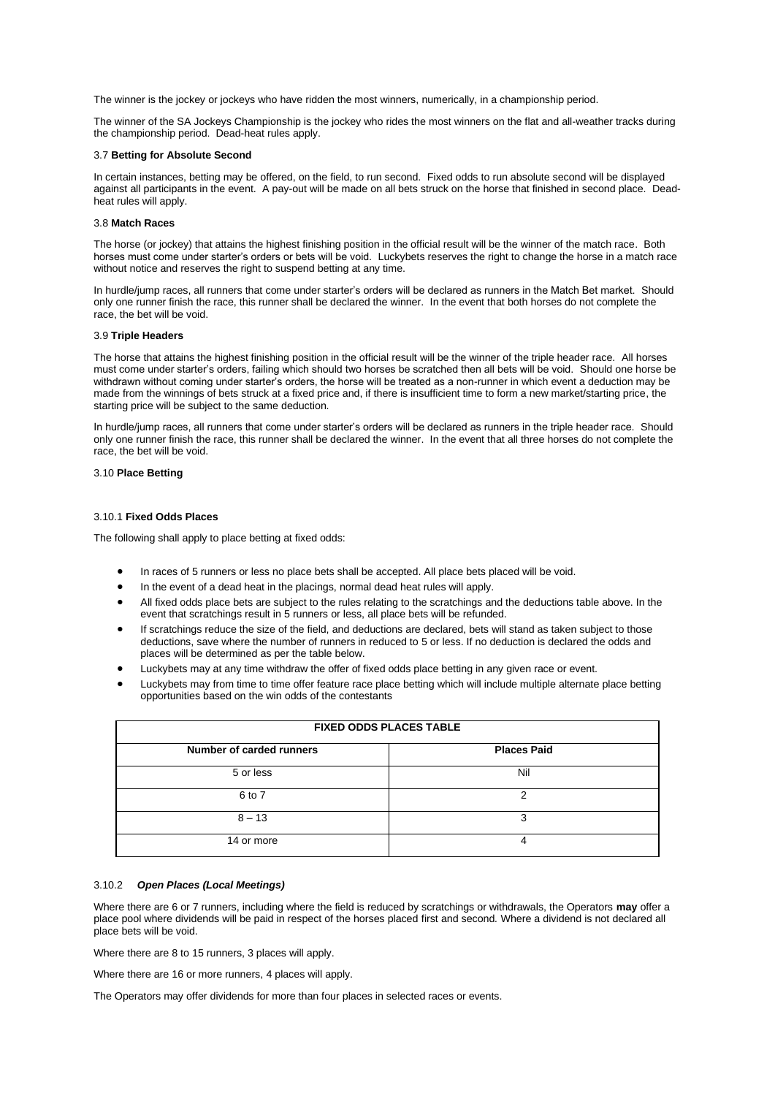The winner is the jockey or jockeys who have ridden the most winners, numerically, in a championship period.

The winner of the SA Jockeys Championship is the jockey who rides the most winners on the flat and all-weather tracks during the championship period. Dead-heat rules apply.

### 3.7 **Betting for Absolute Second**

In certain instances, betting may be offered, on the field, to run second. Fixed odds to run absolute second will be displayed against all participants in the event. A pay-out will be made on all bets struck on the horse that finished in second place. Deadheat rules will apply.

## 3.8 **Match Races**

The horse (or jockey) that attains the highest finishing position in the official result will be the winner of the match race. Both horses must come under starter's orders or bets will be void. Luckybets reserves the right to change the horse in a match race without notice and reserves the right to suspend betting at any time.

In hurdle/jump races, all runners that come under starter's orders will be declared as runners in the Match Bet market. Should only one runner finish the race, this runner shall be declared the winner. In the event that both horses do not complete the race, the bet will be void.

## 3.9 **Triple Headers**

The horse that attains the highest finishing position in the official result will be the winner of the triple header race. All horses must come under starter's orders, failing which should two horses be scratched then all bets will be void. Should one horse be withdrawn without coming under starter's orders, the horse will be treated as a non-runner in which event a deduction may be made from the winnings of bets struck at a fixed price and, if there is insufficient time to form a new market/starting price, the starting price will be subject to the same deduction.

In hurdle/jump races, all runners that come under starter's orders will be declared as runners in the triple header race. Should only one runner finish the race, this runner shall be declared the winner. In the event that all three horses do not complete the race, the bet will be void.

### 3.10 **Place Betting**

## 3.10.1 **Fixed Odds Places**

The following shall apply to place betting at fixed odds:

- In races of 5 runners or less no place bets shall be accepted. All place bets placed will be void.
- In the event of a dead heat in the placings, normal dead heat rules will apply.
- All fixed odds place bets are subject to the rules relating to the scratchings and the deductions table above. In the event that scratchings result in 5 runners or less, all place bets will be refunded.
- If scratchings reduce the size of the field, and deductions are declared, bets will stand as taken subject to those deductions, save where the number of runners in reduced to 5 or less. If no deduction is declared the odds and places will be determined as per the table below.
- Luckybets may at any time withdraw the offer of fixed odds place betting in any given race or event.
- Luckybets may from time to time offer feature race place betting which will include multiple alternate place betting opportunities based on the win odds of the contestants

| FIAED UDDS FLAUES TABLE  |                    |  |
|--------------------------|--------------------|--|
| Number of carded runners | <b>Places Paid</b> |  |
| 5 or less                | Nil                |  |
| 6 to 7                   | ⌒                  |  |
| $8 - 13$                 | 3                  |  |
| 14 or more               | 4                  |  |

## **FIXED ODDS PLACES TABLE**

### 3.10.2 *Open Places (Local Meetings)*

Where there are 6 or 7 runners, including where the field is reduced by scratchings or withdrawals, the Operators **may** offer a place pool where dividends will be paid in respect of the horses placed first and second*.* Where a dividend is not declared all place bets will be void.

Where there are 8 to 15 runners, 3 places will apply.

Where there are 16 or more runners, 4 places will apply.

The Operators may offer dividends for more than four places in selected races or events.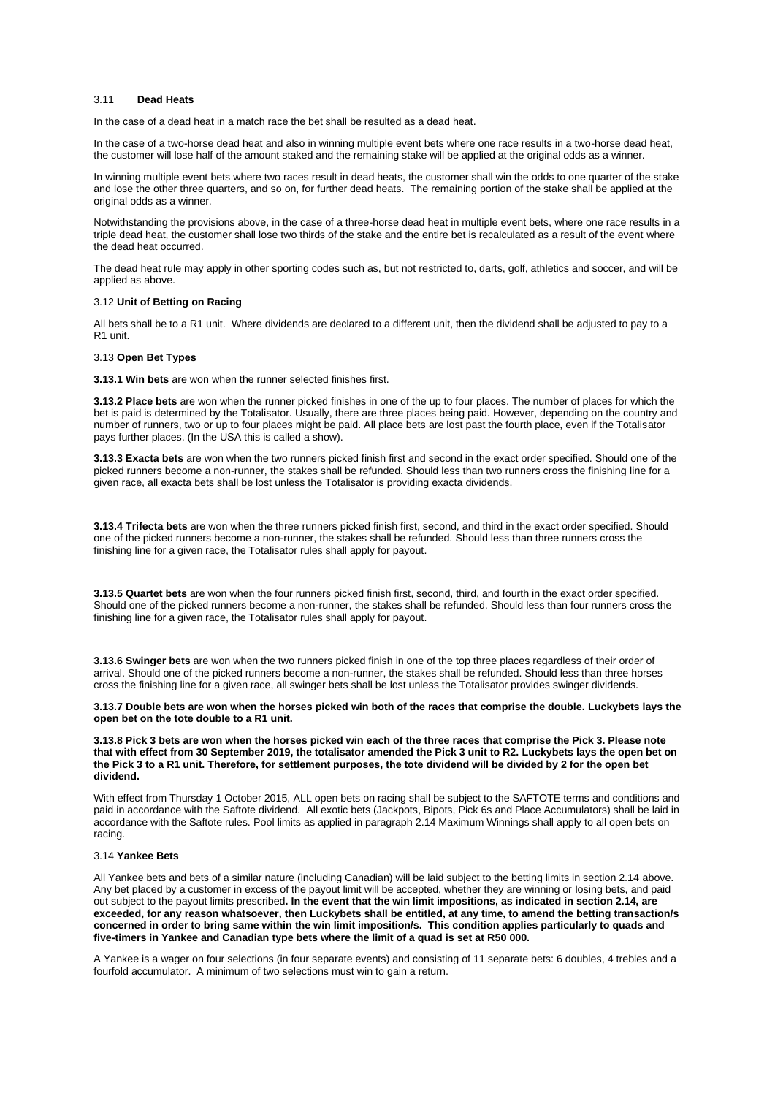## 3.11**Dead Heats**

In the case of a dead heat in a match race the bet shall be resulted as a dead heat.

In the case of a two-horse dead heat and also in winning multiple event bets where one race results in a two-horse dead heat, the customer will lose half of the amount staked and the remaining stake will be applied at the original odds as a winner.

In winning multiple event bets where two races result in dead heats, the customer shall win the odds to one quarter of the stake and lose the other three quarters, and so on, for further dead heats. The remaining portion of the stake shall be applied at the original odds as a winner.

Notwithstanding the provisions above, in the case of a three-horse dead heat in multiple event bets, where one race results in a triple dead heat, the customer shall lose two thirds of the stake and the entire bet is recalculated as a result of the event where the dead heat occurred.

The dead heat rule may apply in other sporting codes such as, but not restricted to, darts, golf, athletics and soccer, and will be applied as above.

### 3.12 **Unit of Betting on Racing**

All bets shall be to a R1 unit. Where dividends are declared to a different unit, then the dividend shall be adjusted to pay to a R1 unit.

### 3.13 **Open Bet Types**

**3.13.1 Win bets** are won when the runner selected finishes first.

**3.13.2 Place bets** are won when the runner picked finishes in one of the up to four places. The number of places for which the bet is paid is determined by the Totalisator. Usually, there are three places being paid. However, depending on the country and number of runners, two or up to four places might be paid. All place bets are lost past the fourth place, even if the Totalisator pays further places. (In the USA this is called a show).

**3.13.3 Exacta bets** are won when the two runners picked finish first and second in the exact order specified. Should one of the picked runners become a non-runner, the stakes shall be refunded. Should less than two runners cross the finishing line for a given race, all exacta bets shall be lost unless the Totalisator is providing exacta dividends.

**3.13.4 Trifecta bets** are won when the three runners picked finish first, second, and third in the exact order specified. Should one of the picked runners become a non-runner, the stakes shall be refunded. Should less than three runners cross the finishing line for a given race, the Totalisator rules shall apply for payout.

**3.13.5 Quartet bets** are won when the four runners picked finish first, second, third, and fourth in the exact order specified. Should one of the picked runners become a non-runner, the stakes shall be refunded. Should less than four runners cross the finishing line for a given race, the Totalisator rules shall apply for payout.

**3.13.6 Swinger bets** are won when the two runners picked finish in one of the top three places regardless of their order of arrival. Should one of the picked runners become a non-runner, the stakes shall be refunded. Should less than three horses cross the finishing line for a given race, all swinger bets shall be lost unless the Totalisator provides swinger dividends.

**3.13.7 Double bets are won when the horses picked win both of the races that comprise the double. Luckybets lays the open bet on the tote double to a R1 unit.**

**3.13.8 Pick 3 bets are won when the horses picked win each of the three races that comprise the Pick 3. Please note that with effect from 30 September 2019, the totalisator amended the Pick 3 unit to R2. Luckybets lays the open bet on the Pick 3 to a R1 unit. Therefore, for settlement purposes, the tote dividend will be divided by 2 for the open bet dividend.**

With effect from Thursday 1 October 2015, ALL open bets on racing shall be subject to the SAFTOTE terms and conditions and paid in accordance with the Saftote dividend. All exotic bets (Jackpots, Bipots, Pick 6s and Place Accumulators) shall be laid in accordance with the Saftote rules. Pool limits as applied in paragraph 2.14 Maximum Winnings shall apply to all open bets on racing.

## 3.14 **Yankee Bets**

All Yankee bets and bets of a similar nature (including Canadian) will be laid subject to the betting limits in section 2.14 above. Any bet placed by a customer in excess of the payout limit will be accepted, whether they are winning or losing bets, and paid out subject to the payout limits prescribed**. In the event that the win limit impositions, as indicated in section 2.14, are exceeded, for any reason whatsoever, then Luckybets shall be entitled, at any time, to amend the betting transaction/s concerned in order to bring same within the win limit imposition/s. This condition applies particularly to quads and five-timers in Yankee and Canadian type bets where the limit of a quad is set at R50 000.**

A Yankee is a wager on four selections (in four separate events) and consisting of 11 separate bets: 6 doubles, 4 trebles and a fourfold accumulator. A minimum of two selections must win to gain a return.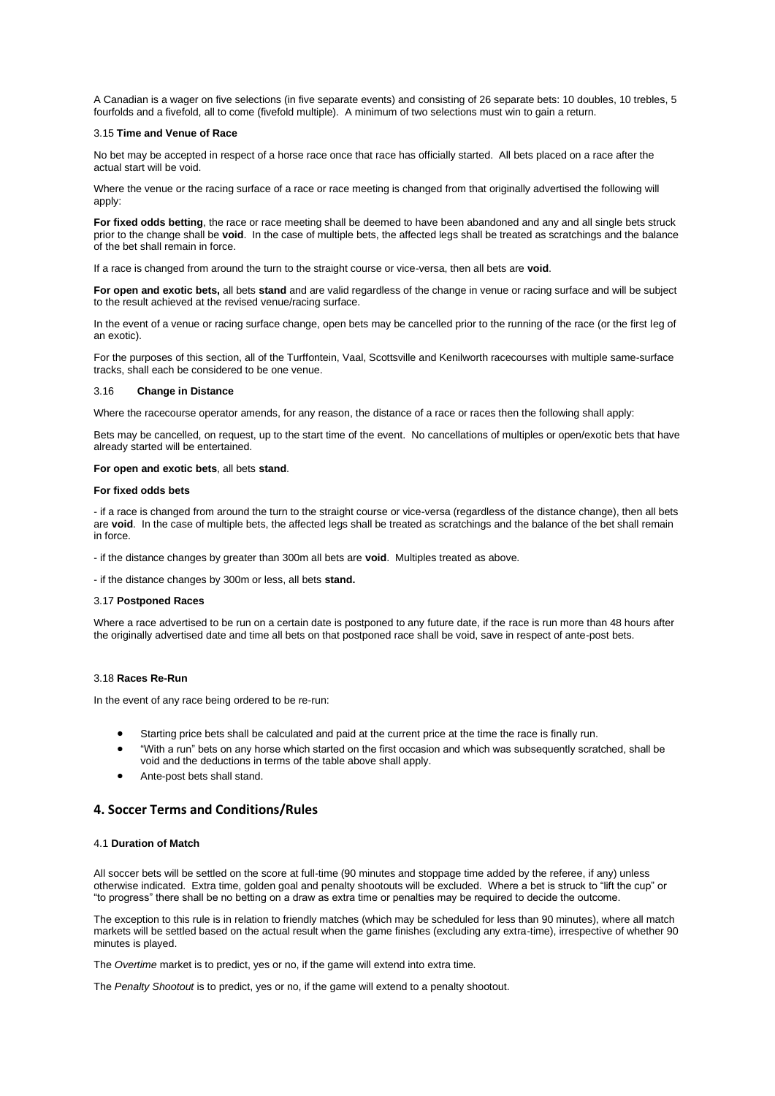A Canadian is a wager on five selections (in five separate events) and consisting of 26 separate bets: 10 doubles, 10 trebles, 5 fourfolds and a fivefold, all to come (fivefold multiple). A minimum of two selections must win to gain a return.

### 3.15 **Time and Venue of Race**

No bet may be accepted in respect of a horse race once that race has officially started. All bets placed on a race after the actual start will be void.

Where the venue or the racing surface of a race or race meeting is changed from that originally advertised the following will apply:

**For fixed odds betting**, the race or race meeting shall be deemed to have been abandoned and any and all single bets struck prior to the change shall be **void**. In the case of multiple bets, the affected legs shall be treated as scratchings and the balance of the bet shall remain in force.

If a race is changed from around the turn to the straight course or vice-versa, then all bets are **void**.

**For open and exotic bets,** all bets **stand** and are valid regardless of the change in venue or racing surface and will be subject to the result achieved at the revised venue/racing surface.

In the event of a venue or racing surface change, open bets may be cancelled prior to the running of the race (or the first leg of an exotic).

For the purposes of this section, all of the Turffontein, Vaal, Scottsville and Kenilworth racecourses with multiple same-surface tracks, shall each be considered to be one venue.

## 3.16**Change in Distance**

Where the racecourse operator amends, for any reason, the distance of a race or races then the following shall apply:

Bets may be cancelled, on request, up to the start time of the event. No cancellations of multiples or open/exotic bets that have already started will be entertained.

#### **For open and exotic bets**, all bets **stand**.

## **For fixed odds bets**

- if a race is changed from around the turn to the straight course or vice-versa (regardless of the distance change), then all bets are **void**. In the case of multiple bets, the affected legs shall be treated as scratchings and the balance of the bet shall remain in force.

- if the distance changes by greater than 300m all bets are **void**. Multiples treated as above.

- if the distance changes by 300m or less, all bets **stand.**

#### 3.17 **Postponed Races**

Where a race advertised to be run on a certain date is postponed to any future date, if the race is run more than 48 hours after the originally advertised date and time all bets on that postponed race shall be void, save in respect of ante-post bets.

### 3.18 **Races Re-Run**

In the event of any race being ordered to be re-run:

- Starting price bets shall be calculated and paid at the current price at the time the race is finally run.
- "With a run" bets on any horse which started on the first occasion and which was subsequently scratched, shall be void and the deductions in terms of the table above shall apply.
- Ante-post bets shall stand.

## <span id="page-14-0"></span>**4. Soccer Terms and Conditions/Rules**

### 4.1 **Duration of Match**

All soccer bets will be settled on the score at full-time (90 minutes and stoppage time added by the referee, if any) unless otherwise indicated. Extra time, golden goal and penalty shootouts will be excluded. Where a bet is struck to "lift the cup" or "to progress" there shall be no betting on a draw as extra time or penalties may be required to decide the outcome.

The exception to this rule is in relation to friendly matches (which may be scheduled for less than 90 minutes), where all match markets will be settled based on the actual result when the game finishes (excluding any extra-time), irrespective of whether 90 minutes is played.

The *Overtime* market is to predict, yes or no, if the game will extend into extra time.

The *Penalty Shootout* is to predict, yes or no, if the game will extend to a penalty shootout.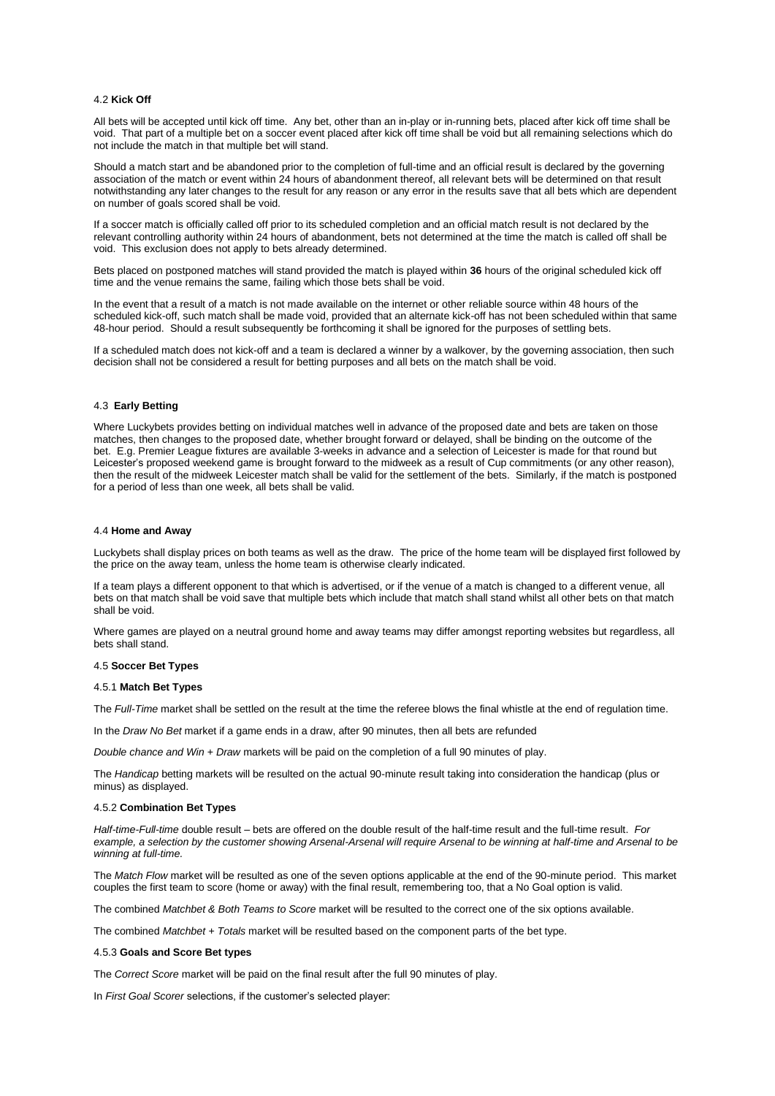### 4.2 **Kick Off**

All bets will be accepted until kick off time. Any bet, other than an in-play or in-running bets, placed after kick off time shall be void. That part of a multiple bet on a soccer event placed after kick off time shall be void but all remaining selections which do not include the match in that multiple bet will stand.

Should a match start and be abandoned prior to the completion of full-time and an official result is declared by the governing association of the match or event within 24 hours of abandonment thereof, all relevant bets will be determined on that result notwithstanding any later changes to the result for any reason or any error in the results save that all bets which are dependent on number of goals scored shall be void.

If a soccer match is officially called off prior to its scheduled completion and an official match result is not declared by the relevant controlling authority within 24 hours of abandonment, bets not determined at the time the match is called off shall be void. This exclusion does not apply to bets already determined.

Bets placed on postponed matches will stand provided the match is played within **36** hours of the original scheduled kick off time and the venue remains the same, failing which those bets shall be void.

In the event that a result of a match is not made available on the internet or other reliable source within 48 hours of the scheduled kick-off, such match shall be made void, provided that an alternate kick-off has not been scheduled within that same 48-hour period. Should a result subsequently be forthcoming it shall be ignored for the purposes of settling bets.

If a scheduled match does not kick-off and a team is declared a winner by a walkover, by the governing association, then such decision shall not be considered a result for betting purposes and all bets on the match shall be void.

## 4.3 **Early Betting**

Where Luckybets provides betting on individual matches well in advance of the proposed date and bets are taken on those matches, then changes to the proposed date, whether brought forward or delayed, shall be binding on the outcome of the bet. E.g. Premier League fixtures are available 3-weeks in advance and a selection of Leicester is made for that round but Leicester's proposed weekend game is brought forward to the midweek as a result of Cup commitments (or any other reason), then the result of the midweek Leicester match shall be valid for the settlement of the bets. Similarly, if the match is postponed for a period of less than one week, all bets shall be valid.

#### 4.4 **Home and Away**

Luckybets shall display prices on both teams as well as the draw. The price of the home team will be displayed first followed by the price on the away team, unless the home team is otherwise clearly indicated.

If a team plays a different opponent to that which is advertised, or if the venue of a match is changed to a different venue, all bets on that match shall be void save that multiple bets which include that match shall stand whilst all other bets on that match shall be void.

Where games are played on a neutral ground home and away teams may differ amongst reporting websites but regardless, all bets shall stand.

## 4.5 **Soccer Bet Types**

### 4.5.1 **Match Bet Types**

The *Full-Time* market shall be settled on the result at the time the referee blows the final whistle at the end of regulation time.

In the *Draw No Bet* market if a game ends in a draw, after 90 minutes, then all bets are refunded

*Double chance and Win + Draw* markets will be paid on the completion of a full 90 minutes of play.

The *Handicap* betting markets will be resulted on the actual 90-minute result taking into consideration the handicap (plus or minus) as displayed.

### 4.5.2 **Combination Bet Types**

*Half-time-Full-time* double result – bets are offered on the double result of the half-time result and the full-time result. *For example, a selection by the customer showing Arsenal-Arsenal will require Arsenal to be winning at half-time and Arsenal to be winning at full-time.*

The *Match Flow* market will be resulted as one of the seven options applicable at the end of the 90-minute period. This market couples the first team to score (home or away) with the final result, remembering too, that a No Goal option is valid.

The combined *Matchbet & Both Teams to Score* market will be resulted to the correct one of the six options available.

The combined *Matchbet + Totals* market will be resulted based on the component parts of the bet type.

### 4.5.3 **Goals and Score Bet types**

The *Correct Score* market will be paid on the final result after the full 90 minutes of play.

In *First Goal Scorer* selections, if the customer's selected player: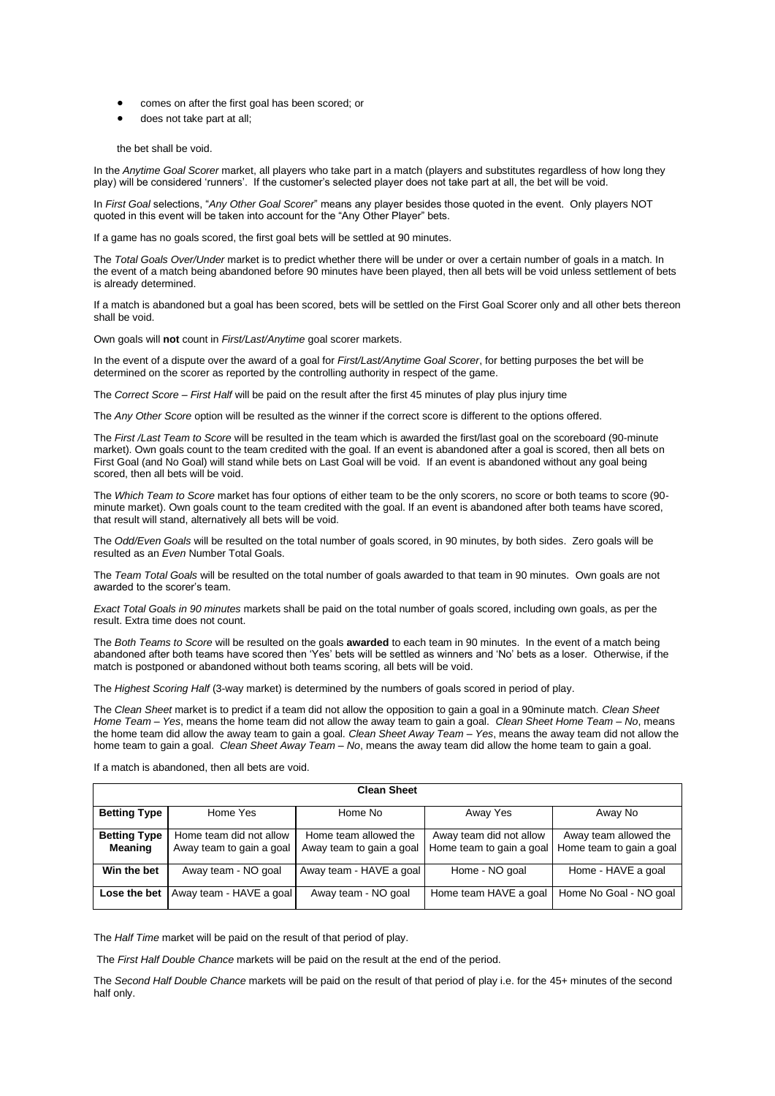- comes on after the first goal has been scored; or
- does not take part at all;

the bet shall be void.

In the *Anytime Goal Scorer* market, all players who take part in a match (players and substitutes regardless of how long they play) will be considered 'runners'. If the customer's selected player does not take part at all, the bet will be void.

In *First Goal* selections, "*Any Other Goal Scorer*" means any player besides those quoted in the event. Only players NOT quoted in this event will be taken into account for the "Any Other Player" bets.

If a game has no goals scored, the first goal bets will be settled at 90 minutes.

The *Total Goals Over/Under* market is to predict whether there will be under or over a certain number of goals in a match. In the event of a match being abandoned before 90 minutes have been played, then all bets will be void unless settlement of bets is already determined.

If a match is abandoned but a goal has been scored, bets will be settled on the First Goal Scorer only and all other bets thereon shall be void.

Own goals will **not** count in *First/Last/Anytime* goal scorer markets.

In the event of a dispute over the award of a goal for *First/Last/Anytime Goal Scorer*, for betting purposes the bet will be determined on the scorer as reported by the controlling authority in respect of the game.

The *Correct Score – First Half* will be paid on the result after the first 45 minutes of play plus injury time

The *Any Other Score* option will be resulted as the winner if the correct score is different to the options offered.

The *First /Last Team to Score* will be resulted in the team which is awarded the first/last goal on the scoreboard (90-minute market). Own goals count to the team credited with the goal. If an event is abandoned after a goal is scored, then all bets on First Goal (and No Goal) will stand while bets on Last Goal will be void. If an event is abandoned without any goal being scored, then all bets will be void.

The *Which Team to Score* market has four options of either team to be the only scorers, no score or both teams to score (90 minute market). Own goals count to the team credited with the goal. If an event is abandoned after both teams have scored, that result will stand, alternatively all bets will be void.

The *Odd/Even Goals* will be resulted on the total number of goals scored, in 90 minutes, by both sides. Zero goals will be resulted as an *Even* Number Total Goals.

The *Team Total Goals* will be resulted on the total number of goals awarded to that team in 90 minutes. Own goals are not awarded to the scorer's team.

*Exact Total Goals in 90 minutes* markets shall be paid on the total number of goals scored, including own goals, as per the result. Extra time does not count.

The *Both Teams to Score* will be resulted on the goals **awarded** to each team in 90 minutes. In the event of a match being abandoned after both teams have scored then 'Yes' bets will be settled as winners and 'No' bets as a loser. Otherwise, if the match is postponed or abandoned without both teams scoring, all bets will be void.

The *Highest Scoring Half* (3-way market) is determined by the numbers of goals scored in period of play.

The *Clean Sheet* market is to predict if a team did not allow the opposition to gain a goal in a 90minute match. *Clean Sheet Home Team – Yes*, means the home team did not allow the away team to gain a goal. *Clean Sheet Home Team – No*, means the home team did allow the away team to gain a goal. *Clean Sheet Away Team – Yes*, means the away team did not allow the home team to gain a goal. *Clean Sheet Away Team – No*, means the away team did allow the home team to gain a goal.

If a match is abandoned, then all bets are void.

| <b>Clean Sheet</b>                    |                                                     |                                                   |                                                     |                                                   |
|---------------------------------------|-----------------------------------------------------|---------------------------------------------------|-----------------------------------------------------|---------------------------------------------------|
| <b>Betting Type</b>                   | Home Yes                                            | Home No                                           | Away Yes                                            | Away No                                           |
| <b>Betting Type</b><br><b>Meaning</b> | Home team did not allow<br>Away team to gain a goal | Home team allowed the<br>Away team to gain a goal | Away team did not allow<br>Home team to gain a goal | Away team allowed the<br>Home team to gain a goal |
| Win the bet                           | Away team - NO goal                                 | Away team - HAVE a goal                           | Home - NO goal                                      | Home - HAVE a goal                                |
|                                       | <b>Lose the bet</b>   Away team - HAVE a goal       | Away team - NO goal                               | Home team HAVE a goal                               | Home No Goal - NO goal                            |

The *Half Time* market will be paid on the result of that period of play.

The *First Half Double Chance* markets will be paid on the result at the end of the period.

The *Second Half Double Chance* markets will be paid on the result of that period of play i.e. for the 45+ minutes of the second half only.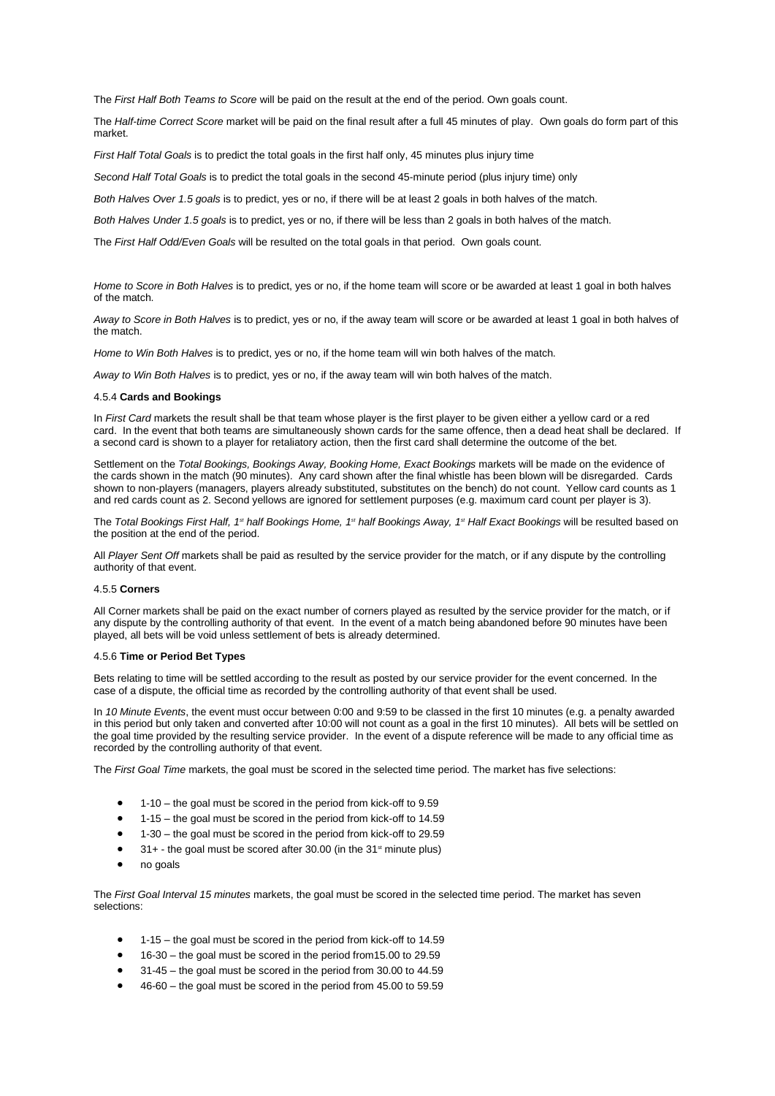The *First Half Both Teams to Score* will be paid on the result at the end of the period. Own goals count.

The *Half-time Correct Score* market will be paid on the final result after a full 45 minutes of play. Own goals do form part of this market.

*First Half Total Goals* is to predict the total goals in the first half only, 45 minutes plus injury time

*Second Half Total Goals* is to predict the total goals in the second 45-minute period (plus injury time) only

*Both Halves Over 1.5 goals* is to predict, yes or no, if there will be at least 2 goals in both halves of the match.

*Both Halves Under 1.5 goals* is to predict, yes or no, if there will be less than 2 goals in both halves of the match.

The *First Half Odd/Even Goals* will be resulted on the total goals in that period. Own goals count.

*Home to Score in Both Halves* is to predict, yes or no, if the home team will score or be awarded at least 1 goal in both halves of the match.

*Away to Score in Both Halves* is to predict, yes or no, if the away team will score or be awarded at least 1 goal in both halves of the match.

*Home to Win Both Halves* is to predict, yes or no, if the home team will win both halves of the match.

*Away to Win Both Halves* is to predict, yes or no, if the away team will win both halves of the match.

#### 4.5.4 **Cards and Bookings**

In *First Card* markets the result shall be that team whose player is the first player to be given either a yellow card or a red card. In the event that both teams are simultaneously shown cards for the same offence, then a dead heat shall be declared. If a second card is shown to a player for retaliatory action, then the first card shall determine the outcome of the bet.

Settlement on the *Total Bookings, Bookings Away, Booking Home, Exact Bookings* markets will be made on the evidence of the cards shown in the match (90 minutes). Any card shown after the final whistle has been blown will be disregarded. Cards shown to non-players (managers, players already substituted, substitutes on the bench) do not count. Yellow card counts as 1 and red cards count as 2. Second yellows are ignored for settlement purposes (e.g. maximum card count per player is 3).

The *Total Bookings First Half, 1st half Bookings Home, 1st half Bookings Away, 1st Half Exact Bookings* will be resulted based on the position at the end of the period.

All *Player Sent Off* markets shall be paid as resulted by the service provider for the match, or if any dispute by the controlling authority of that event.

## 4.5.5 **Corners**

All Corner markets shall be paid on the exact number of corners played as resulted by the service provider for the match, or if any dispute by the controlling authority of that event. In the event of a match being abandoned before 90 minutes have been played, all bets will be void unless settlement of bets is already determined.

#### 4.5.6 **Time or Period Bet Types**

Bets relating to time will be settled according to the result as posted by our service provider for the event concerned. In the case of a dispute, the official time as recorded by the controlling authority of that event shall be used.

In *10 Minute Events*, the event must occur between 0:00 and 9:59 to be classed in the first 10 minutes (e.g. a penalty awarded in this period but only taken and converted after 10:00 will not count as a goal in the first 10 minutes). All bets will be settled on the goal time provided by the resulting service provider. In the event of a dispute reference will be made to any official time as recorded by the controlling authority of that event.

The *First Goal Time* markets, the goal must be scored in the selected time period. The market has five selections:

- 1-10 the goal must be scored in the period from kick-off to 9.59
- 1-15 the goal must be scored in the period from kick-off to 14.59
- 1-30 the goal must be scored in the period from kick-off to 29.59
- $\bullet$  31+ the goal must be scored after 30.00 (in the 31<sup>st</sup> minute plus)
- no goals

The *First Goal Interval 15 minutes* markets, the goal must be scored in the selected time period. The market has seven selections:

- 1-15 the goal must be scored in the period from kick-off to 14.59
- 16-30 the goal must be scored in the period from15.00 to 29.59
- 31-45 the goal must be scored in the period from 30.00 to 44.59
- 46-60 the goal must be scored in the period from 45.00 to 59.59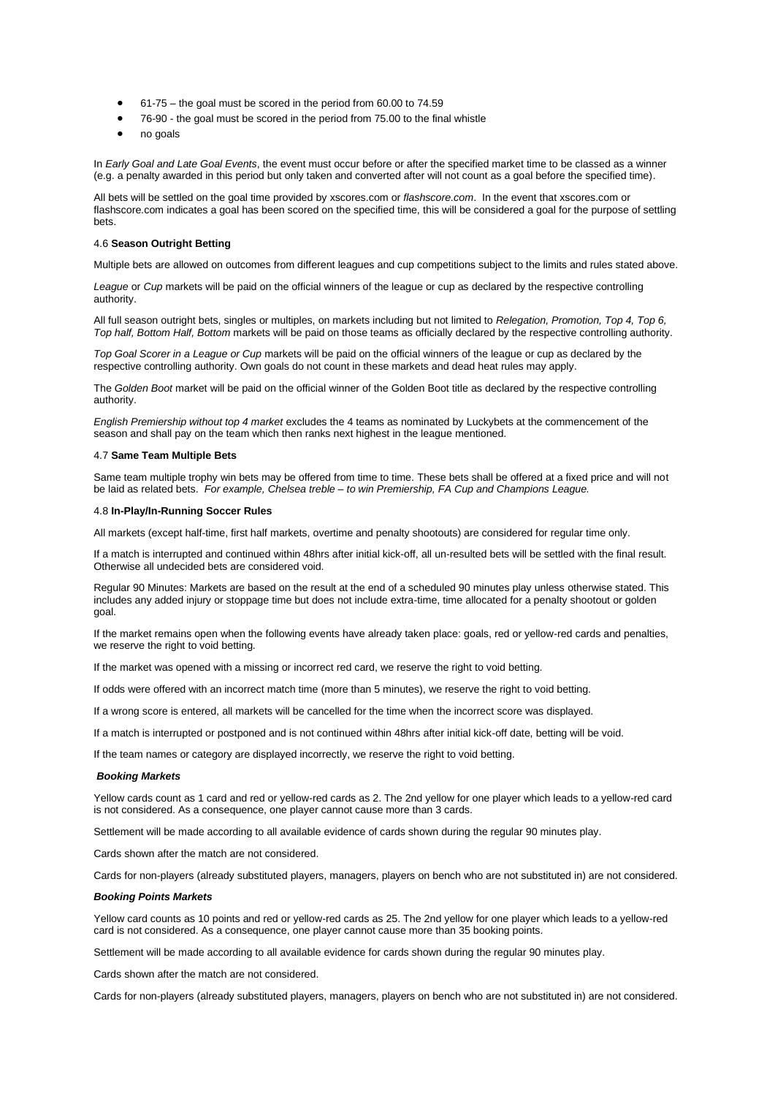- 61-75 the goal must be scored in the period from 60.00 to 74.59
- 76-90 the goal must be scored in the period from 75.00 to the final whistle
- no goals

In *Early Goal and Late Goal Events*, the event must occur before or after the specified market time to be classed as a winner (e.g. a penalty awarded in this period but only taken and converted after will not count as a goal before the specified time).

All bets will be settled on the goal time provided by xscores.com or *flashscore.com*. In the event that xscores.com or flashscore.com indicates a goal has been scored on the specified time, this will be considered a goal for the purpose of settling bets.

### 4.6 **Season Outright Betting**

Multiple bets are allowed on outcomes from different leagues and cup competitions subject to the limits and rules stated above.

*League* or *Cup* markets will be paid on the official winners of the league or cup as declared by the respective controlling authority.

All full season outright bets, singles or multiples, on markets including but not limited to *Relegation, Promotion, Top 4, Top 6, Top half, Bottom Half, Bottom* markets will be paid on those teams as officially declared by the respective controlling authority.

*Top Goal Scorer in a League or Cup* markets will be paid on the official winners of the league or cup as declared by the respective controlling authority. Own goals do not count in these markets and dead heat rules may apply.

The *Golden Boot* market will be paid on the official winner of the Golden Boot title as declared by the respective controlling authority.

*English Premiership without top 4 market* excludes the 4 teams as nominated by Luckybets at the commencement of the season and shall pay on the team which then ranks next highest in the league mentioned.

### 4.7 **Same Team Multiple Bets**

Same team multiple trophy win bets may be offered from time to time. These bets shall be offered at a fixed price and will not be laid as related bets. *For example, Chelsea treble – to win Premiership, FA Cup and Champions League.*

### 4.8 **In-Play/In-Running Soccer Rules**

All markets (except half-time, first half markets, overtime and penalty shootouts) are considered for regular time only.

If a match is interrupted and continued within 48hrs after initial kick-off, all un-resulted bets will be settled with the final result. Otherwise all undecided bets are considered void.

Regular 90 Minutes: Markets are based on the result at the end of a scheduled 90 minutes play unless otherwise stated. This includes any added injury or stoppage time but does not include extra-time, time allocated for a penalty shootout or golden goal.

If the market remains open when the following events have already taken place: goals, red or yellow-red cards and penalties, we reserve the right to void betting.

If the market was opened with a missing or incorrect red card, we reserve the right to void betting.

If odds were offered with an incorrect match time (more than 5 minutes), we reserve the right to void betting.

If a wrong score is entered, all markets will be cancelled for the time when the incorrect score was displayed.

If a match is interrupted or postponed and is not continued within 48hrs after initial kick-off date, betting will be void.

If the team names or category are displayed incorrectly, we reserve the right to void betting.

### *Booking Markets*

Yellow cards count as 1 card and red or yellow-red cards as 2. The 2nd yellow for one player which leads to a yellow-red card is not considered. As a consequence, one player cannot cause more than 3 cards.

Settlement will be made according to all available evidence of cards shown during the regular 90 minutes play.

Cards shown after the match are not considered.

Cards for non-players (already substituted players, managers, players on bench who are not substituted in) are not considered.

### *Booking Points Markets*

Yellow card counts as 10 points and red or yellow-red cards as 25. The 2nd yellow for one player which leads to a yellow-red card is not considered. As a consequence, one player cannot cause more than 35 booking points.

Settlement will be made according to all available evidence for cards shown during the regular 90 minutes play.

Cards shown after the match are not considered.

Cards for non-players (already substituted players, managers, players on bench who are not substituted in) are not considered.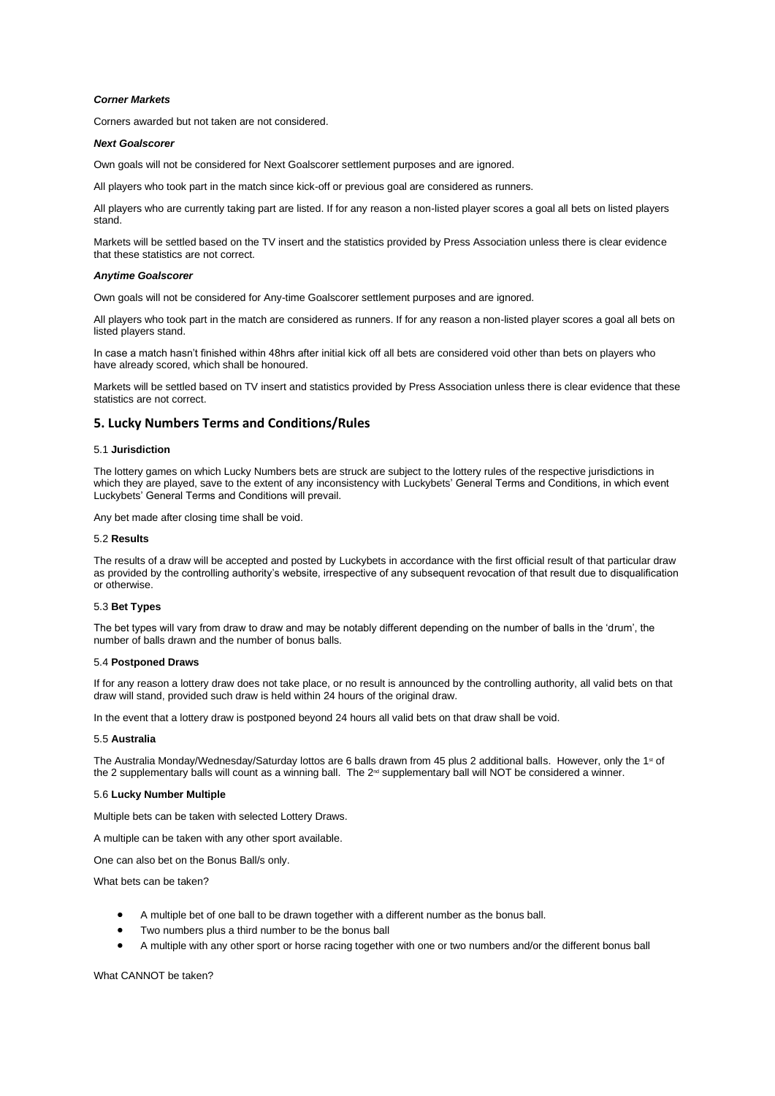## *Corner Markets*

Corners awarded but not taken are not considered.

#### *Next Goalscorer*

Own goals will not be considered for Next Goalscorer settlement purposes and are ignored.

All players who took part in the match since kick-off or previous goal are considered as runners.

All players who are currently taking part are listed. If for any reason a non-listed player scores a goal all bets on listed players stand.

Markets will be settled based on the TV insert and the statistics provided by Press Association unless there is clear evidence that these statistics are not correct.

#### *Anytime Goalscorer*

Own goals will not be considered for Any-time Goalscorer settlement purposes and are ignored.

All players who took part in the match are considered as runners. If for any reason a non-listed player scores a goal all bets on listed players stand.

In case a match hasn't finished within 48hrs after initial kick off all bets are considered void other than bets on players who have already scored, which shall be honoured.

Markets will be settled based on TV insert and statistics provided by Press Association unless there is clear evidence that these statistics are not correct.

# <span id="page-19-0"></span>**5. Lucky Numbers Terms and Conditions/Rules**

## 5.1 **Jurisdiction**

The lottery games on which Lucky Numbers bets are struck are subject to the lottery rules of the respective jurisdictions in which they are played, save to the extent of any inconsistency with Luckybets' General Terms and Conditions, in which event Luckybets' General Terms and Conditions will prevail.

Any bet made after closing time shall be void.

#### 5.2 **Results**

The results of a draw will be accepted and posted by Luckybets in accordance with the first official result of that particular draw as provided by the controlling authority's website, irrespective of any subsequent revocation of that result due to disqualification or otherwise.

## 5.3 **Bet Types**

The bet types will vary from draw to draw and may be notably different depending on the number of balls in the 'drum', the number of balls drawn and the number of bonus balls.

## 5.4 **Postponed Draws**

If for any reason a lottery draw does not take place, or no result is announced by the controlling authority, all valid bets on that draw will stand, provided such draw is held within 24 hours of the original draw.

In the event that a lottery draw is postponed beyond 24 hours all valid bets on that draw shall be void.

## 5.5 **Australia**

The Australia Monday/Wednesday/Saturday lottos are 6 balls drawn from 45 plus 2 additional balls. However, only the 1<sup>st</sup> of the 2 supplementary balls will count as a winning ball. The 2<sup>nd</sup> supplementary ball will NOT be considered a winner.

## 5.6 **Lucky Number Multiple**

Multiple bets can be taken with selected Lottery Draws.

A multiple can be taken with any other sport available.

One can also bet on the Bonus Ball/s only.

What bets can be taken?

- A multiple bet of one ball to be drawn together with a different number as the bonus ball.
- Two numbers plus a third number to be the bonus ball
- A multiple with any other sport or horse racing together with one or two numbers and/or the different bonus ball

What CANNOT be taken?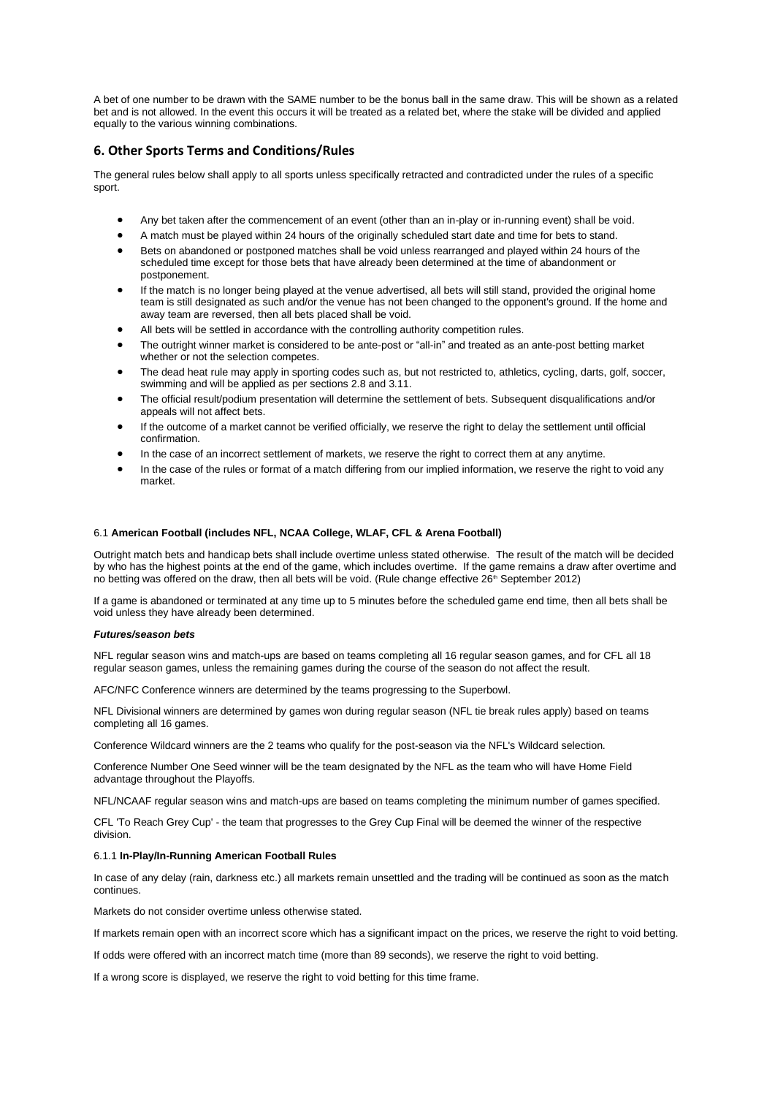A bet of one number to be drawn with the SAME number to be the bonus ball in the same draw. This will be shown as a related bet and is not allowed. In the event this occurs it will be treated as a related bet, where the stake will be divided and applied equally to the various winning combinations.

# <span id="page-20-0"></span>**6. Other Sports Terms and Conditions/Rules**

The general rules below shall apply to all sports unless specifically retracted and contradicted under the rules of a specific sport.

- Any bet taken after the commencement of an event (other than an in-play or in-running event) shall be void.
- A match must be played within 24 hours of the originally scheduled start date and time for bets to stand.
- Bets on abandoned or postponed matches shall be void unless rearranged and played within 24 hours of the scheduled time except for those bets that have already been determined at the time of abandonment or postponement.
- If the match is no longer being played at the venue advertised, all bets will still stand, provided the original home team is still designated as such and/or the venue has not been changed to the opponent's ground. If the home and away team are reversed, then all bets placed shall be void.
- All bets will be settled in accordance with the controlling authority competition rules.
- The outright winner market is considered to be ante-post or "all-in" and treated as an ante-post betting market whether or not the selection competes.
- The dead heat rule may apply in sporting codes such as, but not restricted to, athletics, cycling, darts, golf, soccer, swimming and will be applied as per sections 2.8 and 3.11.
- The official result/podium presentation will determine the settlement of bets. Subsequent disqualifications and/or appeals will not affect bets.
- If the outcome of a market cannot be verified officially, we reserve the right to delay the settlement until official confirmation.
- In the case of an incorrect settlement of markets, we reserve the right to correct them at any anytime.
- In the case of the rules or format of a match differing from our implied information, we reserve the right to void any market.

## 6.1 **American Football (includes NFL, NCAA College, WLAF, CFL & Arena Football)**

Outright match bets and handicap bets shall include overtime unless stated otherwise. The result of the match will be decided by who has the highest points at the end of the game, which includes overtime. If the game remains a draw after overtime and no betting was offered on the draw, then all bets will be void. (Rule change effective 26<sup>th</sup> September 2012)

If a game is abandoned or terminated at any time up to 5 minutes before the scheduled game end time, then all bets shall be void unless they have already been determined.

### *Futures/season bets*

NFL regular season wins and match-ups are based on teams completing all 16 regular season games, and for CFL all 18 regular season games, unless the remaining games during the course of the season do not affect the result.

AFC/NFC Conference winners are determined by the teams progressing to the Superbowl.

NFL Divisional winners are determined by games won during regular season (NFL tie break rules apply) based on teams completing all 16 games.

Conference Wildcard winners are the 2 teams who qualify for the post-season via the NFL's Wildcard selection.

Conference Number One Seed winner will be the team designated by the NFL as the team who will have Home Field advantage throughout the Playoffs.

NFL/NCAAF regular season wins and match-ups are based on teams completing the minimum number of games specified.

CFL 'To Reach Grey Cup' - the team that progresses to the Grey Cup Final will be deemed the winner of the respective division.

### 6.1.1 **In-Play/In-Running American Football Rules**

In case of any delay (rain, darkness etc.) all markets remain unsettled and the trading will be continued as soon as the match continues.

Markets do not consider overtime unless otherwise stated.

If markets remain open with an incorrect score which has a significant impact on the prices, we reserve the right to void betting.

If odds were offered with an incorrect match time (more than 89 seconds), we reserve the right to void betting.

If a wrong score is displayed, we reserve the right to void betting for this time frame.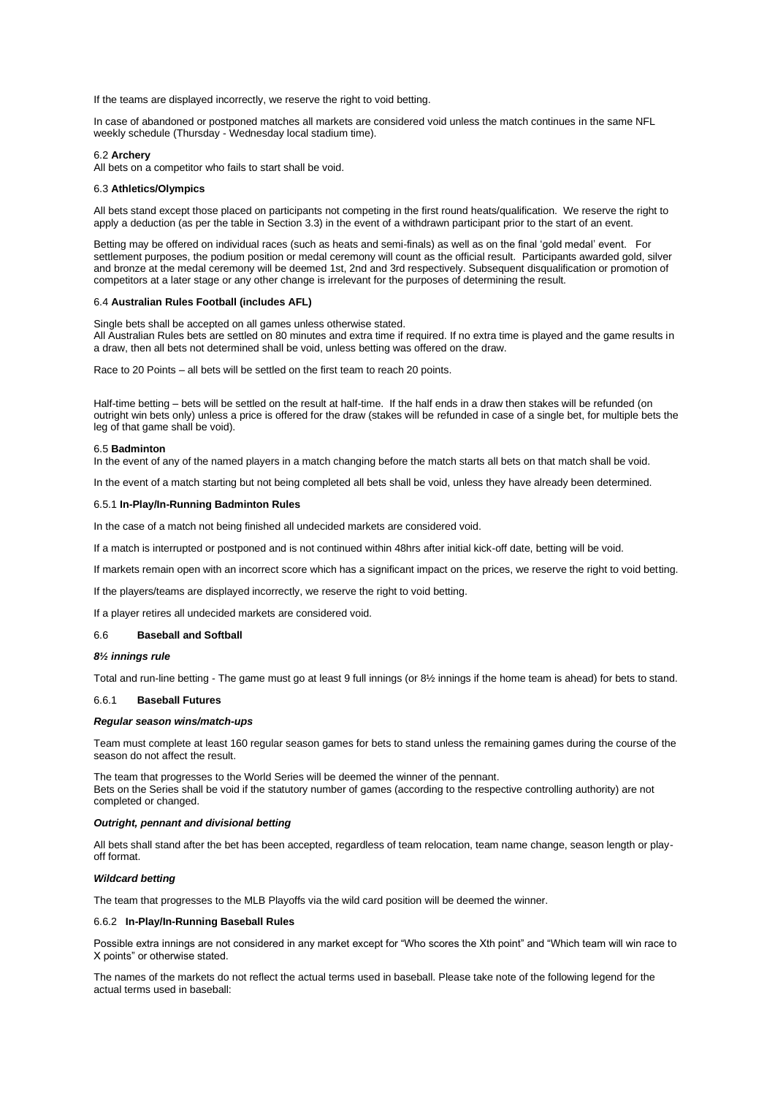If the teams are displayed incorrectly, we reserve the right to void betting.

In case of abandoned or postponed matches all markets are considered void unless the match continues in the same NFL weekly schedule (Thursday - Wednesday local stadium time).

### 6.2 **Archery**

All bets on a competitor who fails to start shall be void.

### 6.3 **Athletics/Olympics**

All bets stand except those placed on participants not competing in the first round heats/qualification. We reserve the right to apply a deduction (as per the table in Section 3.3) in the event of a withdrawn participant prior to the start of an event.

Betting may be offered on individual races (such as heats and semi-finals) as well as on the final 'gold medal' event. For settlement purposes, the podium position or medal ceremony will count as the official result. Participants awarded gold, silver and bronze at the medal ceremony will be deemed 1st, 2nd and 3rd respectively. Subsequent disqualification or promotion of competitors at a later stage or any other change is irrelevant for the purposes of determining the result.

#### 6.4 **Australian Rules Football (includes AFL)**

Single bets shall be accepted on all games unless otherwise stated. All Australian Rules bets are settled on 80 minutes and extra time if required. If no extra time is played and the game results in a draw, then all bets not determined shall be void, unless betting was offered on the draw.

Race to 20 Points – all bets will be settled on the first team to reach 20 points.

Half-time betting – bets will be settled on the result at half-time. If the half ends in a draw then stakes will be refunded (on outright win bets only) unless a price is offered for the draw (stakes will be refunded in case of a single bet, for multiple bets the leg of that game shall be void).

#### 6.5 **Badminton**

In the event of any of the named players in a match changing before the match starts all bets on that match shall be void.

In the event of a match starting but not being completed all bets shall be void, unless they have already been determined.

## 6.5.1 **In-Play/In-Running Badminton Rules**

In the case of a match not being finished all undecided markets are considered void.

If a match is interrupted or postponed and is not continued within 48hrs after initial kick-off date, betting will be void.

If markets remain open with an incorrect score which has a significant impact on the prices, we reserve the right to void betting.

If the players/teams are displayed incorrectly, we reserve the right to void betting.

If a player retires all undecided markets are considered void.

### 6.6 **Baseball and Softball**

### *8½ innings rule*

Total and run-line betting - The game must go at least 9 full innings (or 8½ innings if the home team is ahead) for bets to stand.

#### 6.6.1 **Baseball Futures**

### *Regular season wins/match-ups*

Team must complete at least 160 regular season games for bets to stand unless the remaining games during the course of the season do not affect the result.

The team that progresses to the World Series will be deemed the winner of the pennant. Bets on the Series shall be void if the statutory number of games (according to the respective controlling authority) are not completed or changed.

### *Outright, pennant and divisional betting*

All bets shall stand after the bet has been accepted, regardless of team relocation, team name change, season length or playoff format.

#### *Wildcard betting*

The team that progresses to the MLB Playoffs via the wild card position will be deemed the winner.

#### 6.6.2 **In-Play/In-Running Baseball Rules**

Possible extra innings are not considered in any market except for "Who scores the Xth point" and "Which team will win race to X points" or otherwise stated.

The names of the markets do not reflect the actual terms used in baseball. Please take note of the following legend for the actual terms used in baseball: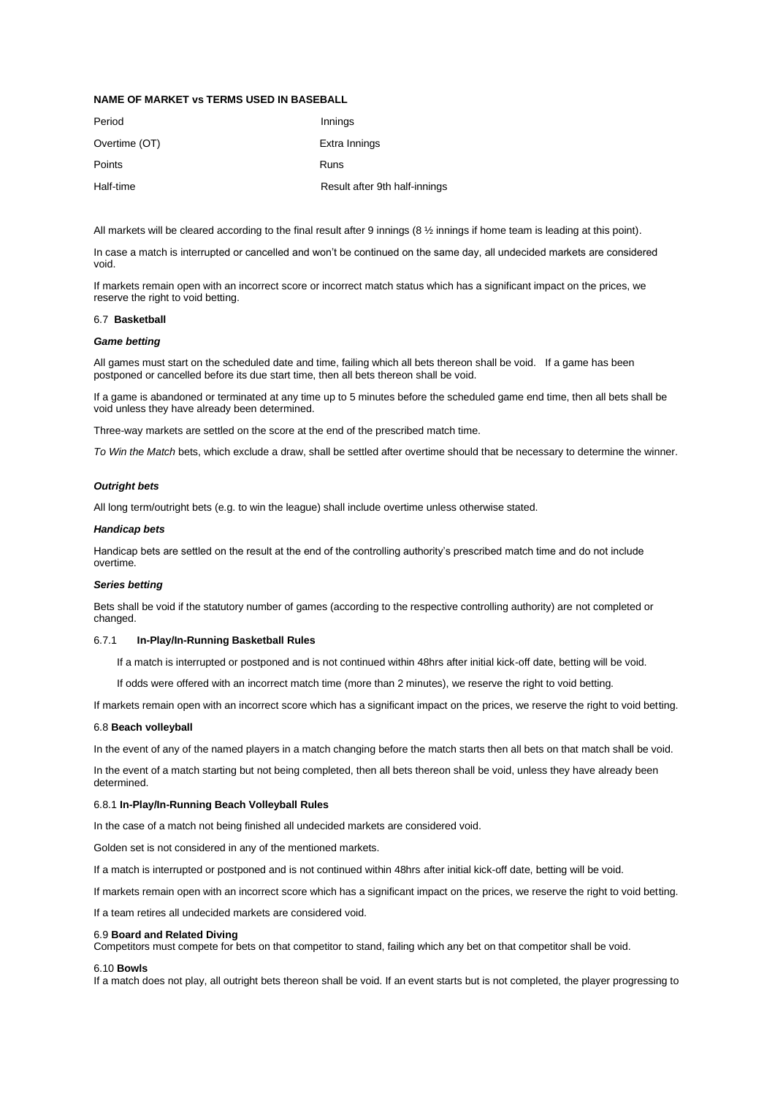## **NAME OF MARKET vs TERMS USED IN BASEBALL**

| Period        | Innings                       |
|---------------|-------------------------------|
| Overtime (OT) | Extra Innings                 |
| Points        | Runs                          |
| Half-time     | Result after 9th half-innings |

All markets will be cleared according to the final result after 9 innings (8  $\frac{1}{2}$  innings if home team is leading at this point).

In case a match is interrupted or cancelled and won't be continued on the same day, all undecided markets are considered void.

If markets remain open with an incorrect score or incorrect match status which has a significant impact on the prices, we reserve the right to void betting.

## 6.7 **Basketball**

### *Game betting*

All games must start on the scheduled date and time, failing which all bets thereon shall be void. If a game has been postponed or cancelled before its due start time, then all bets thereon shall be void.

If a game is abandoned or terminated at any time up to 5 minutes before the scheduled game end time, then all bets shall be void unless they have already been determined.

Three-way markets are settled on the score at the end of the prescribed match time.

*To Win the Match* bets, which exclude a draw, shall be settled after overtime should that be necessary to determine the winner.

### *Outright bets*

All long term/outright bets (e.g. to win the league) shall include overtime unless otherwise stated.

### *Handicap bets*

Handicap bets are settled on the result at the end of the controlling authority's prescribed match time and do not include overtime.

#### *Series betting*

Bets shall be void if the statutory number of games (according to the respective controlling authority) are not completed or changed.

### 6.7.1 **In-Play/In-Running Basketball Rules**

If a match is interrupted or postponed and is not continued within 48hrs after initial kick-off date, betting will be void.

If odds were offered with an incorrect match time (more than 2 minutes), we reserve the right to void betting.

If markets remain open with an incorrect score which has a significant impact on the prices, we reserve the right to void betting.

## 6.8 **Beach volleyball**

In the event of any of the named players in a match changing before the match starts then all bets on that match shall be void.

In the event of a match starting but not being completed, then all bets thereon shall be void, unless they have already been determined.

## 6.8.1 **In-Play/In-Running Beach Volleyball Rules**

In the case of a match not being finished all undecided markets are considered void.

Golden set is not considered in any of the mentioned markets.

If a match is interrupted or postponed and is not continued within 48hrs after initial kick-off date, betting will be void.

If markets remain open with an incorrect score which has a significant impact on the prices, we reserve the right to void betting.

If a team retires all undecided markets are considered void.

#### 6.9 **Board and Related Diving**

Competitors must compete for bets on that competitor to stand, failing which any bet on that competitor shall be void.

### 6.10 **Bowls**

If a match does not play, all outright bets thereon shall be void. If an event starts but is not completed, the player progressing to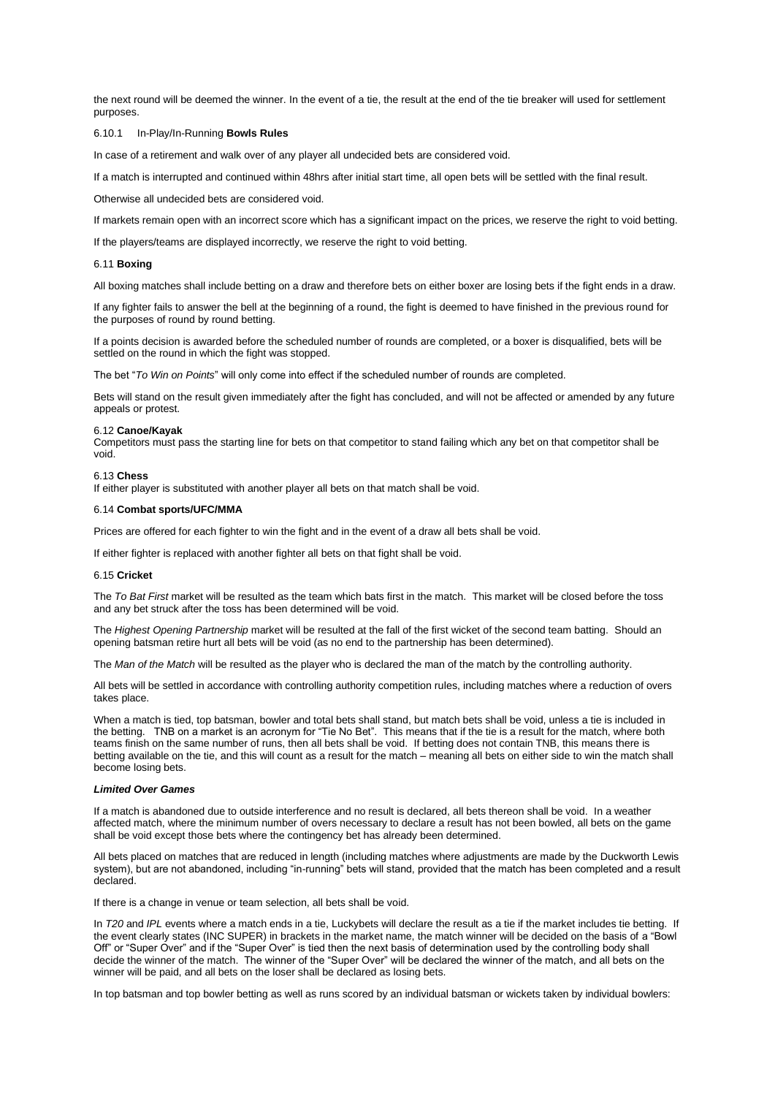the next round will be deemed the winner. In the event of a tie, the result at the end of the tie breaker will used for settlement purposes.

### 6.10.1 In-Play/In-Running **Bowls Rules**

In case of a retirement and walk over of any player all undecided bets are considered void.

If a match is interrupted and continued within 48hrs after initial start time, all open bets will be settled with the final result.

Otherwise all undecided bets are considered void.

If markets remain open with an incorrect score which has a significant impact on the prices, we reserve the right to void betting.

If the players/teams are displayed incorrectly, we reserve the right to void betting.

### 6.11 **Boxing**

All boxing matches shall include betting on a draw and therefore bets on either boxer are losing bets if the fight ends in a draw.

If any fighter fails to answer the bell at the beginning of a round, the fight is deemed to have finished in the previous round for the purposes of round by round betting.

If a points decision is awarded before the scheduled number of rounds are completed, or a boxer is disqualified, bets will be settled on the round in which the fight was stopped.

The bet "*To Win on Points*" will only come into effect if the scheduled number of rounds are completed.

Bets will stand on the result given immediately after the fight has concluded, and will not be affected or amended by any future appeals or protest.

#### 6.12 **Canoe/Kayak**

Competitors must pass the starting line for bets on that competitor to stand failing which any bet on that competitor shall be void.

### 6.13 **Chess**

If either player is substituted with another player all bets on that match shall be void.

### 6.14 **Combat sports/UFC/MMA**

Prices are offered for each fighter to win the fight and in the event of a draw all bets shall be void.

If either fighter is replaced with another fighter all bets on that fight shall be void.

### 6.15 **Cricket**

The *To Bat First* market will be resulted as the team which bats first in the match. This market will be closed before the toss and any bet struck after the toss has been determined will be void.

The *Highest Opening Partnership* market will be resulted at the fall of the first wicket of the second team batting. Should an opening batsman retire hurt all bets will be void (as no end to the partnership has been determined).

The *Man of the Match* will be resulted as the player who is declared the man of the match by the controlling authority.

All bets will be settled in accordance with controlling authority competition rules, including matches where a reduction of overs takes place.

When a match is tied, top batsman, bowler and total bets shall stand, but match bets shall be void, unless a tie is included in the betting. TNB on a market is an acronym for "Tie No Bet". This means that if the tie is a result for the match, where both teams finish on the same number of runs, then all bets shall be void. If betting does not contain TNB, this means there is betting available on the tie, and this will count as a result for the match – meaning all bets on either side to win the match shall become losing bets.

## *Limited Over Games*

If a match is abandoned due to outside interference and no result is declared, all bets thereon shall be void. In a weather affected match, where the minimum number of overs necessary to declare a result has not been bowled, all bets on the game shall be void except those bets where the contingency bet has already been determined.

All bets placed on matches that are reduced in length (including matches where adjustments are made by the Duckworth Lewis system), but are not abandoned, including "in-running" bets will stand, provided that the match has been completed and a result declared.

If there is a change in venue or team selection, all bets shall be void.

In *T20* and *IPL* events where a match ends in a tie, Luckybets will declare the result as a tie if the market includes tie betting. If the event clearly states (INC SUPER) in brackets in the market name, the match winner will be decided on the basis of a "Bowl Off" or "Super Over" and if the "Super Over" is tied then the next basis of determination used by the controlling body shall decide the winner of the match. The winner of the "Super Over" will be declared the winner of the match, and all bets on the winner will be paid, and all bets on the loser shall be declared as losing bets.

In top batsman and top bowler betting as well as runs scored by an individual batsman or wickets taken by individual bowlers: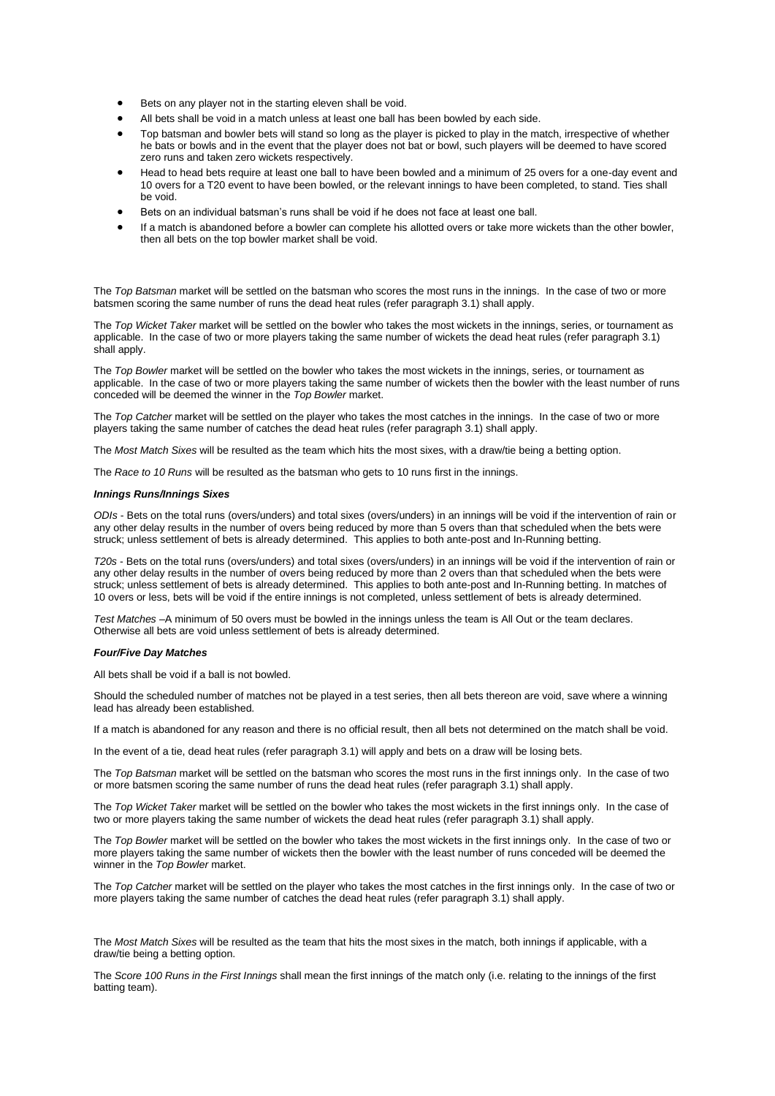- Bets on any player not in the starting eleven shall be void.
- All bets shall be void in a match unless at least one ball has been bowled by each side.
- Top batsman and bowler bets will stand so long as the player is picked to play in the match, irrespective of whether he bats or bowls and in the event that the player does not bat or bowl, such players will be deemed to have scored zero runs and taken zero wickets respectively.
- Head to head bets require at least one ball to have been bowled and a minimum of 25 overs for a one-day event and 10 overs for a T20 event to have been bowled, or the relevant innings to have been completed, to stand. Ties shall be void.
- Bets on an individual batsman's runs shall be void if he does not face at least one ball.
- If a match is abandoned before a bowler can complete his allotted overs or take more wickets than the other bowler. then all bets on the top bowler market shall be void.

The *Top Batsman* market will be settled on the batsman who scores the most runs in the innings. In the case of two or more batsmen scoring the same number of runs the dead heat rules (refer paragraph 3.1) shall apply.

The *Top Wicket Taker* market will be settled on the bowler who takes the most wickets in the innings, series, or tournament as applicable. In the case of two or more players taking the same number of wickets the dead heat rules (refer paragraph 3.1) shall apply.

The *Top Bowler* market will be settled on the bowler who takes the most wickets in the innings, series, or tournament as applicable. In the case of two or more players taking the same number of wickets then the bowler with the least number of runs conceded will be deemed the winner in the *Top Bowler* market.

The *Top Catcher* market will be settled on the player who takes the most catches in the innings. In the case of two or more players taking the same number of catches the dead heat rules (refer paragraph 3.1) shall apply.

The *Most Match Sixes* will be resulted as the team which hits the most sixes, with a draw/tie being a betting option.

The *Race to 10 Runs* will be resulted as the batsman who gets to 10 runs first in the innings.

## *Innings Runs/Innings Sixes*

*ODIs* - Bets on the total runs (overs/unders) and total sixes (overs/unders) in an innings will be void if the intervention of rain or any other delay results in the number of overs being reduced by more than 5 overs than that scheduled when the bets were struck; unless settlement of bets is already determined. This applies to both ante-post and In-Running betting.

*T20s* - Bets on the total runs (overs/unders) and total sixes (overs/unders) in an innings will be void if the intervention of rain or any other delay results in the number of overs being reduced by more than 2 overs than that scheduled when the bets were struck; unless settlement of bets is already determined. This applies to both ante-post and In-Running betting. In matches of 10 overs or less, bets will be void if the entire innings is not completed, unless settlement of bets is already determined.

*Test Matches* –A minimum of 50 overs must be bowled in the innings unless the team is All Out or the team declares. Otherwise all bets are void unless settlement of bets is already determined.

### *Four/Five Day Matches*

All bets shall be void if a ball is not bowled.

Should the scheduled number of matches not be played in a test series, then all bets thereon are void, save where a winning lead has already been established.

If a match is abandoned for any reason and there is no official result, then all bets not determined on the match shall be void.

In the event of a tie, dead heat rules (refer paragraph 3.1) will apply and bets on a draw will be losing bets.

The *Top Batsman* market will be settled on the batsman who scores the most runs in the first innings only. In the case of two or more batsmen scoring the same number of runs the dead heat rules (refer paragraph 3.1) shall apply.

The *Top Wicket Taker* market will be settled on the bowler who takes the most wickets in the first innings only. In the case of two or more players taking the same number of wickets the dead heat rules (refer paragraph 3.1) shall apply.

The *Top Bowler* market will be settled on the bowler who takes the most wickets in the first innings only. In the case of two or more players taking the same number of wickets then the bowler with the least number of runs conceded will be deemed the winner in the *Top Bowler* market.

The *Top Catcher* market will be settled on the player who takes the most catches in the first innings only. In the case of two or more players taking the same number of catches the dead heat rules (refer paragraph 3.1) shall apply.

The *Most Match Sixes* will be resulted as the team that hits the most sixes in the match, both innings if applicable, with a draw/tie being a betting option.

The *Score 100 Runs in the First Innings* shall mean the first innings of the match only (i.e. relating to the innings of the first batting team).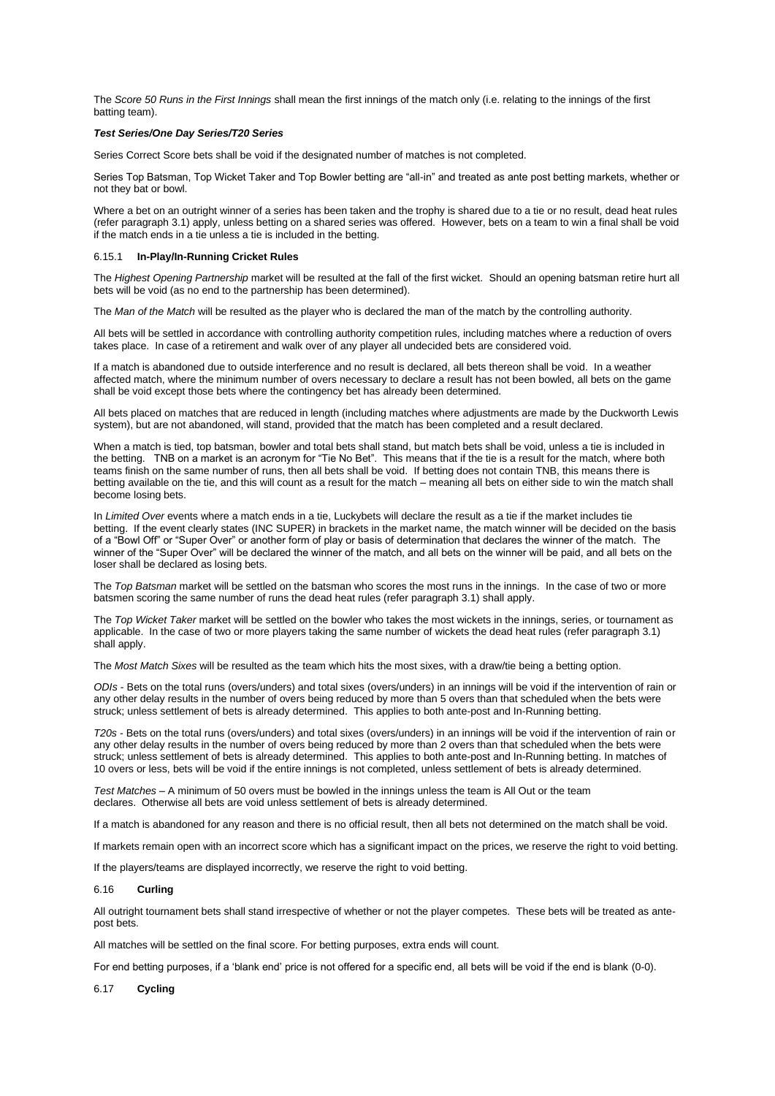The *Score 50 Runs in the First Innings* shall mean the first innings of the match only (i.e. relating to the innings of the first batting team).

### *Test Series/One Day Series/T20 Series*

Series Correct Score bets shall be void if the designated number of matches is not completed.

Series Top Batsman, Top Wicket Taker and Top Bowler betting are "all-in" and treated as ante post betting markets, whether or not they bat or bowl.

Where a bet on an outright winner of a series has been taken and the trophy is shared due to a tie or no result, dead heat rules (refer paragraph 3.1) apply, unless betting on a shared series was offered. However, bets on a team to win a final shall be void if the match ends in a tie unless a tie is included in the betting.

### 6.15.1 **In-Play/In-Running Cricket Rules**

The *Highest Opening Partnership* market will be resulted at the fall of the first wicket. Should an opening batsman retire hurt all bets will be void (as no end to the partnership has been determined).

The *Man of the Match* will be resulted as the player who is declared the man of the match by the controlling authority.

All bets will be settled in accordance with controlling authority competition rules, including matches where a reduction of overs takes place. In case of a retirement and walk over of any player all undecided bets are considered void.

If a match is abandoned due to outside interference and no result is declared, all bets thereon shall be void. In a weather affected match, where the minimum number of overs necessary to declare a result has not been bowled, all bets on the game shall be void except those bets where the contingency bet has already been determined.

All bets placed on matches that are reduced in length (including matches where adjustments are made by the Duckworth Lewis system), but are not abandoned, will stand, provided that the match has been completed and a result declared.

When a match is tied, top batsman, bowler and total bets shall stand, but match bets shall be void, unless a tie is included in the betting. TNB on a market is an acronym for "Tie No Bet". This means that if the tie is a result for the match, where both teams finish on the same number of runs, then all bets shall be void. If betting does not contain TNB, this means there is betting available on the tie, and this will count as a result for the match – meaning all bets on either side to win the match shall become losing bets.

In *Limited Over* events where a match ends in a tie, Luckybets will declare the result as a tie if the market includes tie betting. If the event clearly states (INC SUPER) in brackets in the market name, the match winner will be decided on the basis of a "Bowl Off" or "Super Over" or another form of play or basis of determination that declares the winner of the match. The winner of the "Super Over" will be declared the winner of the match, and all bets on the winner will be paid, and all bets on the loser shall be declared as losing bets.

The *Top Batsman* market will be settled on the batsman who scores the most runs in the innings. In the case of two or more batsmen scoring the same number of runs the dead heat rules (refer paragraph 3.1) shall apply.

The *Top Wicket Taker* market will be settled on the bowler who takes the most wickets in the innings, series, or tournament as applicable. In the case of two or more players taking the same number of wickets the dead heat rules (refer paragraph 3.1) shall apply.

The *Most Match Sixes* will be resulted as the team which hits the most sixes, with a draw/tie being a betting option.

*ODIs* - Bets on the total runs (overs/unders) and total sixes (overs/unders) in an innings will be void if the intervention of rain or any other delay results in the number of overs being reduced by more than 5 overs than that scheduled when the bets were struck; unless settlement of bets is already determined. This applies to both ante-post and In-Running betting.

*T20s* - Bets on the total runs (overs/unders) and total sixes (overs/unders) in an innings will be void if the intervention of rain or any other delay results in the number of overs being reduced by more than 2 overs than that scheduled when the bets were struck; unless settlement of bets is already determined. This applies to both ante-post and In-Running betting. In matches of 10 overs or less, bets will be void if the entire innings is not completed, unless settlement of bets is already determined.

*Test Matches* – A minimum of 50 overs must be bowled in the innings unless the team is All Out or the team declares. Otherwise all bets are void unless settlement of bets is already determined.

If a match is abandoned for any reason and there is no official result, then all bets not determined on the match shall be void.

If markets remain open with an incorrect score which has a significant impact on the prices, we reserve the right to void betting.

If the players/teams are displayed incorrectly, we reserve the right to void betting.

## 6.16 **Curling**

All outright tournament bets shall stand irrespective of whether or not the player competes. These bets will be treated as antepost bets.

All matches will be settled on the final score. For betting purposes, extra ends will count.

For end betting purposes, if a 'blank end' price is not offered for a specific end, all bets will be void if the end is blank (0-0).

### 6.17 **Cycling**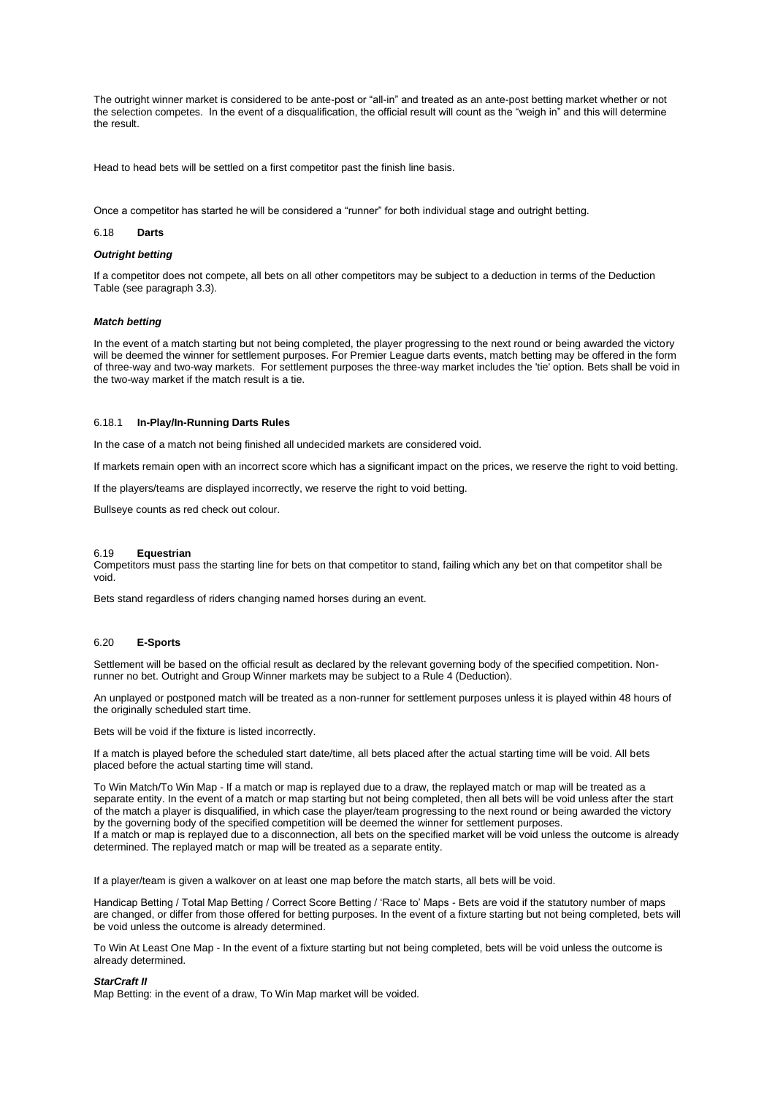The outright winner market is considered to be ante-post or "all-in" and treated as an ante-post betting market whether or not the selection competes. In the event of a disqualification, the official result will count as the "weigh in" and this will determine the result.

Head to head bets will be settled on a first competitor past the finish line basis.

Once a competitor has started he will be considered a "runner" for both individual stage and outright betting.

### 6.18 **Darts**

## *Outright betting*

If a competitor does not compete, all bets on all other competitors may be subject to a deduction in terms of the Deduction Table (see paragraph 3.3).

## *Match betting*

In the event of a match starting but not being completed, the player progressing to the next round or being awarded the victory will be deemed the winner for settlement purposes. For Premier League darts events, match betting may be offered in the form of three-way and two-way markets. For settlement purposes the three-way market includes the 'tie' option. Bets shall be void in the two-way market if the match result is a tie.

### 6.18.1 **In-Play/In-Running Darts Rules**

In the case of a match not being finished all undecided markets are considered void.

If markets remain open with an incorrect score which has a significant impact on the prices, we reserve the right to void betting.

If the players/teams are displayed incorrectly, we reserve the right to void betting.

Bullseye counts as red check out colour.

### 6.19 **Equestrian**

Competitors must pass the starting line for bets on that competitor to stand, failing which any bet on that competitor shall be void.

Bets stand regardless of riders changing named horses during an event.

## 6.20 **E-Sports**

Settlement will be based on the official result as declared by the relevant governing body of the specified competition. Nonrunner no bet. Outright and Group Winner markets may be subject to a Rule 4 (Deduction).

An unplayed or postponed match will be treated as a non-runner for settlement purposes unless it is played within 48 hours of the originally scheduled start time.

Bets will be void if the fixture is listed incorrectly.

If a match is played before the scheduled start date/time, all bets placed after the actual starting time will be void. All bets placed before the actual starting time will stand.

To Win Match/To Win Map - If a match or map is replayed due to a draw, the replayed match or map will be treated as a separate entity. In the event of a match or map starting but not being completed, then all bets will be void unless after the start of the match a player is disqualified, in which case the player/team progressing to the next round or being awarded the victory by the governing body of the specified competition will be deemed the winner for settlement purposes. If a match or map is replayed due to a disconnection, all bets on the specified market will be void unless the outcome is already determined. The replayed match or map will be treated as a separate entity.

If a player/team is given a walkover on at least one map before the match starts, all bets will be void.

Handicap Betting / Total Map Betting / Correct Score Betting / 'Race to' Maps - Bets are void if the statutory number of maps are changed, or differ from those offered for betting purposes. In the event of a fixture starting but not being completed, bets will be void unless the outcome is already determined.

To Win At Least One Map - In the event of a fixture starting but not being completed, bets will be void unless the outcome is already determined.

## *StarCraft II*

Map Betting: in the event of a draw, To Win Map market will be voided.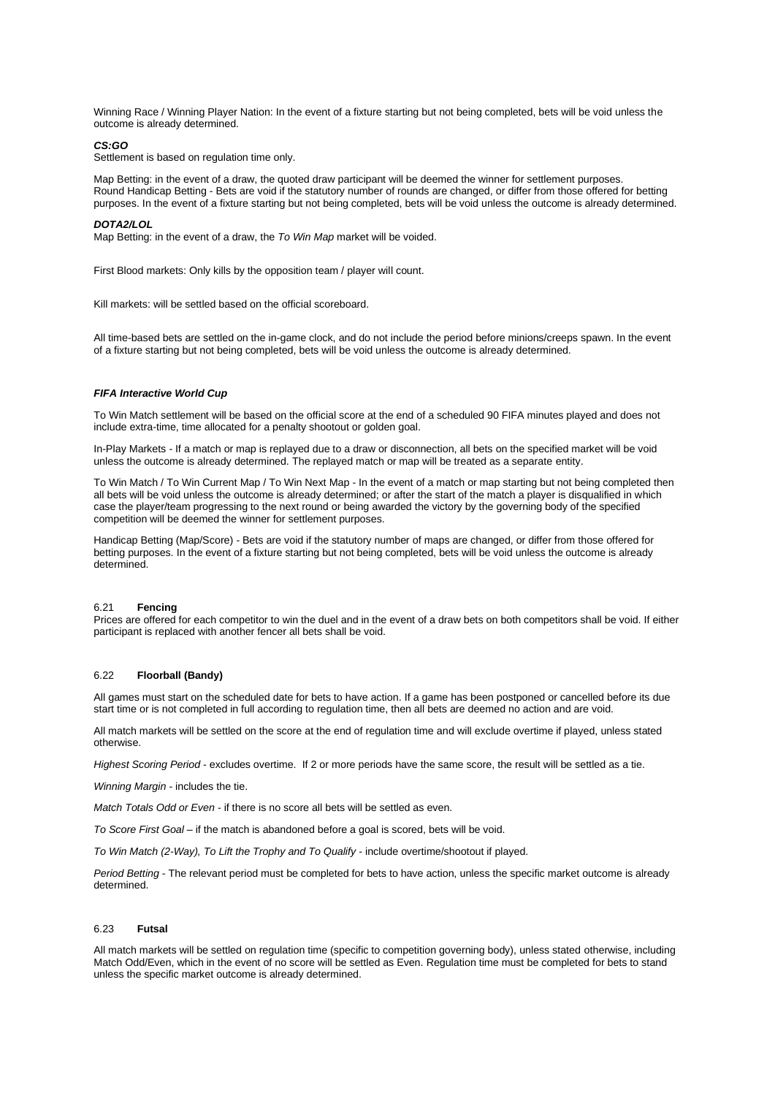Winning Race / Winning Player Nation: In the event of a fixture starting but not being completed, bets will be void unless the outcome is already determined.

### *CS:GO*

Settlement is based on regulation time only.

Map Betting: in the event of a draw, the quoted draw participant will be deemed the winner for settlement purposes. Round Handicap Betting - Bets are void if the statutory number of rounds are changed, or differ from those offered for betting purposes. In the event of a fixture starting but not being completed, bets will be void unless the outcome is already determined.

### *DOTA2/LOL*

Map Betting: in the event of a draw, the *To Win Map* market will be voided.

First Blood markets: Only kills by the opposition team / player will count.

Kill markets: will be settled based on the official scoreboard.

All time-based bets are settled on the in-game clock, and do not include the period before minions/creeps spawn. In the event of a fixture starting but not being completed, bets will be void unless the outcome is already determined.

### *FIFA Interactive World Cup*

To Win Match settlement will be based on the official score at the end of a scheduled 90 FIFA minutes played and does not include extra-time, time allocated for a penalty shootout or golden goal.

In-Play Markets - If a match or map is replayed due to a draw or disconnection, all bets on the specified market will be void unless the outcome is already determined. The replayed match or map will be treated as a separate entity.

To Win Match / To Win Current Map / To Win Next Map - In the event of a match or map starting but not being completed then all bets will be void unless the outcome is already determined; or after the start of the match a player is disqualified in which case the player/team progressing to the next round or being awarded the victory by the governing body of the specified competition will be deemed the winner for settlement purposes.

Handicap Betting (Map/Score) - Bets are void if the statutory number of maps are changed, or differ from those offered for betting purposes. In the event of a fixture starting but not being completed, bets will be void unless the outcome is already determined.

### 6.21 **Fencing**

Prices are offered for each competitor to win the duel and in the event of a draw bets on both competitors shall be void. If either participant is replaced with another fencer all bets shall be void.

## 6.22 **Floorball (Bandy)**

All games must start on the scheduled date for bets to have action. If a game has been postponed or cancelled before its due start time or is not completed in full according to regulation time, then all bets are deemed no action and are void.

All match markets will be settled on the score at the end of regulation time and will exclude overtime if played, unless stated otherwise.

*Highest Scoring Period* - excludes overtime. If 2 or more periods have the same score, the result will be settled as a tie.

*Winning Margin* - includes the tie.

*Match Totals Odd or Even* - if there is no score all bets will be settled as even.

*To Score First Goal* – if the match is abandoned before a goal is scored, bets will be void.

*To Win Match (2-Way), To Lift the Trophy and To Qualify* - include overtime/shootout if played.

*Period Betting* - The relevant period must be completed for bets to have action, unless the specific market outcome is already determined.

#### 6.23 **Futsal**

All match markets will be settled on regulation time (specific to competition governing body), unless stated otherwise, including Match Odd/Even, which in the event of no score will be settled as Even. Regulation time must be completed for bets to stand unless the specific market outcome is already determined.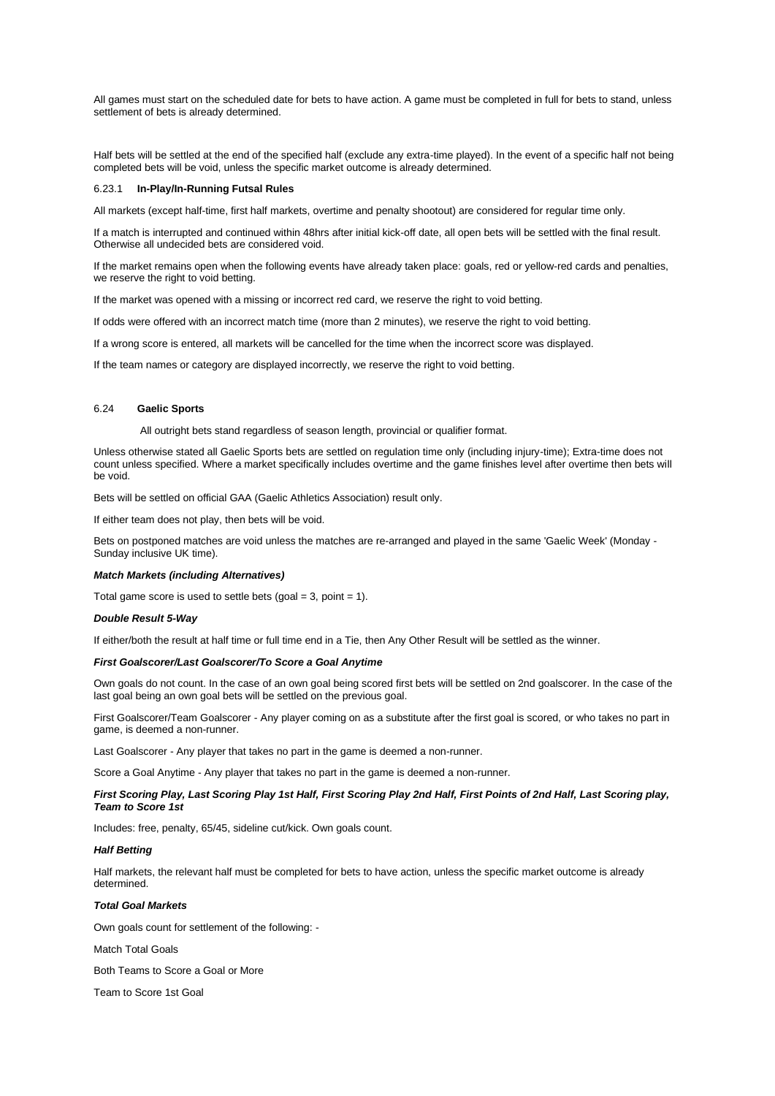All games must start on the scheduled date for bets to have action. A game must be completed in full for bets to stand, unless settlement of bets is already determined.

Half bets will be settled at the end of the specified half (exclude any extra-time played). In the event of a specific half not being completed bets will be void, unless the specific market outcome is already determined.

### 6.23.1 **In-Play/In-Running Futsal Rules**

All markets (except half-time, first half markets, overtime and penalty shootout) are considered for regular time only.

If a match is interrupted and continued within 48hrs after initial kick-off date, all open bets will be settled with the final result. Otherwise all undecided bets are considered void.

If the market remains open when the following events have already taken place: goals, red or yellow-red cards and penalties, we reserve the right to void betting.

If the market was opened with a missing or incorrect red card, we reserve the right to void betting.

If odds were offered with an incorrect match time (more than 2 minutes), we reserve the right to void betting.

If a wrong score is entered, all markets will be cancelled for the time when the incorrect score was displayed.

If the team names or category are displayed incorrectly, we reserve the right to void betting.

## 6.24 **Gaelic Sports**

All outright bets stand regardless of season length, provincial or qualifier format.

Unless otherwise stated all Gaelic Sports bets are settled on regulation time only (including injury-time); Extra-time does not count unless specified. Where a market specifically includes overtime and the game finishes level after overtime then bets will be void.

Bets will be settled on official GAA (Gaelic Athletics Association) result only.

If either team does not play, then bets will be void.

Bets on postponed matches are void unless the matches are re-arranged and played in the same 'Gaelic Week' (Monday - Sunday inclusive UK time).

## *Match Markets (including Alternatives)*

Total game score is used to settle bets (goal  $=$  3, point  $=$  1).

### *Double Result 5-Way*

If either/both the result at half time or full time end in a Tie, then Any Other Result will be settled as the winner.

## *First Goalscorer/Last Goalscorer/To Score a Goal Anytime*

Own goals do not count. In the case of an own goal being scored first bets will be settled on 2nd goalscorer. In the case of the last goal being an own goal bets will be settled on the previous goal.

First Goalscorer/Team Goalscorer - Any player coming on as a substitute after the first goal is scored, or who takes no part in game, is deemed a non-runner.

Last Goalscorer - Any player that takes no part in the game is deemed a non-runner.

Score a Goal Anytime - Any player that takes no part in the game is deemed a non-runner.

## *First Scoring Play, Last Scoring Play 1st Half, First Scoring Play 2nd Half, First Points of 2nd Half, Last Scoring play, Team to Score 1st*

Includes: free, penalty, 65/45, sideline cut/kick. Own goals count.

### *Half Betting*

Half markets, the relevant half must be completed for bets to have action, unless the specific market outcome is already determined.

## *Total Goal Markets*

Own goals count for settlement of the following: -

Match Total Goals

Both Teams to Score a Goal or More

Team to Score 1st Goal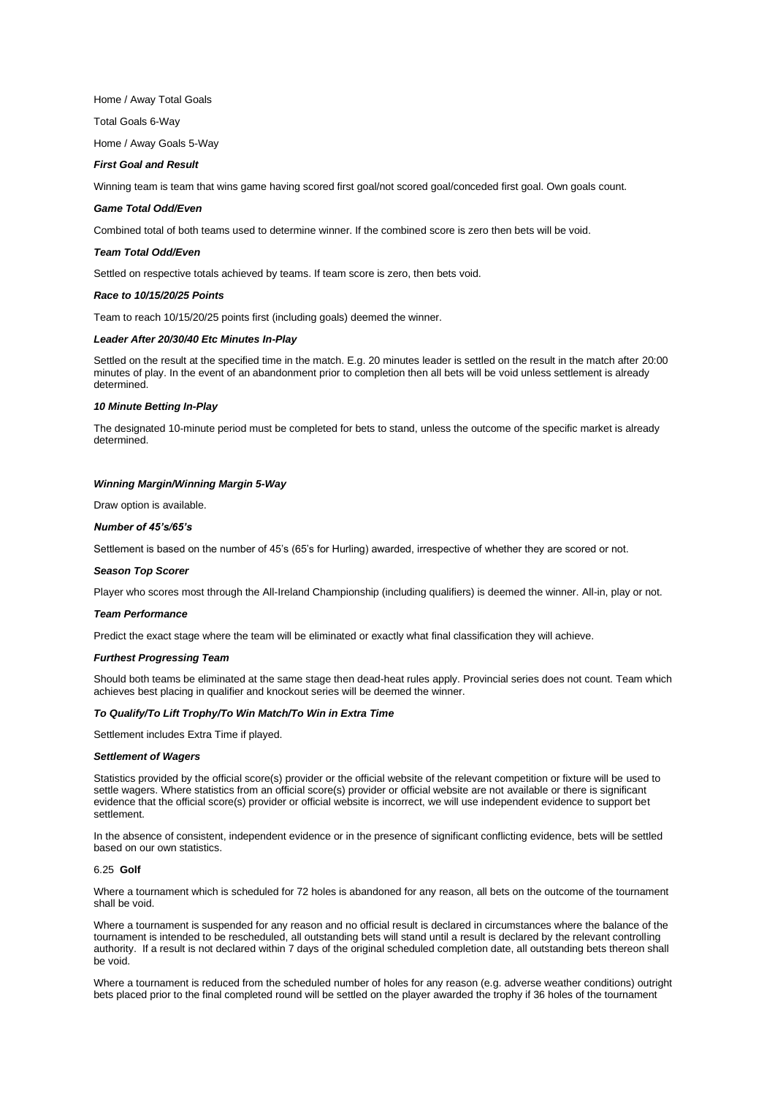Home / Away Total Goals

Total Goals 6-Way

Home / Away Goals 5-Way

## *First Goal and Result*

Winning team is team that wins game having scored first goal/not scored goal/conceded first goal. Own goals count.

## *Game Total Odd/Even*

Combined total of both teams used to determine winner. If the combined score is zero then bets will be void.

#### *Team Total Odd/Even*

Settled on respective totals achieved by teams. If team score is zero, then bets void.

### *Race to 10/15/20/25 Points*

Team to reach 10/15/20/25 points first (including goals) deemed the winner.

#### *Leader After 20/30/40 Etc Minutes In-Play*

Settled on the result at the specified time in the match. E.g. 20 minutes leader is settled on the result in the match after 20:00 minutes of play. In the event of an abandonment prior to completion then all bets will be void unless settlement is already determined.

### *10 Minute Betting In-Play*

The designated 10-minute period must be completed for bets to stand, unless the outcome of the specific market is already determined.

## *Winning Margin/Winning Margin 5-Way*

Draw option is available.

## *Number of 45's/65's*

Settlement is based on the number of 45's (65's for Hurling) awarded, irrespective of whether they are scored or not.

### *Season Top Scorer*

Player who scores most through the All-Ireland Championship (including qualifiers) is deemed the winner. All-in, play or not.

## *Team Performance*

Predict the exact stage where the team will be eliminated or exactly what final classification they will achieve.

#### *Furthest Progressing Team*

Should both teams be eliminated at the same stage then dead-heat rules apply. Provincial series does not count. Team which achieves best placing in qualifier and knockout series will be deemed the winner.

## *To Qualify/To Lift Trophy/To Win Match/To Win in Extra Time*

Settlement includes Extra Time if played.

### *Settlement of Wagers*

Statistics provided by the official score(s) provider or the official website of the relevant competition or fixture will be used to settle wagers. Where statistics from an official score(s) provider or official website are not available or there is significant evidence that the official score(s) provider or official website is incorrect, we will use independent evidence to support bet settlement.

In the absence of consistent, independent evidence or in the presence of significant conflicting evidence, bets will be settled based on our own statistics.

## 6.25 **Golf**

Where a tournament which is scheduled for 72 holes is abandoned for any reason, all bets on the outcome of the tournament shall be void.

Where a tournament is suspended for any reason and no official result is declared in circumstances where the balance of the tournament is intended to be rescheduled, all outstanding bets will stand until a result is declared by the relevant controlling authority. If a result is not declared within 7 days of the original scheduled completion date, all outstanding bets thereon shall be void.

Where a tournament is reduced from the scheduled number of holes for any reason (e.g. adverse weather conditions) outright bets placed prior to the final completed round will be settled on the player awarded the trophy if 36 holes of the tournament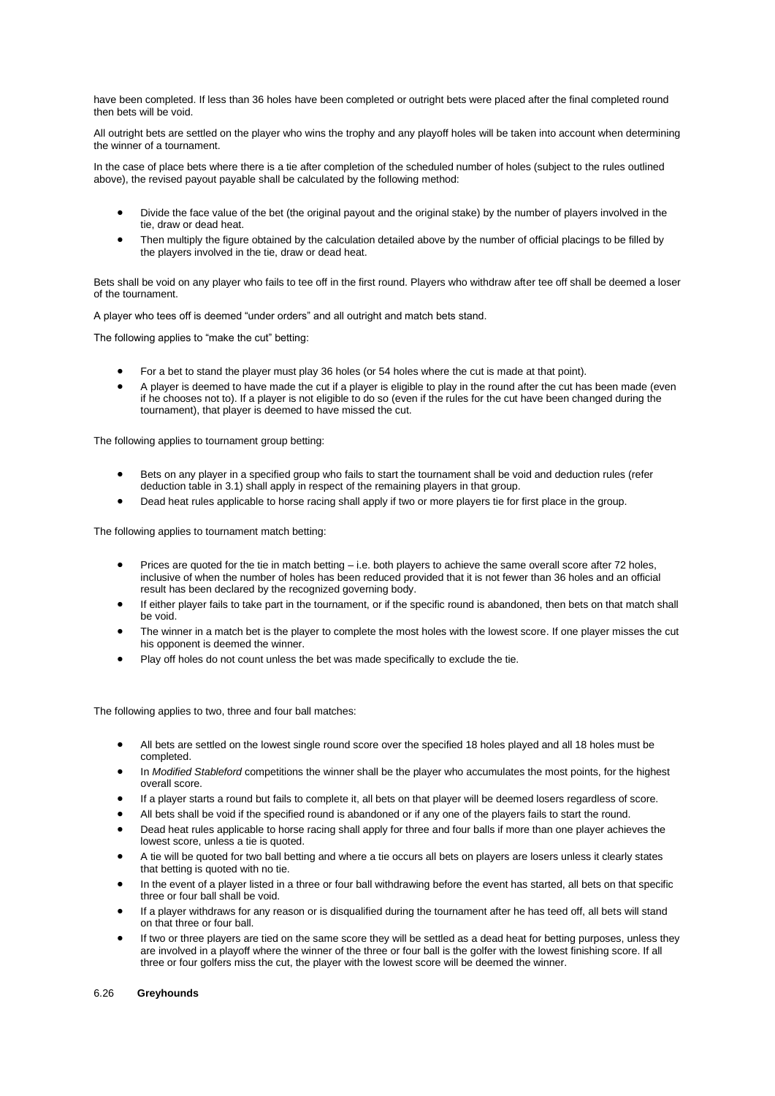have been completed. If less than 36 holes have been completed or outright bets were placed after the final completed round then bets will be void.

All outright bets are settled on the player who wins the trophy and any playoff holes will be taken into account when determining the winner of a tournament.

In the case of place bets where there is a tie after completion of the scheduled number of holes (subject to the rules outlined above), the revised payout payable shall be calculated by the following method:

- Divide the face value of the bet (the original payout and the original stake) by the number of players involved in the tie, draw or dead heat.
- Then multiply the figure obtained by the calculation detailed above by the number of official placings to be filled by the players involved in the tie, draw or dead heat.

Bets shall be void on any player who fails to tee off in the first round. Players who withdraw after tee off shall be deemed a loser of the tournament.

A player who tees off is deemed "under orders" and all outright and match bets stand.

The following applies to "make the cut" betting:

- For a bet to stand the player must play 36 holes (or 54 holes where the cut is made at that point).
- A player is deemed to have made the cut if a player is eligible to play in the round after the cut has been made (even if he chooses not to). If a player is not eligible to do so (even if the rules for the cut have been changed during the tournament), that player is deemed to have missed the cut.

The following applies to tournament group betting:

- Bets on any player in a specified group who fails to start the tournament shall be void and deduction rules (refer deduction table in 3.1) shall apply in respect of the remaining players in that group.
- Dead heat rules applicable to horse racing shall apply if two or more players tie for first place in the group.

The following applies to tournament match betting:

- Prices are quoted for the tie in match betting i.e. both players to achieve the same overall score after 72 holes, inclusive of when the number of holes has been reduced provided that it is not fewer than 36 holes and an official result has been declared by the recognized governing body.
- If either player fails to take part in the tournament, or if the specific round is abandoned, then bets on that match shall be void.
- The winner in a match bet is the player to complete the most holes with the lowest score. If one player misses the cut his opponent is deemed the winner.
- Play off holes do not count unless the bet was made specifically to exclude the tie.

The following applies to two, three and four ball matches:

- All bets are settled on the lowest single round score over the specified 18 holes played and all 18 holes must be completed.
- In *Modified Stableford* competitions the winner shall be the player who accumulates the most points, for the highest overall score.
- If a player starts a round but fails to complete it, all bets on that player will be deemed losers regardless of score.
- All bets shall be void if the specified round is abandoned or if any one of the players fails to start the round.
- Dead heat rules applicable to horse racing shall apply for three and four balls if more than one player achieves the lowest score, unless a tie is quoted.
- A tie will be quoted for two ball betting and where a tie occurs all bets on players are losers unless it clearly states that betting is quoted with no tie.
- In the event of a player listed in a three or four ball withdrawing before the event has started, all bets on that specific three or four ball shall be void.
- If a player withdraws for any reason or is disqualified during the tournament after he has teed off, all bets will stand on that three or four ball.
- If two or three players are tied on the same score they will be settled as a dead heat for betting purposes, unless they are involved in a playoff where the winner of the three or four ball is the golfer with the lowest finishing score. If all three or four golfers miss the cut, the player with the lowest score will be deemed the winner.

### 6.26 **Greyhounds**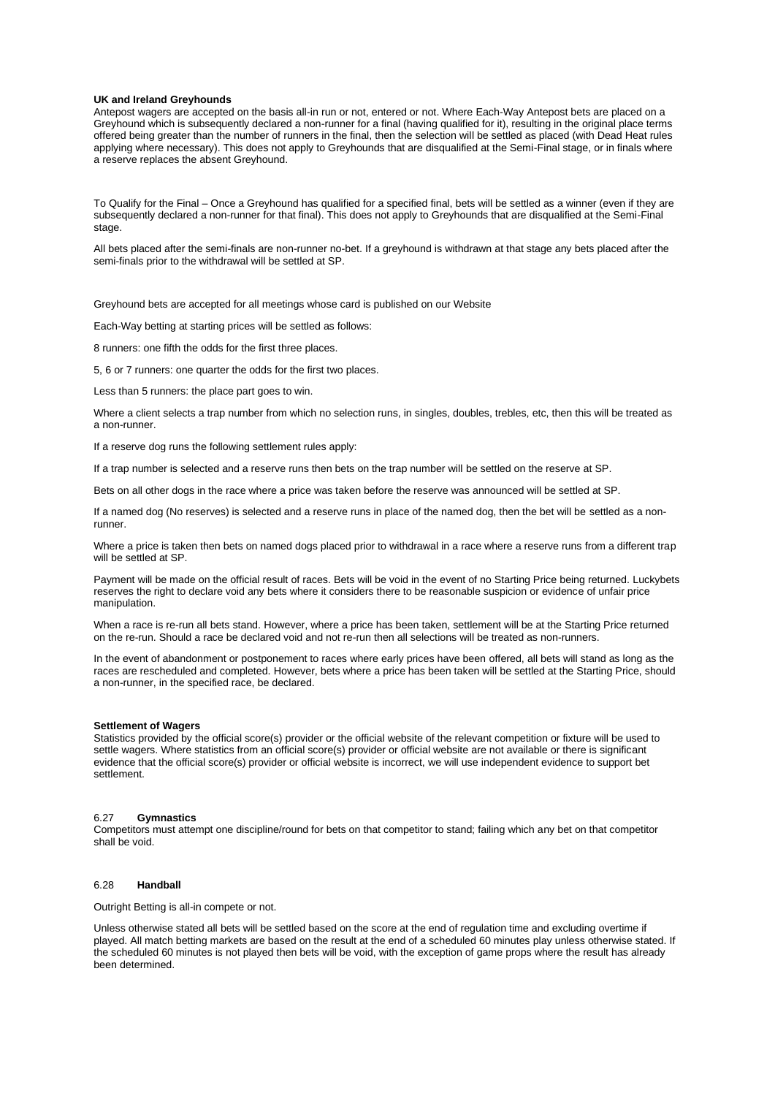### **UK and Ireland Greyhounds**

Antepost wagers are accepted on the basis all-in run or not, entered or not. Where Each-Way Antepost bets are placed on a Greyhound which is subsequently declared a non-runner for a final (having qualified for it), resulting in the original place terms offered being greater than the number of runners in the final, then the selection will be settled as placed (with Dead Heat rules applying where necessary). This does not apply to Greyhounds that are disqualified at the Semi-Final stage, or in finals where a reserve replaces the absent Greyhound.

To Qualify for the Final – Once a Greyhound has qualified for a specified final, bets will be settled as a winner (even if they are subsequently declared a non-runner for that final). This does not apply to Greyhounds that are disqualified at the Semi-Final stage.

All bets placed after the semi-finals are non-runner no-bet. If a greyhound is withdrawn at that stage any bets placed after the semi-finals prior to the withdrawal will be settled at SP.

Greyhound bets are accepted for all meetings whose card is published on our Website

Each-Way betting at starting prices will be settled as follows:

8 runners: one fifth the odds for the first three places.

5, 6 or 7 runners: one quarter the odds for the first two places.

Less than 5 runners: the place part goes to win.

Where a client selects a trap number from which no selection runs, in singles, doubles, trebles, etc, then this will be treated as a non-runner.

If a reserve dog runs the following settlement rules apply:

If a trap number is selected and a reserve runs then bets on the trap number will be settled on the reserve at SP.

Bets on all other dogs in the race where a price was taken before the reserve was announced will be settled at SP.

If a named dog (No reserves) is selected and a reserve runs in place of the named dog, then the bet will be settled as a nonrunner.

Where a price is taken then bets on named dogs placed prior to withdrawal in a race where a reserve runs from a different trap will be settled at SP.

Payment will be made on the official result of races. Bets will be void in the event of no Starting Price being returned. Luckybets reserves the right to declare void any bets where it considers there to be reasonable suspicion or evidence of unfair price manipulation.

When a race is re-run all bets stand. However, where a price has been taken, settlement will be at the Starting Price returned on the re-run. Should a race be declared void and not re-run then all selections will be treated as non-runners.

In the event of abandonment or postponement to races where early prices have been offered, all bets will stand as long as the races are rescheduled and completed. However, bets where a price has been taken will be settled at the Starting Price, should a non-runner, in the specified race, be declared.

#### **Settlement of Wagers**

Statistics provided by the official score(s) provider or the official website of the relevant competition or fixture will be used to settle wagers. Where statistics from an official score(s) provider or official website are not available or there is significant evidence that the official score(s) provider or official website is incorrect, we will use independent evidence to support bet settlement.

#### 6.27 **Gymnastics**

Competitors must attempt one discipline/round for bets on that competitor to stand; failing which any bet on that competitor shall be void.

## 6.28 **Handball**

Outright Betting is all-in compete or not.

Unless otherwise stated all bets will be settled based on the score at the end of regulation time and excluding overtime if played. All match betting markets are based on the result at the end of a scheduled 60 minutes play unless otherwise stated. If the scheduled 60 minutes is not played then bets will be void, with the exception of game props where the result has already been determined.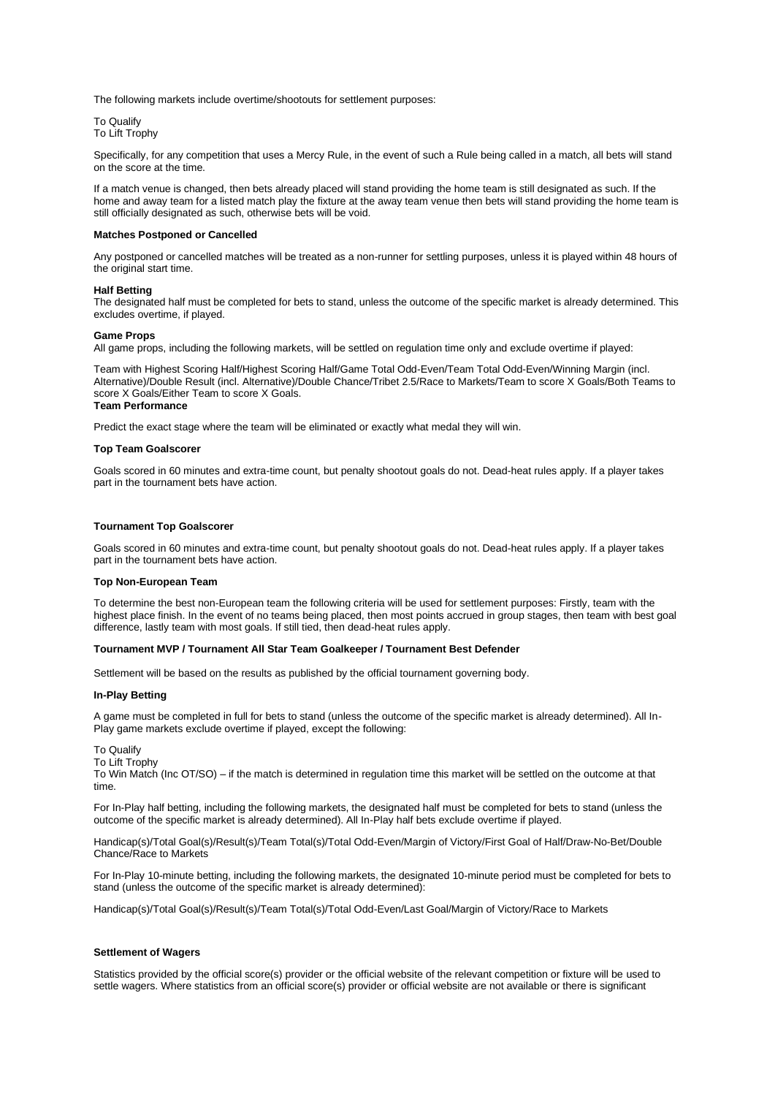The following markets include overtime/shootouts for settlement purposes:

To Qualify To Lift Trophy

Specifically, for any competition that uses a Mercy Rule, in the event of such a Rule being called in a match, all bets will stand on the score at the time.

If a match venue is changed, then bets already placed will stand providing the home team is still designated as such. If the home and away team for a listed match play the fixture at the away team venue then bets will stand providing the home team is still officially designated as such, otherwise bets will be void.

## **Matches Postponed or Cancelled**

Any postponed or cancelled matches will be treated as a non-runner for settling purposes, unless it is played within 48 hours of the original start time.

## **Half Betting**

The designated half must be completed for bets to stand, unless the outcome of the specific market is already determined. This excludes overtime, if played.

## **Game Props**

All game props, including the following markets, will be settled on regulation time only and exclude overtime if played:

Team with Highest Scoring Half/Highest Scoring Half/Game Total Odd-Even/Team Total Odd-Even/Winning Margin (incl. Alternative)/Double Result (incl. Alternative)/Double Chance/Tribet 2.5/Race to Markets/Team to score X Goals/Both Teams to score X Goals/Either Team to score X Goals. **Team Performance**

Predict the exact stage where the team will be eliminated or exactly what medal they will win.

### **Top Team Goalscorer**

Goals scored in 60 minutes and extra-time count, but penalty shootout goals do not. Dead-heat rules apply. If a player takes part in the tournament bets have action.

### **Tournament Top Goalscorer**

Goals scored in 60 minutes and extra-time count, but penalty shootout goals do not. Dead-heat rules apply. If a player takes part in the tournament bets have action.

### **Top Non-European Team**

To determine the best non-European team the following criteria will be used for settlement purposes: Firstly, team with the highest place finish. In the event of no teams being placed, then most points accrued in group stages, then team with best goal difference, lastly team with most goals. If still tied, then dead-heat rules apply.

### **Tournament MVP / Tournament All Star Team Goalkeeper / Tournament Best Defender**

Settlement will be based on the results as published by the official tournament governing body.

### **In-Play Betting**

A game must be completed in full for bets to stand (unless the outcome of the specific market is already determined). All In-Play game markets exclude overtime if played, except the following:

To Qualify

To Lift Trophy

To Win Match (Inc OT/SO) – if the match is determined in regulation time this market will be settled on the outcome at that time.

For In-Play half betting, including the following markets, the designated half must be completed for bets to stand (unless the outcome of the specific market is already determined). All In-Play half bets exclude overtime if played.

Handicap(s)/Total Goal(s)/Result(s)/Team Total(s)/Total Odd-Even/Margin of Victory/First Goal of Half/Draw-No-Bet/Double Chance/Race to Markets

For In-Play 10-minute betting, including the following markets, the designated 10-minute period must be completed for bets to stand (unless the outcome of the specific market is already determined):

Handicap(s)/Total Goal(s)/Result(s)/Team Total(s)/Total Odd-Even/Last Goal/Margin of Victory/Race to Markets

### **Settlement of Wagers**

Statistics provided by the official score(s) provider or the official website of the relevant competition or fixture will be used to settle wagers. Where statistics from an official score(s) provider or official website are not available or there is significant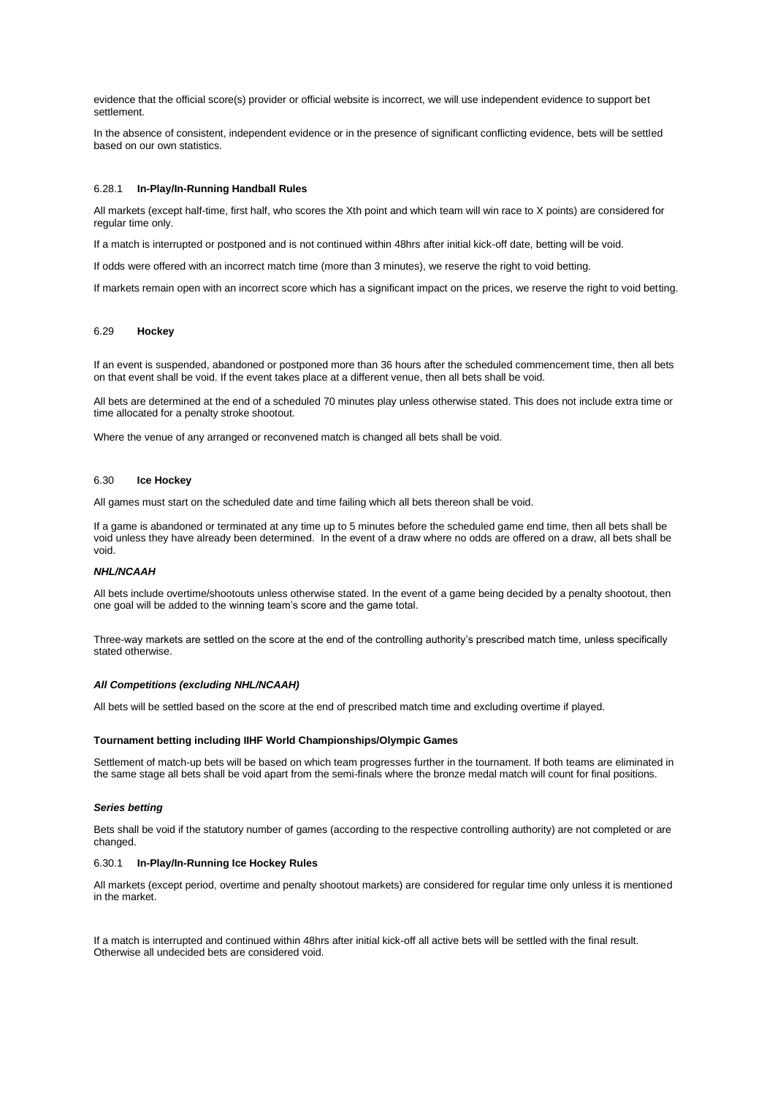evidence that the official score(s) provider or official website is incorrect, we will use independent evidence to support bet settlement.

In the absence of consistent, independent evidence or in the presence of significant conflicting evidence, bets will be settled based on our own statistics.

## 6.28.1 **In-Play/In-Running Handball Rules**

All markets (except half-time, first half, who scores the Xth point and which team will win race to X points) are considered for regular time only.

If a match is interrupted or postponed and is not continued within 48hrs after initial kick-off date, betting will be void.

If odds were offered with an incorrect match time (more than 3 minutes), we reserve the right to void betting.

If markets remain open with an incorrect score which has a significant impact on the prices, we reserve the right to void betting.

### 6.29 **Hockey**

If an event is suspended, abandoned or postponed more than 36 hours after the scheduled commencement time, then all bets on that event shall be void. If the event takes place at a different venue, then all bets shall be void.

All bets are determined at the end of a scheduled 70 minutes play unless otherwise stated. This does not include extra time or time allocated for a penalty stroke shootout.

Where the venue of any arranged or reconvened match is changed all bets shall be void.

## 6.30 **Ice Hockey**

All games must start on the scheduled date and time failing which all bets thereon shall be void.

If a game is abandoned or terminated at any time up to 5 minutes before the scheduled game end time, then all bets shall be void unless they have already been determined. In the event of a draw where no odds are offered on a draw, all bets shall be void.

### *NHL/NCAAH*

All bets include overtime/shootouts unless otherwise stated. In the event of a game being decided by a penalty shootout, then one goal will be added to the winning team's score and the game total.

Three-way markets are settled on the score at the end of the controlling authority's prescribed match time, unless specifically stated otherwise.

### *All Competitions (excluding NHL/NCAAH)*

All bets will be settled based on the score at the end of prescribed match time and excluding overtime if played.

### **Tournament betting including IIHF World Championships/Olympic Games**

Settlement of match-up bets will be based on which team progresses further in the tournament. If both teams are eliminated in the same stage all bets shall be void apart from the semi-finals where the bronze medal match will count for final positions.

#### *Series betting*

Bets shall be void if the statutory number of games (according to the respective controlling authority) are not completed or are changed.

# 6.30.1 **In-Play/In-Running Ice Hockey Rules**

All markets (except period, overtime and penalty shootout markets) are considered for regular time only unless it is mentioned in the market.

If a match is interrupted and continued within 48hrs after initial kick-off all active bets will be settled with the final result. Otherwise all undecided bets are considered void.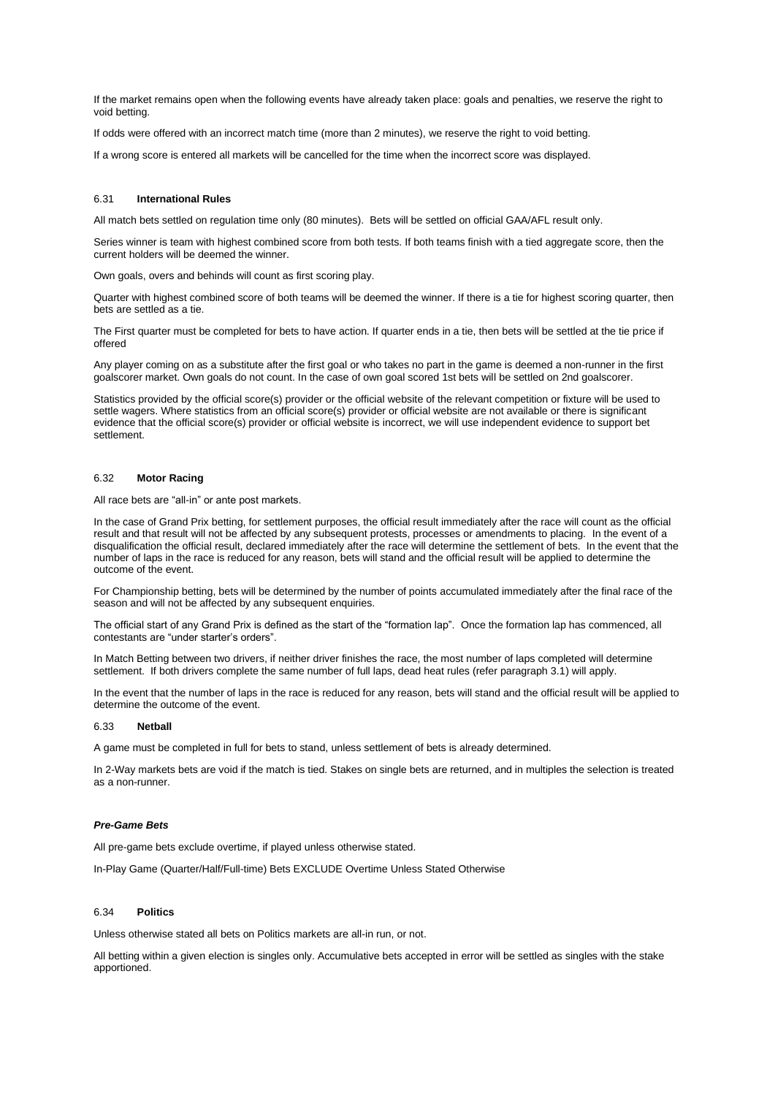If the market remains open when the following events have already taken place: goals and penalties, we reserve the right to void betting.

If odds were offered with an incorrect match time (more than 2 minutes), we reserve the right to void betting.

If a wrong score is entered all markets will be cancelled for the time when the incorrect score was displayed.

## 6.31 **International Rules**

All match bets settled on regulation time only (80 minutes). Bets will be settled on official GAA/AFL result only.

Series winner is team with highest combined score from both tests. If both teams finish with a tied aggregate score, then the current holders will be deemed the winner.

Own goals, overs and behinds will count as first scoring play.

Quarter with highest combined score of both teams will be deemed the winner. If there is a tie for highest scoring quarter, then bets are settled as a tie.

The First quarter must be completed for bets to have action. If quarter ends in a tie, then bets will be settled at the tie price if offered

Any player coming on as a substitute after the first goal or who takes no part in the game is deemed a non-runner in the first goalscorer market. Own goals do not count. In the case of own goal scored 1st bets will be settled on 2nd goalscorer.

Statistics provided by the official score(s) provider or the official website of the relevant competition or fixture will be used to settle wagers. Where statistics from an official score(s) provider or official website are not available or there is significant evidence that the official score(s) provider or official website is incorrect, we will use independent evidence to support bet settlement.

## 6.32 **Motor Racing**

All race bets are "all-in" or ante post markets.

In the case of Grand Prix betting, for settlement purposes, the official result immediately after the race will count as the official result and that result will not be affected by any subsequent protests, processes or amendments to placing. In the event of a disqualification the official result, declared immediately after the race will determine the settlement of bets. In the event that the number of laps in the race is reduced for any reason, bets will stand and the official result will be applied to determine the outcome of the event.

For Championship betting, bets will be determined by the number of points accumulated immediately after the final race of the season and will not be affected by any subsequent enquiries.

The official start of any Grand Prix is defined as the start of the "formation lap". Once the formation lap has commenced, all contestants are "under starter's orders".

In Match Betting between two drivers, if neither driver finishes the race, the most number of laps completed will determine settlement. If both drivers complete the same number of full laps, dead heat rules (refer paragraph 3.1) will apply.

In the event that the number of laps in the race is reduced for any reason, bets will stand and the official result will be applied to determine the outcome of the event.

#### 6.33 **Netball**

A game must be completed in full for bets to stand, unless settlement of bets is already determined.

In 2-Way markets bets are void if the match is tied. Stakes on single bets are returned, and in multiples the selection is treated as a non-runner.

### *Pre-Game Bets*

All pre-game bets exclude overtime, if played unless otherwise stated.

In-Play Game (Quarter/Half/Full-time) Bets EXCLUDE Overtime Unless Stated Otherwise

## 6.34 **Politics**

Unless otherwise stated all bets on Politics markets are all-in run, or not.

All betting within a given election is singles only. Accumulative bets accepted in error will be settled as singles with the stake apportioned.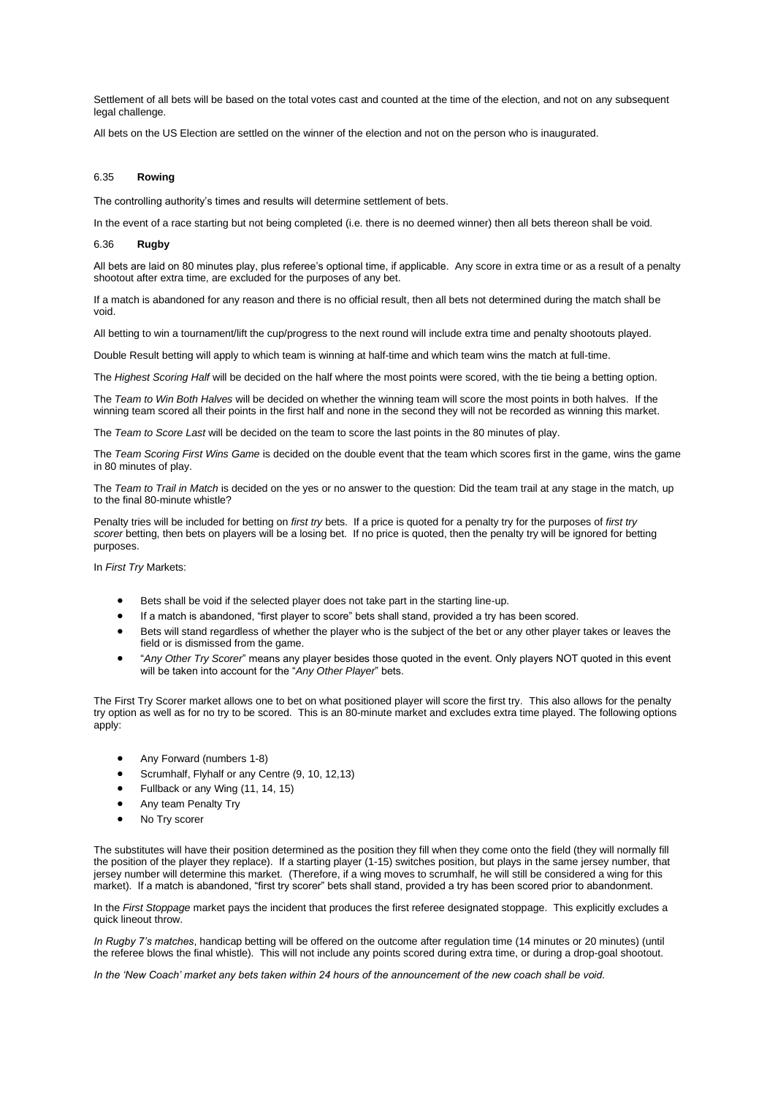Settlement of all bets will be based on the total votes cast and counted at the time of the election, and not on any subsequent legal challenge.

All bets on the US Election are settled on the winner of the election and not on the person who is inaugurated.

## 6.35 **Rowing**

The controlling authority's times and results will determine settlement of bets.

In the event of a race starting but not being completed (i.e. there is no deemed winner) then all bets thereon shall be void.

## 6.36 **Rugby**

All bets are laid on 80 minutes play, plus referee's optional time, if applicable. Any score in extra time or as a result of a penalty shootout after extra time, are excluded for the purposes of any bet.

If a match is abandoned for any reason and there is no official result, then all bets not determined during the match shall be void.

All betting to win a tournament/lift the cup/progress to the next round will include extra time and penalty shootouts played.

Double Result betting will apply to which team is winning at half-time and which team wins the match at full-time.

The *Highest Scoring Half* will be decided on the half where the most points were scored, with the tie being a betting option.

The *Team to Win Both Halves* will be decided on whether the winning team will score the most points in both halves. If the winning team scored all their points in the first half and none in the second they will not be recorded as winning this market.

The *Team to Score Last* will be decided on the team to score the last points in the 80 minutes of play.

The *Team Scoring First Wins Game* is decided on the double event that the team which scores first in the game, wins the game in 80 minutes of play.

The *Team to Trail in Match* is decided on the yes or no answer to the question: Did the team trail at any stage in the match, up to the final 80-minute whistle?

Penalty tries will be included for betting on *first try* bets. If a price is quoted for a penalty try for the purposes of *first try scorer* betting, then bets on players will be a losing bet. If no price is quoted, then the penalty try will be ignored for betting purposes.

In *First Try* Markets:

- Bets shall be void if the selected player does not take part in the starting line-up.
- If a match is abandoned, "first player to score" bets shall stand, provided a try has been scored.
- Bets will stand regardless of whether the player who is the subject of the bet or any other player takes or leaves the field or is dismissed from the game.
- "*Any Other Try Scorer*" means any player besides those quoted in the event. Only players NOT quoted in this event will be taken into account for the "*Any Other Player*" bets.

The First Try Scorer market allows one to bet on what positioned player will score the first try. This also allows for the penalty try option as well as for no try to be scored. This is an 80-minute market and excludes extra time played. The following options apply:

- Any Forward (numbers 1-8)
- Scrumhalf, Flyhalf or any Centre (9, 10, 12,13)
- Fullback or any Wing (11, 14, 15)
- Any team Penalty Try
- No Try scorer

The substitutes will have their position determined as the position they fill when they come onto the field (they will normally fill the position of the player they replace). If a starting player (1-15) switches position, but plays in the same jersey number, that jersey number will determine this market. (Therefore, if a wing moves to scrumhalf, he will still be considered a wing for this market). If a match is abandoned, "first try scorer" bets shall stand, provided a try has been scored prior to abandonment.

In the *First Stoppage* market pays the incident that produces the first referee designated stoppage. This explicitly excludes a quick lineout throw.

*In Rugby 7's matches*, handicap betting will be offered on the outcome after regulation time (14 minutes or 20 minutes) (until the referee blows the final whistle). This will not include any points scored during extra time, or during a drop-goal shootout.

*In the 'New Coach' market any bets taken within 24 hours of the announcement of the new coach shall be void.*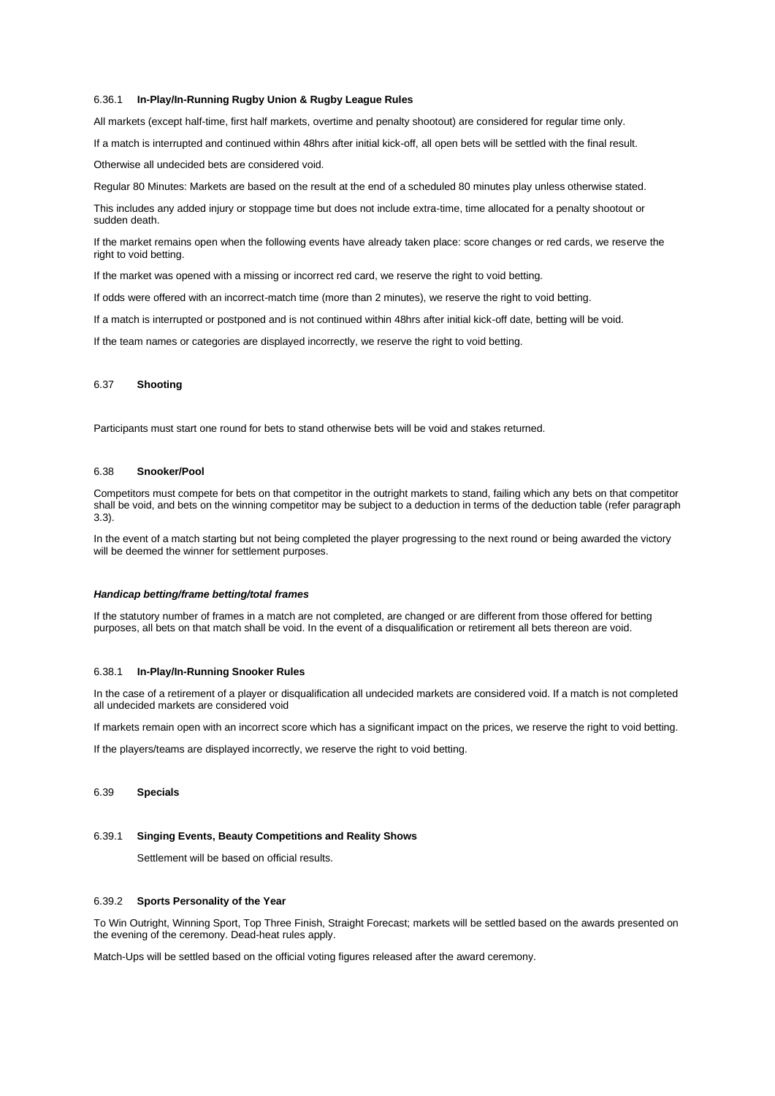### 6.36.1 **In-Play/In-Running Rugby Union & Rugby League Rules**

All markets (except half-time, first half markets, overtime and penalty shootout) are considered for regular time only.

If a match is interrupted and continued within 48hrs after initial kick-off, all open bets will be settled with the final result.

Otherwise all undecided bets are considered void.

Regular 80 Minutes: Markets are based on the result at the end of a scheduled 80 minutes play unless otherwise stated.

This includes any added injury or stoppage time but does not include extra-time, time allocated for a penalty shootout or sudden death.

If the market remains open when the following events have already taken place: score changes or red cards, we reserve the right to void betting.

If the market was opened with a missing or incorrect red card, we reserve the right to void betting.

If odds were offered with an incorrect-match time (more than 2 minutes), we reserve the right to void betting.

If a match is interrupted or postponed and is not continued within 48hrs after initial kick-off date, betting will be void.

If the team names or categories are displayed incorrectly, we reserve the right to void betting.

## 6.37 **Shooting**

Participants must start one round for bets to stand otherwise bets will be void and stakes returned.

### 6.38 **Snooker/Pool**

Competitors must compete for bets on that competitor in the outright markets to stand, failing which any bets on that competitor shall be void, and bets on the winning competitor may be subject to a deduction in terms of the deduction table (refer paragraph 3.3).

In the event of a match starting but not being completed the player progressing to the next round or being awarded the victory will be deemed the winner for settlement purposes.

#### *Handicap betting/frame betting/total frames*

If the statutory number of frames in a match are not completed, are changed or are different from those offered for betting purposes, all bets on that match shall be void. In the event of a disqualification or retirement all bets thereon are void.

### 6.38.1 **In-Play/In-Running Snooker Rules**

In the case of a retirement of a player or disqualification all undecided markets are considered void. If a match is not completed all undecided markets are considered void

If markets remain open with an incorrect score which has a significant impact on the prices, we reserve the right to void betting.

If the players/teams are displayed incorrectly, we reserve the right to void betting.

## 6.39 **Specials**

### 6.39.1 **Singing Events, Beauty Competitions and Reality Shows**

Settlement will be based on official results.

### 6.39.2 **Sports Personality of the Year**

To Win Outright, Winning Sport, Top Three Finish, Straight Forecast; markets will be settled based on the awards presented on the evening of the ceremony. Dead-heat rules apply.

Match-Ups will be settled based on the official voting figures released after the award ceremony.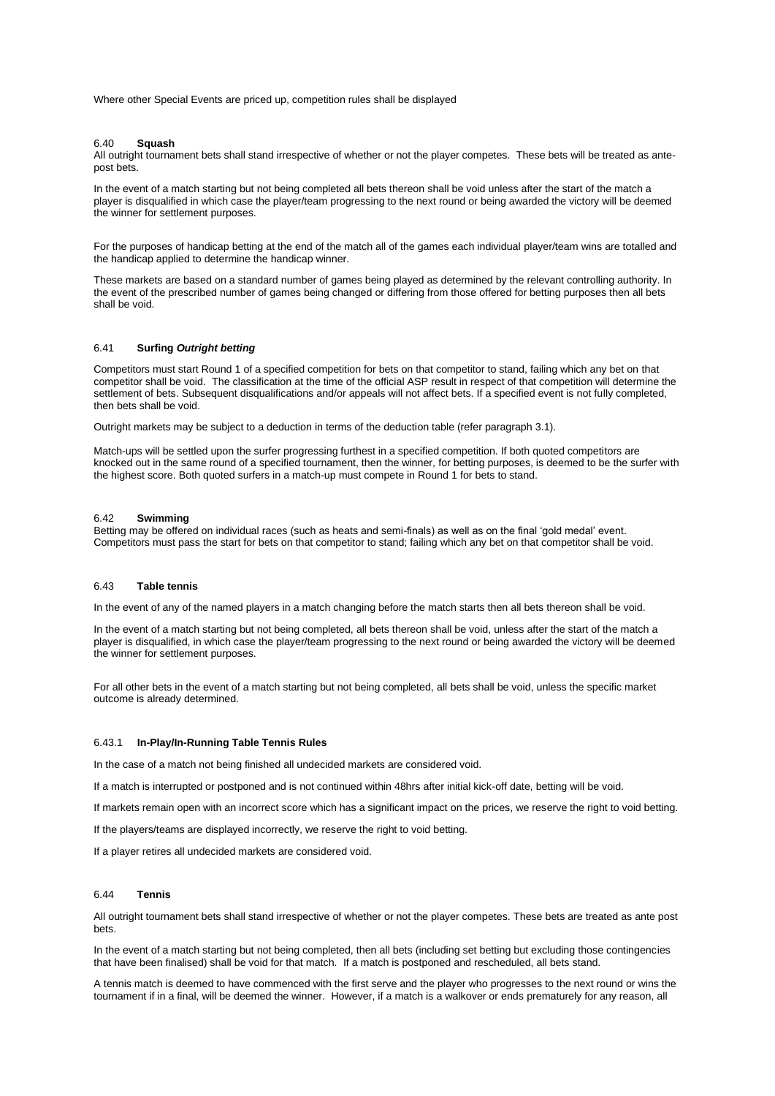Where other Special Events are priced up, competition rules shall be displayed

#### 6.40 **Squash**

All outright tournament bets shall stand irrespective of whether or not the player competes. These bets will be treated as antepost bets.

In the event of a match starting but not being completed all bets thereon shall be void unless after the start of the match a player is disqualified in which case the player/team progressing to the next round or being awarded the victory will be deemed the winner for settlement purposes.

For the purposes of handicap betting at the end of the match all of the games each individual player/team wins are totalled and the handicap applied to determine the handicap winner.

These markets are based on a standard number of games being played as determined by the relevant controlling authority. In the event of the prescribed number of games being changed or differing from those offered for betting purposes then all bets shall be void.

## 6.41 **Surfing** *Outright betting*

Competitors must start Round 1 of a specified competition for bets on that competitor to stand, failing which any bet on that competitor shall be void. The classification at the time of the official ASP result in respect of that competition will determine the settlement of bets. Subsequent disqualifications and/or appeals will not affect bets. If a specified event is not fully completed, then bets shall be void.

Outright markets may be subject to a deduction in terms of the deduction table (refer paragraph 3.1).

Match-ups will be settled upon the surfer progressing furthest in a specified competition. If both quoted competitors are knocked out in the same round of a specified tournament, then the winner, for betting purposes, is deemed to be the surfer with the highest score. Both quoted surfers in a match-up must compete in Round 1 for bets to stand.

## 6.42 **Swimming**

Betting may be offered on individual races (such as heats and semi-finals) as well as on the final 'gold medal' event. Competitors must pass the start for bets on that competitor to stand; failing which any bet on that competitor shall be void.

## 6.43 **Table tennis**

In the event of any of the named players in a match changing before the match starts then all bets thereon shall be void.

In the event of a match starting but not being completed, all bets thereon shall be void, unless after the start of the match a player is disqualified, in which case the player/team progressing to the next round or being awarded the victory will be deemed the winner for settlement purposes.

For all other bets in the event of a match starting but not being completed, all bets shall be void, unless the specific market outcome is already determined.

### 6.43.1 **In-Play/In-Running Table Tennis Rules**

In the case of a match not being finished all undecided markets are considered void.

If a match is interrupted or postponed and is not continued within 48hrs after initial kick-off date, betting will be void.

If markets remain open with an incorrect score which has a significant impact on the prices, we reserve the right to void betting.

If the players/teams are displayed incorrectly, we reserve the right to void betting.

If a player retires all undecided markets are considered void.

#### 6.44 **Tennis**

All outright tournament bets shall stand irrespective of whether or not the player competes. These bets are treated as ante post bets.

In the event of a match starting but not being completed, then all bets (including set betting but excluding those contingencies that have been finalised) shall be void for that match. If a match is postponed and rescheduled, all bets stand.

A tennis match is deemed to have commenced with the first serve and the player who progresses to the next round or wins the tournament if in a final, will be deemed the winner. However, if a match is a walkover or ends prematurely for any reason, all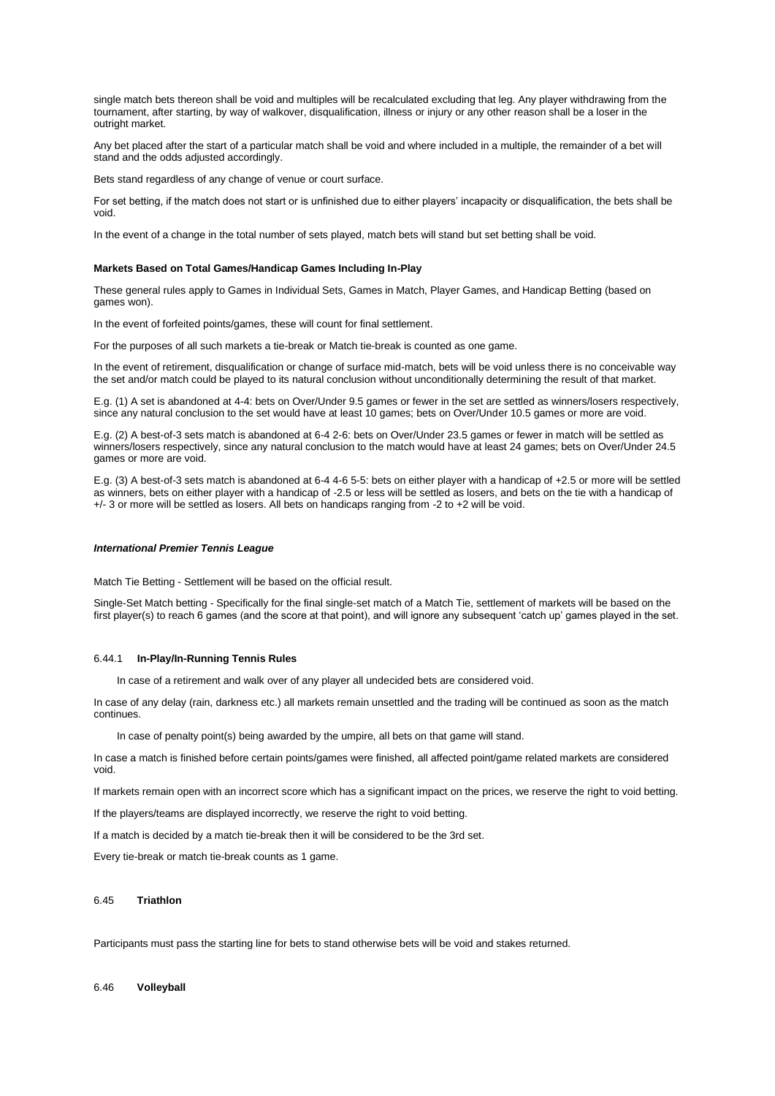single match bets thereon shall be void and multiples will be recalculated excluding that leg. Any player withdrawing from the tournament, after starting, by way of walkover, disqualification, illness or injury or any other reason shall be a loser in the outright market.

Any bet placed after the start of a particular match shall be void and where included in a multiple, the remainder of a bet will stand and the odds adjusted accordingly.

Bets stand regardless of any change of venue or court surface.

For set betting, if the match does not start or is unfinished due to either players' incapacity or disqualification, the bets shall be void.

In the event of a change in the total number of sets played, match bets will stand but set betting shall be void.

### **Markets Based on Total Games/Handicap Games Including In-Play**

These general rules apply to Games in Individual Sets, Games in Match, Player Games, and Handicap Betting (based on games won).

In the event of forfeited points/games, these will count for final settlement.

For the purposes of all such markets a tie-break or Match tie-break is counted as one game.

In the event of retirement, disqualification or change of surface mid-match, bets will be void unless there is no conceivable way the set and/or match could be played to its natural conclusion without unconditionally determining the result of that market.

E.g. (1) A set is abandoned at 4-4: bets on Over/Under 9.5 games or fewer in the set are settled as winners/losers respectively, since any natural conclusion to the set would have at least 10 games; bets on Over/Under 10.5 games or more are void.

E.g. (2) A best-of-3 sets match is abandoned at 6-4 2-6: bets on Over/Under 23.5 games or fewer in match will be settled as winners/losers respectively, since any natural conclusion to the match would have at least 24 games; bets on Over/Under 24.5 games or more are void.

E.g. (3) A best-of-3 sets match is abandoned at 6-4 4-6 5-5: bets on either player with a handicap of +2.5 or more will be settled as winners, bets on either player with a handicap of -2.5 or less will be settled as losers, and bets on the tie with a handicap of +/- 3 or more will be settled as losers. All bets on handicaps ranging from -2 to +2 will be void.

## *International Premier Tennis League*

Match Tie Betting - Settlement will be based on the official result.

Single-Set Match betting - Specifically for the final single-set match of a Match Tie, settlement of markets will be based on the first player(s) to reach 6 games (and the score at that point), and will ignore any subsequent 'catch up' games played in the set.

### 6.44.1 **In-Play/In-Running Tennis Rules**

In case of a retirement and walk over of any player all undecided bets are considered void.

In case of any delay (rain, darkness etc.) all markets remain unsettled and the trading will be continued as soon as the match continues.

In case of penalty point(s) being awarded by the umpire, all bets on that game will stand.

In case a match is finished before certain points/games were finished, all affected point/game related markets are considered void.

If markets remain open with an incorrect score which has a significant impact on the prices, we reserve the right to void betting.

If the players/teams are displayed incorrectly, we reserve the right to void betting.

If a match is decided by a match tie-break then it will be considered to be the 3rd set.

Every tie-break or match tie-break counts as 1 game.

## 6.45 **Triathlon**

Participants must pass the starting line for bets to stand otherwise bets will be void and stakes returned.

#### 6.46 **Volleyball**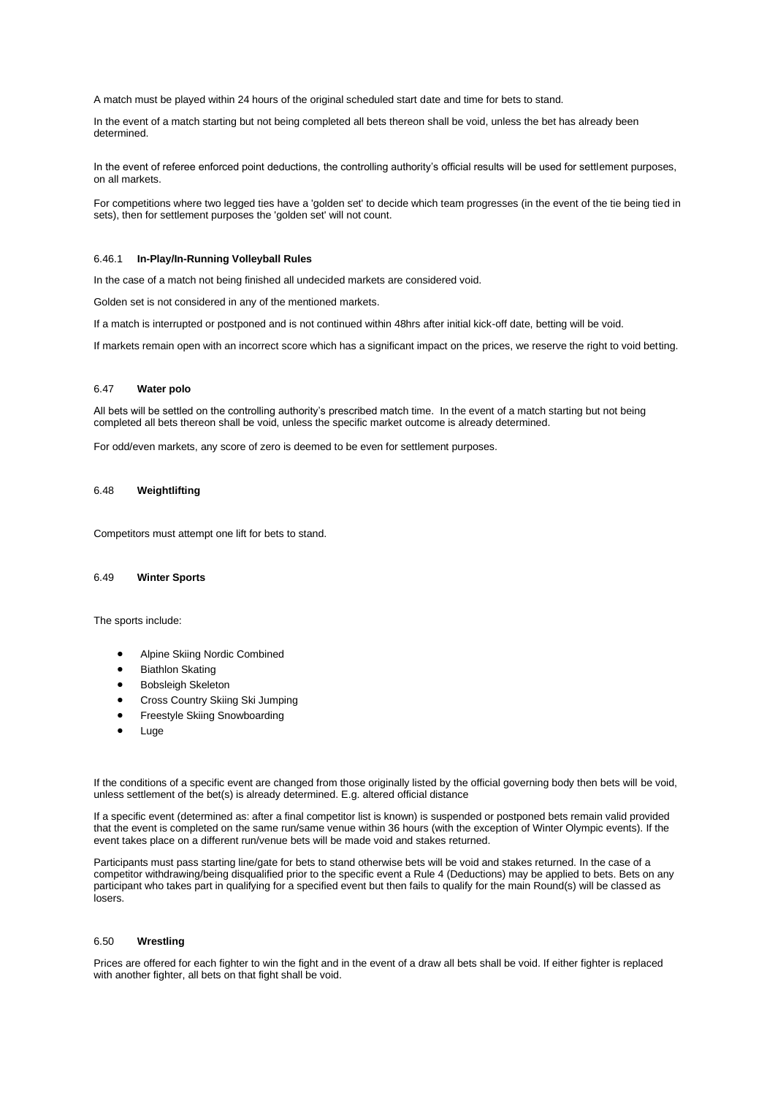A match must be played within 24 hours of the original scheduled start date and time for bets to stand.

In the event of a match starting but not being completed all bets thereon shall be void, unless the bet has already been determined.

In the event of referee enforced point deductions, the controlling authority's official results will be used for settlement purposes, on all markets.

For competitions where two legged ties have a 'golden set' to decide which team progresses (in the event of the tie being tied in sets), then for settlement purposes the 'golden set' will not count.

## 6.46.1 **In-Play/In-Running Volleyball Rules**

In the case of a match not being finished all undecided markets are considered void.

Golden set is not considered in any of the mentioned markets.

If a match is interrupted or postponed and is not continued within 48hrs after initial kick-off date, betting will be void.

If markets remain open with an incorrect score which has a significant impact on the prices, we reserve the right to void betting.

## 6.47 **Water polo**

All bets will be settled on the controlling authority's prescribed match time. In the event of a match starting but not being completed all bets thereon shall be void, unless the specific market outcome is already determined.

For odd/even markets, any score of zero is deemed to be even for settlement purposes.

## 6.48 **Weightlifting**

Competitors must attempt one lift for bets to stand.

## 6.49 **Winter Sports**

The sports include:

- Alpine Skiing Nordic Combined
- Biathlon Skating
- Bobsleigh Skeleton
- Cross Country Skiing Ski Jumping
- **Freestyle Skiing Snowboarding**
- **Luge**

If the conditions of a specific event are changed from those originally listed by the official governing body then bets will be void, unless settlement of the bet(s) is already determined. E.g. altered official distance

If a specific event (determined as: after a final competitor list is known) is suspended or postponed bets remain valid provided that the event is completed on the same run/same venue within 36 hours (with the exception of Winter Olympic events). If the event takes place on a different run/venue bets will be made void and stakes returned.

Participants must pass starting line/gate for bets to stand otherwise bets will be void and stakes returned. In the case of a competitor withdrawing/being disqualified prior to the specific event a Rule 4 (Deductions) may be applied to bets. Bets on any participant who takes part in qualifying for a specified event but then fails to qualify for the main Round(s) will be classed as losers.

### 6.50 **Wrestling**

Prices are offered for each fighter to win the fight and in the event of a draw all bets shall be void. If either fighter is replaced with another fighter, all bets on that fight shall be void.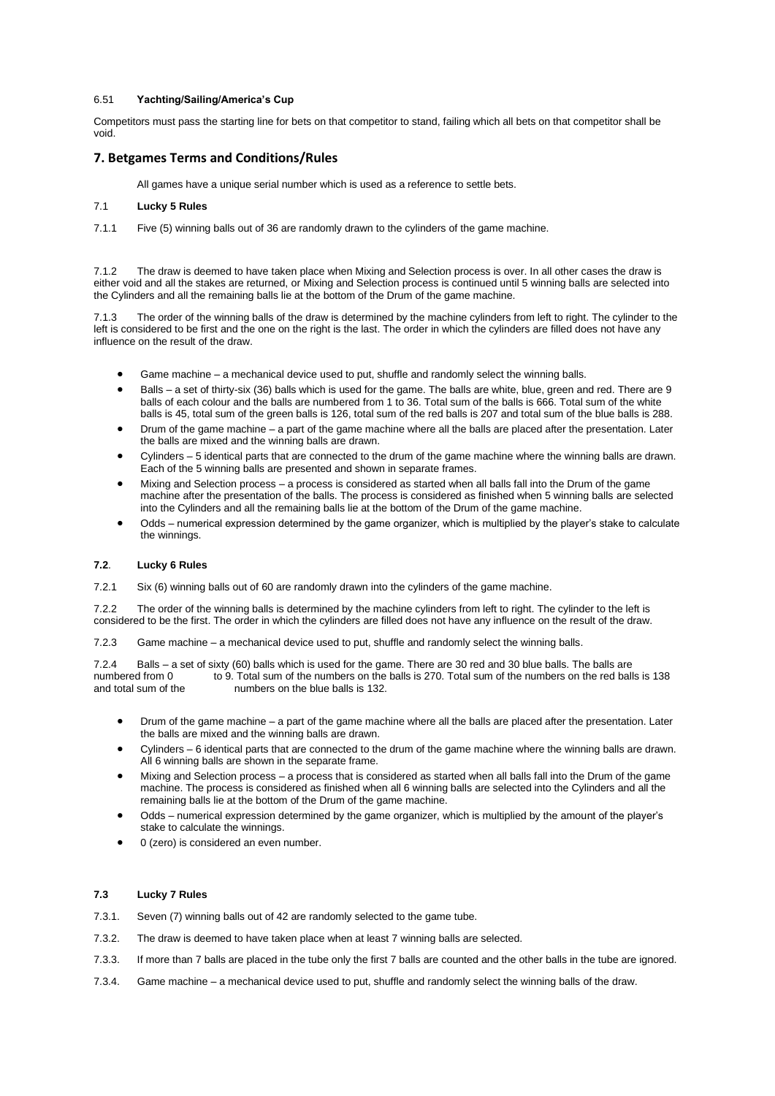## 6.51 **Yachting/Sailing/America's Cup**

Competitors must pass the starting line for bets on that competitor to stand, failing which all bets on that competitor shall be void.

# <span id="page-40-0"></span>**7. Betgames Terms and Conditions/Rules**

All games have a unique serial number which is used as a reference to settle bets.

# 7.1 **Lucky 5 Rules**

7.1.1 Five (5) winning balls out of 36 are randomly drawn to the cylinders of the game machine.

7.1.2 The draw is deemed to have taken place when Mixing and Selection process is over. In all other cases the draw is either void and all the stakes are returned, or Mixing and Selection process is continued until 5 winning balls are selected into the Cylinders and all the remaining balls lie at the bottom of the Drum of the game machine.

7.1.3 The order of the winning balls of the draw is determined by the machine cylinders from left to right. The cylinder to the left is considered to be first and the one on the right is the last. The order in which the cylinders are filled does not have any influence on the result of the draw.

- Game machine a mechanical device used to put, shuffle and randomly select the winning balls.
- Balls a set of thirty-six (36) balls which is used for the game. The balls are white, blue, green and red. There are 9 balls of each colour and the balls are numbered from 1 to 36. Total sum of the balls is 666. Total sum of the white balls is 45, total sum of the green balls is 126, total sum of the red balls is 207 and total sum of the blue balls is 288.
- Drum of the game machine a part of the game machine where all the balls are placed after the presentation. Later the balls are mixed and the winning balls are drawn.
- Cylinders 5 identical parts that are connected to the drum of the game machine where the winning balls are drawn. Each of the 5 winning balls are presented and shown in separate frames.
- Mixing and Selection process a process is considered as started when all balls fall into the Drum of the game machine after the presentation of the balls. The process is considered as finished when 5 winning balls are selected into the Cylinders and all the remaining balls lie at the bottom of the Drum of the game machine.
- Odds numerical expression determined by the game organizer, which is multiplied by the player's stake to calculate the winnings.

# **7.2**. **Lucky 6 Rules**

7.2.1Six (6) winning balls out of 60 are randomly drawn into the cylinders of the game machine.

7.2.2The order of the winning balls is determined by the machine cylinders from left to right. The cylinder to the left is considered to be the first. The order in which the cylinders are filled does not have any influence on the result of the draw.

7.2.3Game machine – a mechanical device used to put, shuffle and randomly select the winning balls.

7.2.4 Balls – a set of sixty (60) balls which is used for the game. There are 30 red and 30 blue balls. The balls are numbered from 0 to 9. Total sum of the numbers on the balls is 270. Total sum of the numbers on the red to 9. Total sum of the numbers on the balls is 270. Total sum of the numbers on the red balls is 138 and total sum of the numbers on the blue balls is 132.

- Drum of the game machine a part of the game machine where all the balls are placed after the presentation. Later the balls are mixed and the winning balls are drawn.
- Cylinders 6 identical parts that are connected to the drum of the game machine where the winning balls are drawn. All 6 winning balls are shown in the separate frame.
- Mixing and Selection process a process that is considered as started when all balls fall into the Drum of the game machine. The process is considered as finished when all 6 winning balls are selected into the Cylinders and all the remaining balls lie at the bottom of the Drum of the game machine.
- Odds numerical expression determined by the game organizer, which is multiplied by the amount of the player's stake to calculate the winnings.
- 0 (zero) is considered an even number.

# **7.3 Lucky 7 Rules**

- 7.3.1. Seven (7) winning balls out of 42 are randomly selected to the game tube.
- 7.3.2. The draw is deemed to have taken place when at least 7 winning balls are selected.
- 7.3.3. If more than 7 balls are placed in the tube only the first 7 balls are counted and the other balls in the tube are ignored.
- 7.3.4. Game machine a mechanical device used to put, shuffle and randomly select the winning balls of the draw.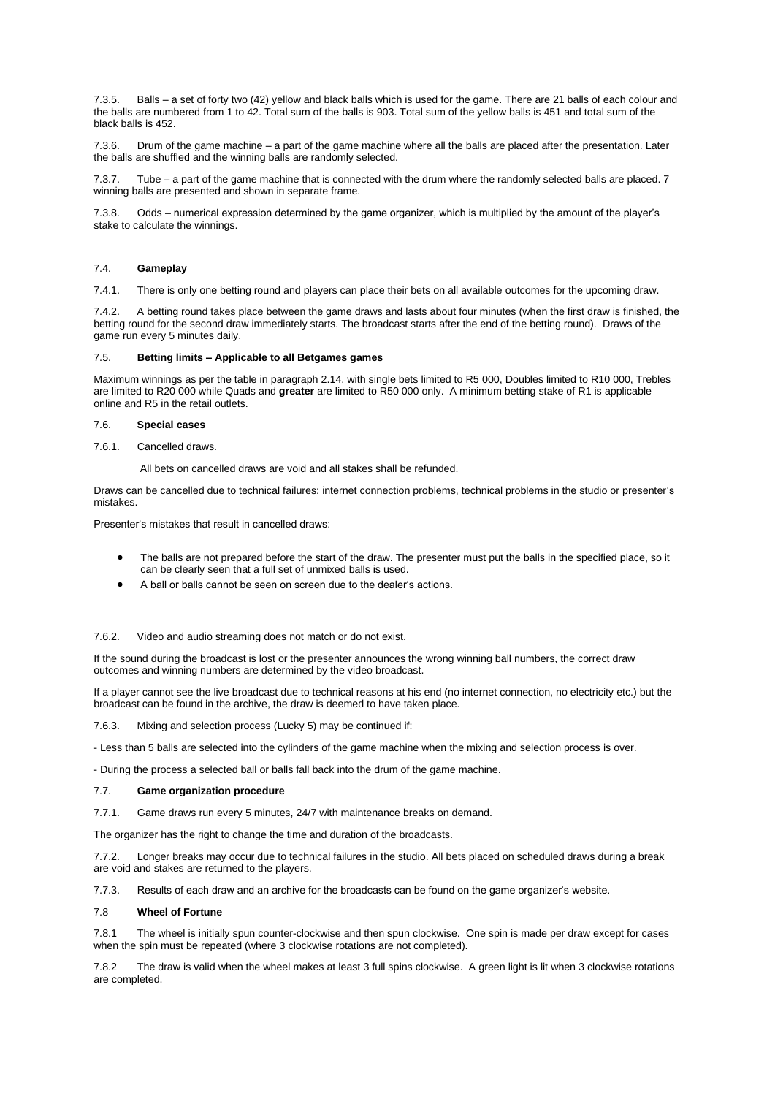7.3.5. Balls – a set of forty two (42) yellow and black balls which is used for the game. There are 21 balls of each colour and the balls are numbered from 1 to 42. Total sum of the balls is 903. Total sum of the yellow balls is 451 and total sum of the black balls is 452.

7.3.6. Drum of the game machine – a part of the game machine where all the balls are placed after the presentation. Later the balls are shuffled and the winning balls are randomly selected.

7.3.7. Tube – a part of the game machine that is connected with the drum where the randomly selected balls are placed. 7 winning balls are presented and shown in separate frame.

7.3.8. Odds – numerical expression determined by the game organizer, which is multiplied by the amount of the player's stake to calculate the winnings.

# 7.4. **Gameplay**

7.4.1. There is only one betting round and players can place their bets on all available outcomes for the upcoming draw.

7.4.2. A betting round takes place between the game draws and lasts about four minutes (when the first draw is finished, the betting round for the second draw immediately starts. The broadcast starts after the end of the betting round). Draws of the game run every 5 minutes daily.

### 7.5. **Betting limits – Applicable to all Betgames games**

Maximum winnings as per the table in paragraph 2.14, with single bets limited to R5 000, Doubles limited to R10 000, Trebles are limited to R20 000 while Quads and **greater** are limited to R50 000 only. A minimum betting stake of R1 is applicable online and R5 in the retail outlets.

## 7.6. **Special cases**

7.6.1. Cancelled draws.

All bets on cancelled draws are void and all stakes shall be refunded.

Draws can be cancelled due to technical failures: internet connection problems, technical problems in the studio or presenter's mistakes.

Presenter's mistakes that result in cancelled draws:

- The balls are not prepared before the start of the draw. The presenter must put the balls in the specified place, so it can be clearly seen that a full set of unmixed balls is used.
- A ball or balls cannot be seen on screen due to the dealer's actions.

## 7.6.2. Video and audio streaming does not match or do not exist.

If the sound during the broadcast is lost or the presenter announces the wrong winning ball numbers, the correct draw outcomes and winning numbers are determined by the video broadcast.

If a player cannot see the live broadcast due to technical reasons at his end (no internet connection, no electricity etc.) but the broadcast can be found in the archive, the draw is deemed to have taken place.

7.6.3. Mixing and selection process (Lucky 5) may be continued if:

- Less than 5 balls are selected into the cylinders of the game machine when the mixing and selection process is over.

- During the process a selected ball or balls fall back into the drum of the game machine.

## 7.7. **Game organization procedure**

7.7.1. Game draws run every 5 minutes, 24/7 with maintenance breaks on demand.

The organizer has the right to change the time and duration of the broadcasts.

7.7.2. Longer breaks may occur due to technical failures in the studio. All bets placed on scheduled draws during a break are void and stakes are returned to the players.

7.7.3. Results of each draw and an archive for the broadcasts can be found on the game organizer's website.

# 7.8 **Wheel of Fortune**

7.8.1 The wheel is initially spun counter-clockwise and then spun clockwise. One spin is made per draw except for cases when the spin must be repeated (where 3 clockwise rotations are not completed).

7.8.2 The draw is valid when the wheel makes at least 3 full spins clockwise. A green light is lit when 3 clockwise rotations are completed.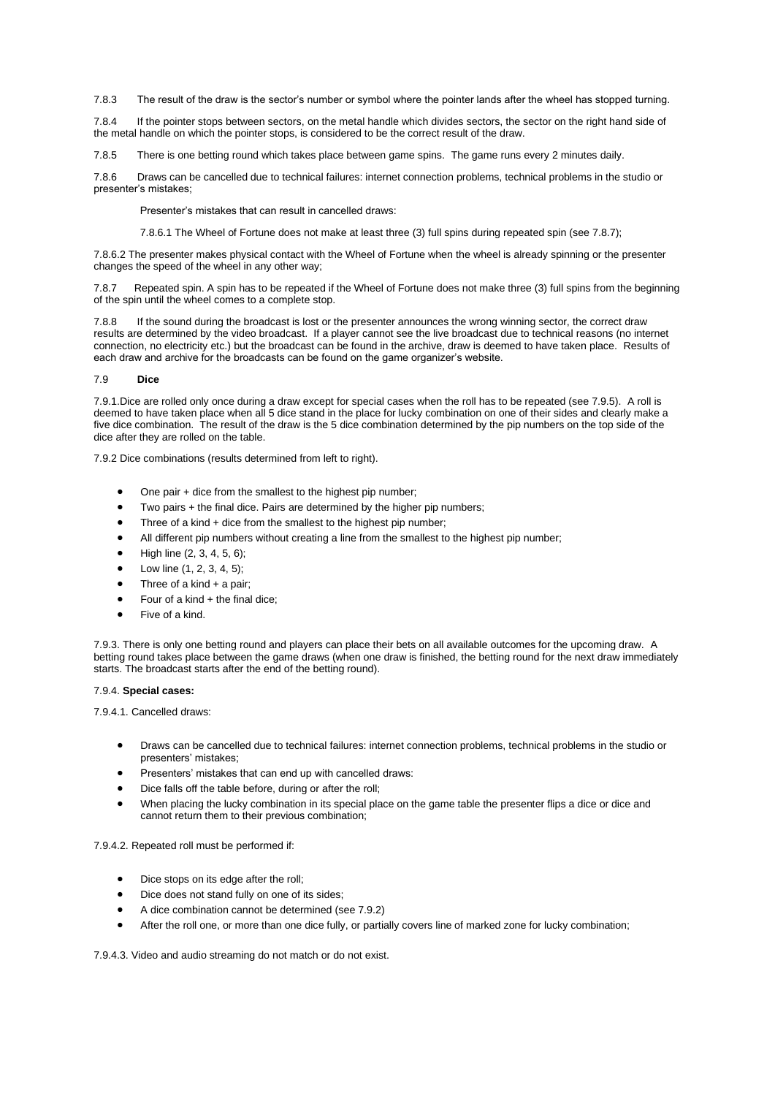7.8.3 The result of the draw is the sector's number or symbol where the pointer lands after the wheel has stopped turning.

7.8.4 If the pointer stops between sectors, on the metal handle which divides sectors, the sector on the right hand side of the metal handle on which the pointer stops, is considered to be the correct result of the draw.

7.8.5 There is one betting round which takes place between game spins. The game runs every 2 minutes daily.

7.8.6 Draws can be cancelled due to technical failures: internet connection problems, technical problems in the studio or presenter's mistakes;

Presenter's mistakes that can result in cancelled draws:

7.8.6.1 The Wheel of Fortune does not make at least three (3) full spins during repeated spin (see 7.8.7);

7.8.6.2 The presenter makes physical contact with the Wheel of Fortune when the wheel is already spinning or the presenter changes the speed of the wheel in any other way;

7.8.7 Repeated spin. A spin has to be repeated if the Wheel of Fortune does not make three (3) full spins from the beginning of the spin until the wheel comes to a complete stop.

7.8.8 If the sound during the broadcast is lost or the presenter announces the wrong winning sector, the correct draw results are determined by the video broadcast. If a player cannot see the live broadcast due to technical reasons (no internet connection, no electricity etc.) but the broadcast can be found in the archive, draw is deemed to have taken place. Results of each draw and archive for the broadcasts can be found on the game organizer's website.

## 7.9 **Dice**

7.9.1.Dice are rolled only once during a draw except for special cases when the roll has to be repeated (see 7.9.5). A roll is deemed to have taken place when all 5 dice stand in the place for lucky combination on one of their sides and clearly make a five dice combination. The result of the draw is the 5 dice combination determined by the pip numbers on the top side of the dice after they are rolled on the table.

7.9.2 Dice combinations (results determined from left to right).

- One pair + dice from the smallest to the highest pip number;
- Two pairs + the final dice. Pairs are determined by the higher pip numbers;
- Three of a kind + dice from the smallest to the highest pip number:
- All different pip numbers without creating a line from the smallest to the highest pip number;
- High line (2, 3, 4, 5, 6);
- Low line (1, 2, 3, 4, 5);
- Three of a kind  $+$  a pair;
- Four of a kind  $+$  the final dice;
- Five of a kind.

7.9.3. There is only one betting round and players can place their bets on all available outcomes for the upcoming draw. A betting round takes place between the game draws (when one draw is finished, the betting round for the next draw immediately starts. The broadcast starts after the end of the betting round).

## 7.9.4. **Special cases:**

7.9.4.1. Cancelled draws:

- Draws can be cancelled due to technical failures: internet connection problems, technical problems in the studio or presenters' mistakes;
- Presenters' mistakes that can end up with cancelled draws:
- Dice falls off the table before, during or after the roll;
- When placing the lucky combination in its special place on the game table the presenter flips a dice or dice and cannot return them to their previous combination;

7.9.4.2. Repeated roll must be performed if:

- Dice stops on its edge after the roll;
- Dice does not stand fully on one of its sides;
- A dice combination cannot be determined (see 7.9.2)
- After the roll one, or more than one dice fully, or partially covers line of marked zone for lucky combination;

7.9.4.3. Video and audio streaming do not match or do not exist.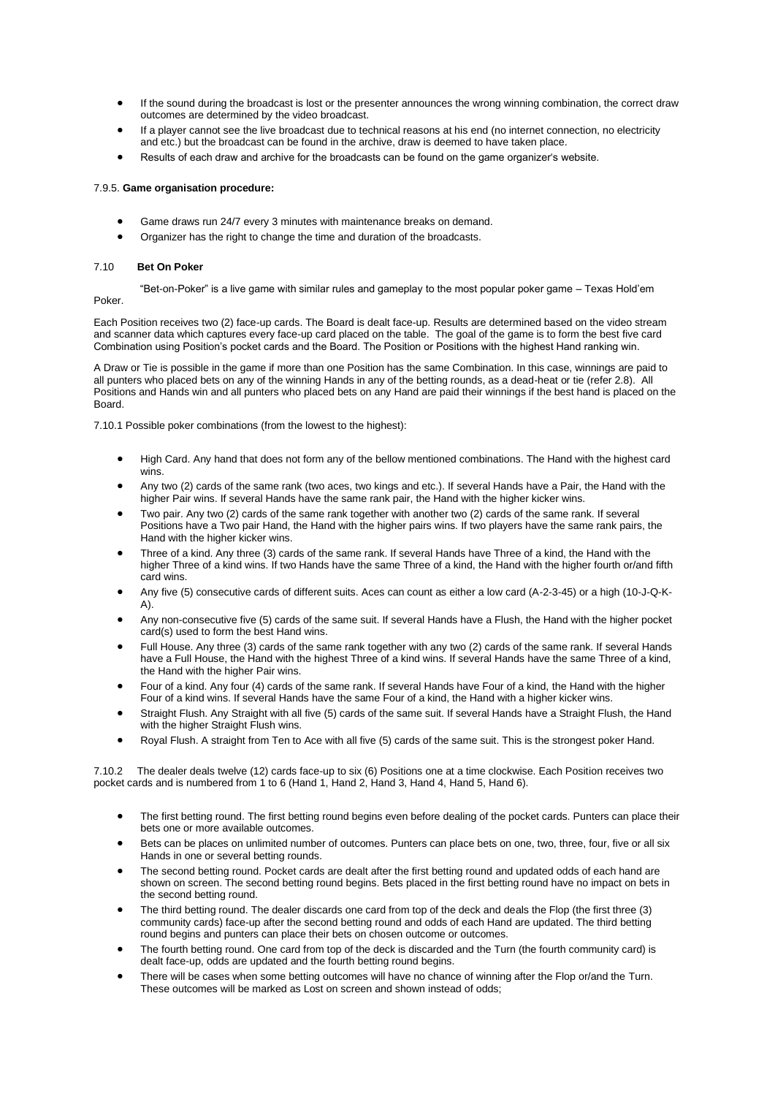- If the sound during the broadcast is lost or the presenter announces the wrong winning combination, the correct draw outcomes are determined by the video broadcast.
- If a player cannot see the live broadcast due to technical reasons at his end (no internet connection, no electricity and etc.) but the broadcast can be found in the archive, draw is deemed to have taken place.
- Results of each draw and archive for the broadcasts can be found on the game organizer's website.

## 7.9.5. **Game organisation procedure:**

- Game draws run 24/7 every 3 minutes with maintenance breaks on demand.
- Organizer has the right to change the time and duration of the broadcasts.

## 7.10 **Bet On Poker**

"Bet-on-Poker" is a live game with similar rules and gameplay to the most popular poker game – Texas Hold'em

Poker.

Each Position receives two (2) face-up cards. The Board is dealt face-up. Results are determined based on the video stream and scanner data which captures every face-up card placed on the table. The goal of the game is to form the best five card Combination using Position's pocket cards and the Board. The Position or Positions with the highest Hand ranking win.

A Draw or Tie is possible in the game if more than one Position has the same Combination. In this case, winnings are paid to all punters who placed bets on any of the winning Hands in any of the betting rounds, as a dead-heat or tie (refer 2.8). All Positions and Hands win and all punters who placed bets on any Hand are paid their winnings if the best hand is placed on the Board.

7.10.1 Possible poker combinations (from the lowest to the highest):

- High Card. Any hand that does not form any of the bellow mentioned combinations. The Hand with the highest card wins.
- Any two (2) cards of the same rank (two aces, two kings and etc.). If several Hands have a Pair, the Hand with the higher Pair wins. If several Hands have the same rank pair, the Hand with the higher kicker wins.
- Two pair. Any two (2) cards of the same rank together with another two (2) cards of the same rank. If several Positions have a Two pair Hand, the Hand with the higher pairs wins. If two players have the same rank pairs, the Hand with the higher kicker wins.
- Three of a kind. Any three (3) cards of the same rank. If several Hands have Three of a kind, the Hand with the higher Three of a kind wins. If two Hands have the same Three of a kind, the Hand with the higher fourth or/and fifth card wins.
- Any five (5) consecutive cards of different suits. Aces can count as either a low card (A-2-3-45) or a high (10-J-Q-K-A).
- Any non-consecutive five (5) cards of the same suit. If several Hands have a Flush, the Hand with the higher pocket card(s) used to form the best Hand wins.
- Full House. Any three (3) cards of the same rank together with any two (2) cards of the same rank. If several Hands have a Full House, the Hand with the highest Three of a kind wins. If several Hands have the same Three of a kind, the Hand with the higher Pair wins.
- Four of a kind. Any four (4) cards of the same rank. If several Hands have Four of a kind, the Hand with the higher Four of a kind wins. If several Hands have the same Four of a kind, the Hand with a higher kicker wins.
- Straight Flush. Any Straight with all five (5) cards of the same suit. If several Hands have a Straight Flush, the Hand with the higher Straight Flush wins.
- Royal Flush. A straight from Ten to Ace with all five (5) cards of the same suit. This is the strongest poker Hand.

7.10.2 The dealer deals twelve (12) cards face-up to six (6) Positions one at a time clockwise. Each Position receives two pocket cards and is numbered from 1 to 6 (Hand 1, Hand 2, Hand 3, Hand 4, Hand 5, Hand 6).

- The first betting round. The first betting round begins even before dealing of the pocket cards. Punters can place their bets one or more available outcomes.
- Bets can be places on unlimited number of outcomes. Punters can place bets on one, two, three, four, five or all six Hands in one or several betting rounds.
- The second betting round. Pocket cards are dealt after the first betting round and updated odds of each hand are shown on screen. The second betting round begins. Bets placed in the first betting round have no impact on bets in the second betting round.
- The third betting round. The dealer discards one card from top of the deck and deals the Flop (the first three (3) community cards) face-up after the second betting round and odds of each Hand are updated. The third betting round begins and punters can place their bets on chosen outcome or outcomes.
- The fourth betting round. One card from top of the deck is discarded and the Turn (the fourth community card) is dealt face-up, odds are updated and the fourth betting round begins.
- There will be cases when some betting outcomes will have no chance of winning after the Flop or/and the Turn. These outcomes will be marked as Lost on screen and shown instead of odds;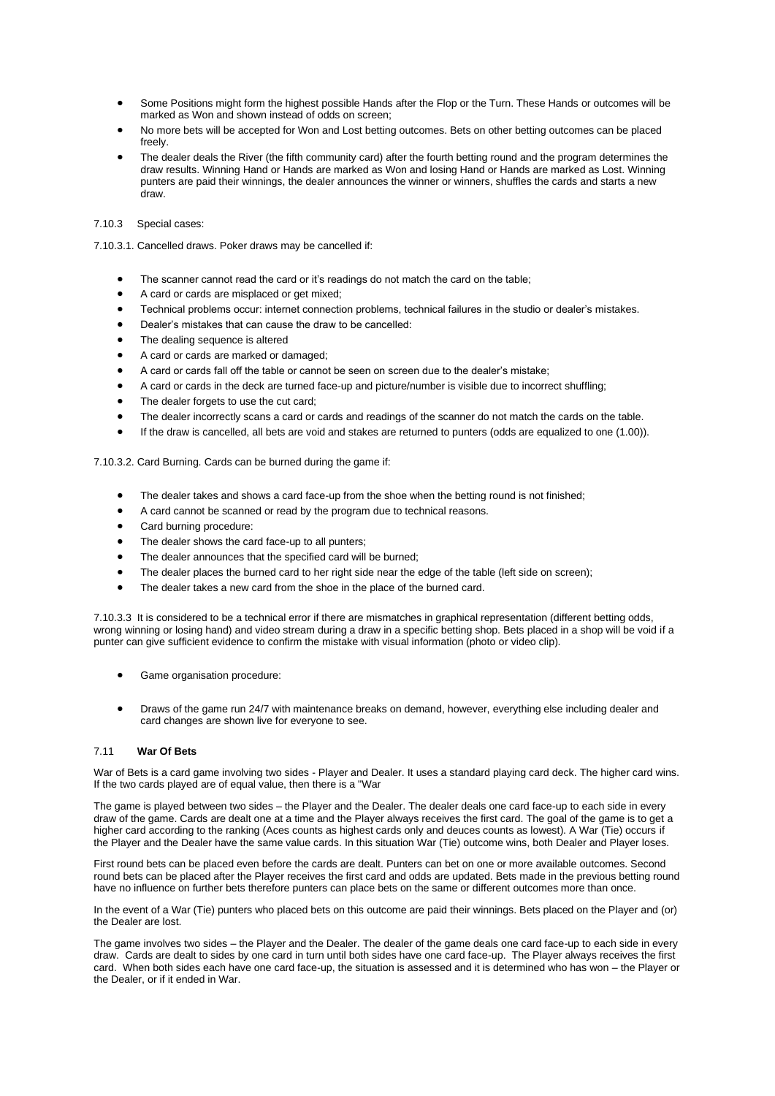- Some Positions might form the highest possible Hands after the Flop or the Turn. These Hands or outcomes will be marked as Won and shown instead of odds on screen;
- No more bets will be accepted for Won and Lost betting outcomes. Bets on other betting outcomes can be placed freely.
- The dealer deals the River (the fifth community card) after the fourth betting round and the program determines the draw results. Winning Hand or Hands are marked as Won and losing Hand or Hands are marked as Lost. Winning punters are paid their winnings, the dealer announces the winner or winners, shuffles the cards and starts a new draw.

# 7.10.3 Special cases:

- 7.10.3.1. Cancelled draws. Poker draws may be cancelled if:
	- The scanner cannot read the card or it's readings do not match the card on the table;
	- A card or cards are misplaced or get mixed;
	- Technical problems occur: internet connection problems, technical failures in the studio or dealer's mistakes.
	- Dealer's mistakes that can cause the draw to be cancelled:
	- The dealing sequence is altered
	- A card or cards are marked or damaged;
	- A card or cards fall off the table or cannot be seen on screen due to the dealer's mistake;
	- A card or cards in the deck are turned face-up and picture/number is visible due to incorrect shuffling;
	- The dealer forgets to use the cut card;
	- The dealer incorrectly scans a card or cards and readings of the scanner do not match the cards on the table.
	- If the draw is cancelled, all bets are void and stakes are returned to punters (odds are equalized to one (1.00)).

7.10.3.2. Card Burning. Cards can be burned during the game if:

- The dealer takes and shows a card face-up from the shoe when the betting round is not finished;
- A card cannot be scanned or read by the program due to technical reasons.
- Card burning procedure:
- The dealer shows the card face-up to all punters;
- The dealer announces that the specified card will be burned;
- The dealer places the burned card to her right side near the edge of the table (left side on screen);
- The dealer takes a new card from the shoe in the place of the burned card.

7.10.3.3 It is considered to be a technical error if there are mismatches in graphical representation (different betting odds, wrong winning or losing hand) and video stream during a draw in a specific betting shop. Bets placed in a shop will be void if a punter can give sufficient evidence to confirm the mistake with visual information (photo or video clip).

- Game organisation procedure:
- Draws of the game run 24/7 with maintenance breaks on demand, however, everything else including dealer and card changes are shown live for everyone to see.

## 7.11 **War Of Bets**

War of Bets is a card game involving two sides - Player and Dealer. It uses a standard playing card deck. The higher card wins. If the two cards played are of equal value, then there is a "War

The game is played between two sides – the Player and the Dealer. The dealer deals one card face-up to each side in every draw of the game. Cards are dealt one at a time and the Player always receives the first card. The goal of the game is to get a higher card according to the ranking (Aces counts as highest cards only and deuces counts as lowest). A War (Tie) occurs if the Player and the Dealer have the same value cards. In this situation War (Tie) outcome wins, both Dealer and Player loses.

First round bets can be placed even before the cards are dealt. Punters can bet on one or more available outcomes. Second round bets can be placed after the Player receives the first card and odds are updated. Bets made in the previous betting round have no influence on further bets therefore punters can place bets on the same or different outcomes more than once.

In the event of a War (Tie) punters who placed bets on this outcome are paid their winnings. Bets placed on the Player and (or) the Dealer are lost.

The game involves two sides – the Player and the Dealer. The dealer of the game deals one card face-up to each side in every draw. Cards are dealt to sides by one card in turn until both sides have one card face-up. The Player always receives the first card. When both sides each have one card face-up, the situation is assessed and it is determined who has won – the Player or the Dealer, or if it ended in War.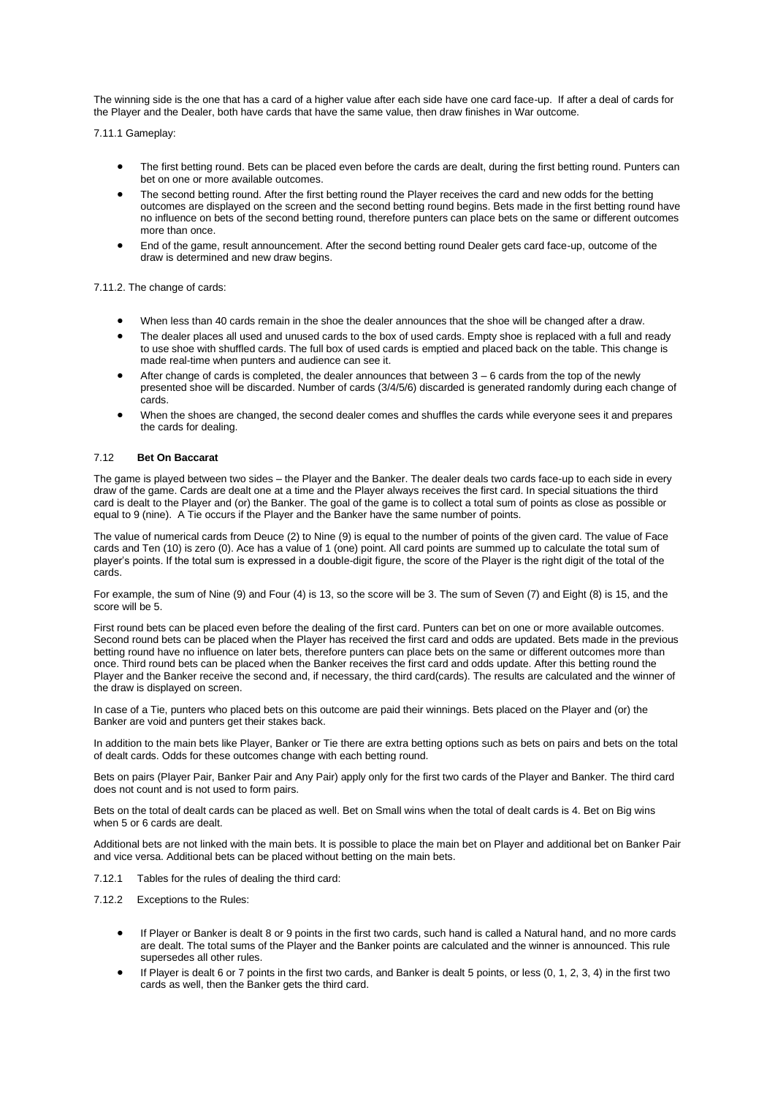The winning side is the one that has a card of a higher value after each side have one card face-up. If after a deal of cards for the Player and the Dealer, both have cards that have the same value, then draw finishes in War outcome.

7.11.1 Gameplay:

- The first betting round. Bets can be placed even before the cards are dealt, during the first betting round. Punters can bet on one or more available outcomes.
- The second betting round. After the first betting round the Player receives the card and new odds for the betting outcomes are displayed on the screen and the second betting round begins. Bets made in the first betting round have no influence on bets of the second betting round, therefore punters can place bets on the same or different outcomes more than once.
- End of the game, result announcement. After the second betting round Dealer gets card face-up, outcome of the draw is determined and new draw begins.

7.11.2. The change of cards:

- When less than 40 cards remain in the shoe the dealer announces that the shoe will be changed after a draw.
- The dealer places all used and unused cards to the box of used cards. Empty shoe is replaced with a full and ready to use shoe with shuffled cards. The full box of used cards is emptied and placed back on the table. This change is made real-time when punters and audience can see it.
- After change of cards is completed, the dealer announces that between  $3 6$  cards from the top of the newly presented shoe will be discarded. Number of cards (3/4/5/6) discarded is generated randomly during each change of cards.
- When the shoes are changed, the second dealer comes and shuffles the cards while everyone sees it and prepares the cards for dealing.

## 7.12 **Bet On Baccarat**

The game is played between two sides – the Player and the Banker. The dealer deals two cards face-up to each side in every draw of the game. Cards are dealt one at a time and the Player always receives the first card. In special situations the third card is dealt to the Player and (or) the Banker. The goal of the game is to collect a total sum of points as close as possible or equal to 9 (nine). A Tie occurs if the Player and the Banker have the same number of points.

The value of numerical cards from Deuce (2) to Nine (9) is equal to the number of points of the given card. The value of Face cards and Ten (10) is zero (0). Ace has a value of 1 (one) point. All card points are summed up to calculate the total sum of player's points. If the total sum is expressed in a double-digit figure, the score of the Player is the right digit of the total of the cards.

For example, the sum of Nine (9) and Four (4) is 13, so the score will be 3. The sum of Seven (7) and Eight (8) is 15, and the score will be 5.

First round bets can be placed even before the dealing of the first card. Punters can bet on one or more available outcomes. Second round bets can be placed when the Player has received the first card and odds are updated. Bets made in the previous betting round have no influence on later bets, therefore punters can place bets on the same or different outcomes more than once. Third round bets can be placed when the Banker receives the first card and odds update. After this betting round the Player and the Banker receive the second and, if necessary, the third card(cards). The results are calculated and the winner of the draw is displayed on screen.

In case of a Tie, punters who placed bets on this outcome are paid their winnings. Bets placed on the Player and (or) the Banker are void and punters get their stakes back.

In addition to the main bets like Player, Banker or Tie there are extra betting options such as bets on pairs and bets on the total of dealt cards. Odds for these outcomes change with each betting round.

Bets on pairs (Player Pair, Banker Pair and Any Pair) apply only for the first two cards of the Player and Banker. The third card does not count and is not used to form pairs.

Bets on the total of dealt cards can be placed as well. Bet on Small wins when the total of dealt cards is 4. Bet on Big wins when 5 or 6 cards are dealt.

Additional bets are not linked with the main bets. It is possible to place the main bet on Player and additional bet on Banker Pair and vice versa. Additional bets can be placed without betting on the main bets.

7.12.1 Tables for the rules of dealing the third card:

7.12.2 Exceptions to the Rules:

- If Player or Banker is dealt 8 or 9 points in the first two cards, such hand is called a Natural hand, and no more cards are dealt. The total sums of the Player and the Banker points are calculated and the winner is announced. This rule supersedes all other rules.
- If Player is dealt 6 or 7 points in the first two cards, and Banker is dealt 5 points, or less (0, 1, 2, 3, 4) in the first two cards as well, then the Banker gets the third card.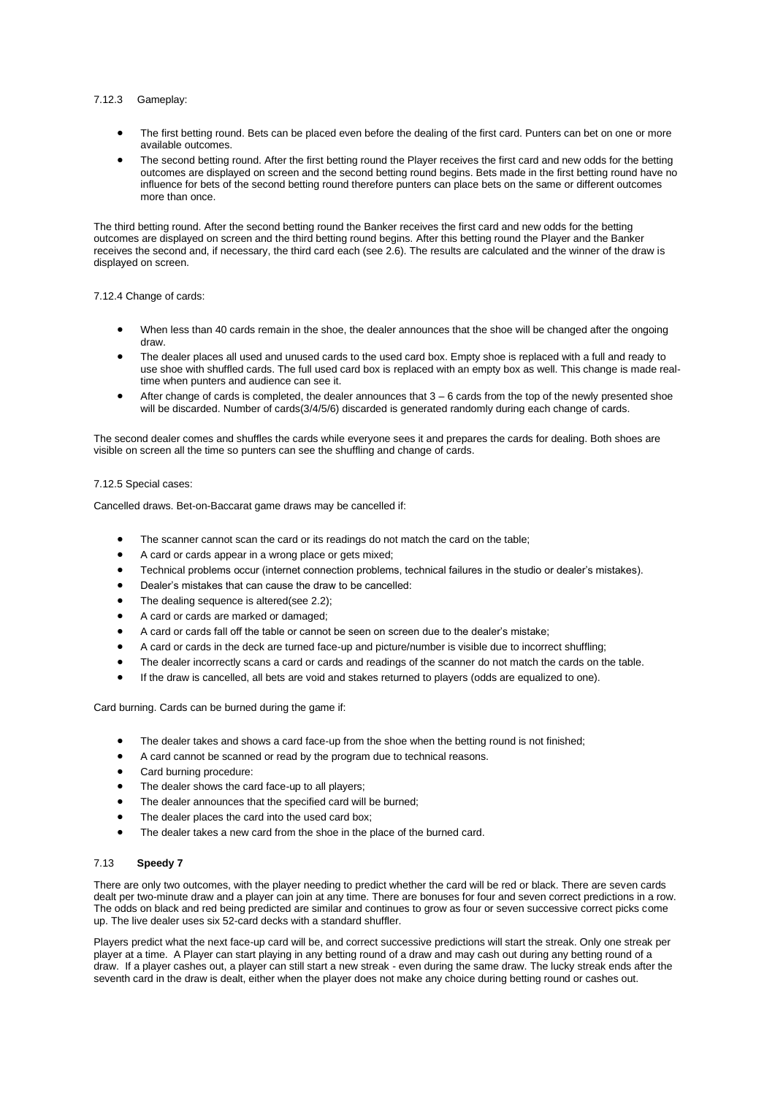# 7.12.3 Gameplay:

- The first betting round. Bets can be placed even before the dealing of the first card. Punters can bet on one or more available outcomes.
- The second betting round. After the first betting round the Player receives the first card and new odds for the betting outcomes are displayed on screen and the second betting round begins. Bets made in the first betting round have no influence for bets of the second betting round therefore punters can place bets on the same or different outcomes more than once.

The third betting round. After the second betting round the Banker receives the first card and new odds for the betting outcomes are displayed on screen and the third betting round begins. After this betting round the Player and the Banker receives the second and, if necessary, the third card each (see 2.6). The results are calculated and the winner of the draw is displayed on screen.

## 7.12.4 Change of cards:

- When less than 40 cards remain in the shoe, the dealer announces that the shoe will be changed after the ongoing draw.
- The dealer places all used and unused cards to the used card box. Empty shoe is replaced with a full and ready to use shoe with shuffled cards. The full used card box is replaced with an empty box as well. This change is made realtime when punters and audience can see it.
- After change of cards is completed, the dealer announces that  $3 6$  cards from the top of the newly presented shoe will be discarded. Number of cards(3/4/5/6) discarded is generated randomly during each change of cards.

The second dealer comes and shuffles the cards while everyone sees it and prepares the cards for dealing. Both shoes are visible on screen all the time so punters can see the shuffling and change of cards.

### 7.12.5 Special cases:

Cancelled draws. Bet-on-Baccarat game draws may be cancelled if:

- The scanner cannot scan the card or its readings do not match the card on the table;
- A card or cards appear in a wrong place or gets mixed;
- Technical problems occur (internet connection problems, technical failures in the studio or dealer's mistakes).
- Dealer's mistakes that can cause the draw to be cancelled:
- The dealing sequence is altered(see 2.2);
- A card or cards are marked or damaged;
- A card or cards fall off the table or cannot be seen on screen due to the dealer's mistake;
- A card or cards in the deck are turned face-up and picture/number is visible due to incorrect shuffling;
- The dealer incorrectly scans a card or cards and readings of the scanner do not match the cards on the table.
- If the draw is cancelled, all bets are void and stakes returned to players (odds are equalized to one).

Card burning. Cards can be burned during the game if:

- The dealer takes and shows a card face-up from the shoe when the betting round is not finished;
- A card cannot be scanned or read by the program due to technical reasons.
- Card burning procedure:
- The dealer shows the card face-up to all players;
- The dealer announces that the specified card will be burned;
- The dealer places the card into the used card box;
- The dealer takes a new card from the shoe in the place of the burned card.

## 7.13 **Speedy 7**

There are only two outcomes, with the player needing to predict whether the card will be red or black. There are seven cards dealt per two-minute draw and a player can join at any time. There are bonuses for four and seven correct predictions in a row. The odds on black and red being predicted are similar and continues to grow as four or seven successive correct picks come up. The live dealer uses six 52-card decks with a standard shuffler.

Players predict what the next face-up card will be, and correct successive predictions will start the streak. Only one streak per player at a time. A Player can start playing in any betting round of a draw and may cash out during any betting round of a draw. If a player cashes out, a player can still start a new streak - even during the same draw. The lucky streak ends after the seventh card in the draw is dealt, either when the player does not make any choice during betting round or cashes out.